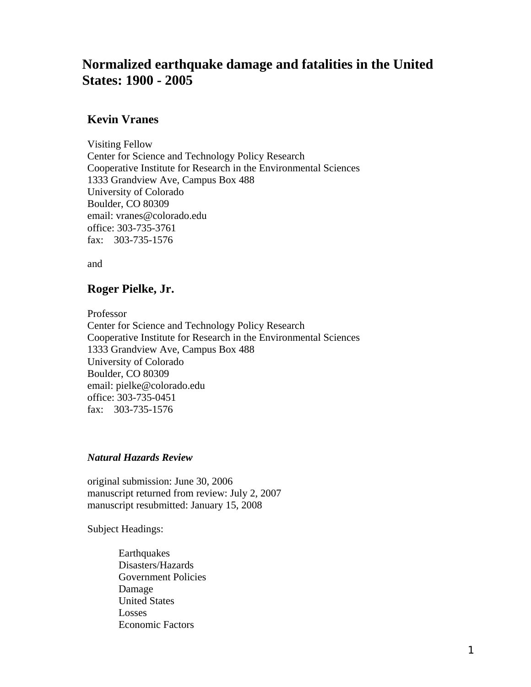# **Normalized earthquake damage and fatalities in the United States: 1900 - 2005**

## **Kevin Vranes**

Visiting Fellow Center for Science and Technology Policy Research Cooperative Institute for Research in the Environmental Sciences 1333 Grandview Ave, Campus Box 488 University of Colorado Boulder, CO 80309 email: vranes@colorado.edu office: 303-735-3761 fax: 303-735-1576

and

## **Roger Pielke, Jr.**

Professor

Center for Science and Technology Policy Research Cooperative Institute for Research in the Environmental Sciences 1333 Grandview Ave, Campus Box 488 University of Colorado Boulder, CO 80309 email: pielke@colorado.edu office: 303-735-0451 fax: 303-735-1576

### *Natural Hazards Review*

original submission: June 30, 2006 manuscript returned from review: July 2, 2007 manuscript resubmitted: January 15, 2008

Subject Headings:

Earthquakes Disasters/Hazards Government Policies Damage United States Losses Economic Factors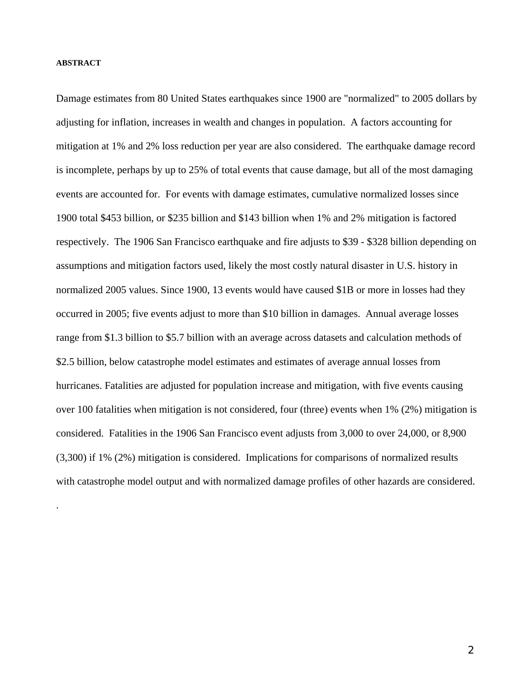#### **ABSTRACT**

.

Damage estimates from 80 United States earthquakes since 1900 are "normalized" to 2005 dollars by adjusting for inflation, increases in wealth and changes in population. A factors accounting for mitigation at 1% and 2% loss reduction per year are also considered. The earthquake damage record is incomplete, perhaps by up to 25% of total events that cause damage, but all of the most damaging events are accounted for. For events with damage estimates, cumulative normalized losses since 1900 total \$453 billion, or \$235 billion and \$143 billion when 1% and 2% mitigation is factored respectively. The 1906 San Francisco earthquake and fire adjusts to \$39 - \$328 billion depending on assumptions and mitigation factors used, likely the most costly natural disaster in U.S. history in normalized 2005 values. Since 1900, 13 events would have caused \$1B or more in losses had they occurred in 2005; five events adjust to more than \$10 billion in damages. Annual average losses range from \$1.3 billion to \$5.7 billion with an average across datasets and calculation methods of \$2.5 billion, below catastrophe model estimates and estimates of average annual losses from hurricanes. Fatalities are adjusted for population increase and mitigation, with five events causing over 100 fatalities when mitigation is not considered, four (three) events when 1% (2%) mitigation is considered. Fatalities in the 1906 San Francisco event adjusts from 3,000 to over 24,000, or 8,900 (3,300) if 1% (2%) mitigation is considered. Implications for comparisons of normalized results with catastrophe model output and with normalized damage profiles of other hazards are considered.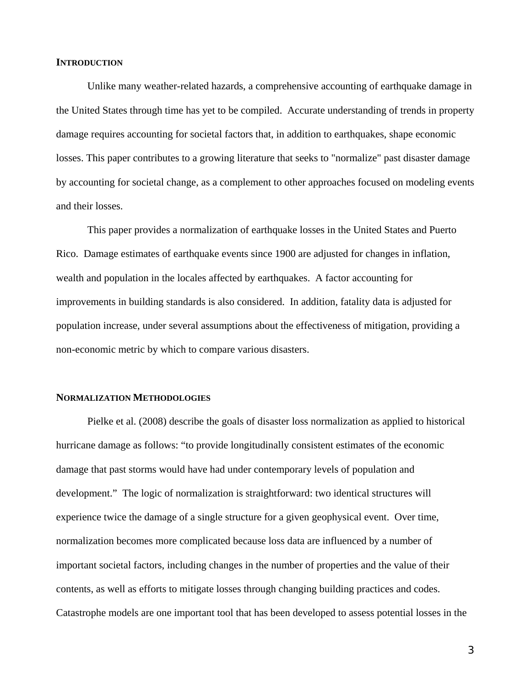### **INTRODUCTION**

 Unlike many weather-related hazards, a comprehensive accounting of earthquake damage in the United States through time has yet to be compiled. Accurate understanding of trends in property damage requires accounting for societal factors that, in addition to earthquakes, shape economic losses. This paper contributes to a growing literature that seeks to "normalize" past disaster damage by accounting for societal change, as a complement to other approaches focused on modeling events and their losses.

 This paper provides a normalization of earthquake losses in the United States and Puerto Rico. Damage estimates of earthquake events since 1900 are adjusted for changes in inflation, wealth and population in the locales affected by earthquakes. A factor accounting for improvements in building standards is also considered. In addition, fatality data is adjusted for population increase, under several assumptions about the effectiveness of mitigation, providing a non-economic metric by which to compare various disasters.

### **NORMALIZATION METHODOLOGIES**

 Pielke et al. (2008) describe the goals of disaster loss normalization as applied to historical hurricane damage as follows: "to provide longitudinally consistent estimates of the economic damage that past storms would have had under contemporary levels of population and development." The logic of normalization is straightforward: two identical structures will experience twice the damage of a single structure for a given geophysical event. Over time, normalization becomes more complicated because loss data are influenced by a number of important societal factors, including changes in the number of properties and the value of their contents, as well as efforts to mitigate losses through changing building practices and codes. Catastrophe models are one important tool that has been developed to assess potential losses in the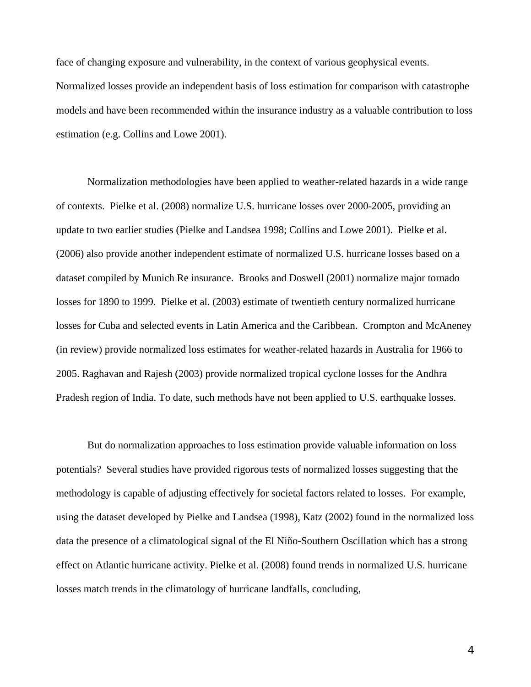face of changing exposure and vulnerability, in the context of various geophysical events. Normalized losses provide an independent basis of loss estimation for comparison with catastrophe models and have been recommended within the insurance industry as a valuable contribution to loss estimation (e.g. Collins and Lowe 2001).

 Normalization methodologies have been applied to weather-related hazards in a wide range of contexts. Pielke et al. (2008) normalize U.S. hurricane losses over 2000-2005, providing an update to two earlier studies (Pielke and Landsea 1998; Collins and Lowe 2001). Pielke et al. (2006) also provide another independent estimate of normalized U.S. hurricane losses based on a dataset compiled by Munich Re insurance. Brooks and Doswell (2001) normalize major tornado losses for 1890 to 1999. Pielke et al. (2003) estimate of twentieth century normalized hurricane losses for Cuba and selected events in Latin America and the Caribbean. Crompton and McAneney (in review) provide normalized loss estimates for weather-related hazards in Australia for 1966 to 2005. Raghavan and Rajesh (2003) provide normalized tropical cyclone losses for the Andhra Pradesh region of India. To date, such methods have not been applied to U.S. earthquake losses.

 But do normalization approaches to loss estimation provide valuable information on loss potentials? Several studies have provided rigorous tests of normalized losses suggesting that the methodology is capable of adjusting effectively for societal factors related to losses. For example, using the dataset developed by Pielke and Landsea (1998), Katz (2002) found in the normalized loss data the presence of a climatological signal of the El Niño-Southern Oscillation which has a strong effect on Atlantic hurricane activity. Pielke et al. (2008) found trends in normalized U.S. hurricane losses match trends in the climatology of hurricane landfalls, concluding,

4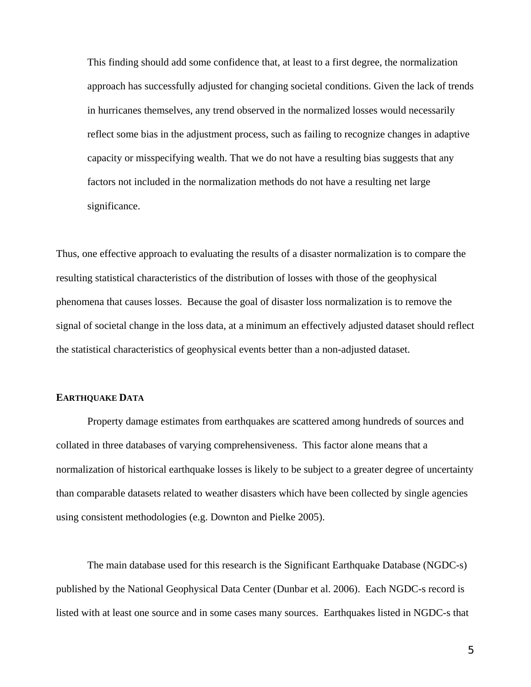This finding should add some confidence that, at least to a first degree, the normalization approach has successfully adjusted for changing societal conditions. Given the lack of trends in hurricanes themselves, any trend observed in the normalized losses would necessarily reflect some bias in the adjustment process, such as failing to recognize changes in adaptive capacity or misspecifying wealth. That we do not have a resulting bias suggests that any factors not included in the normalization methods do not have a resulting net large significance.

Thus, one effective approach to evaluating the results of a disaster normalization is to compare the resulting statistical characteristics of the distribution of losses with those of the geophysical phenomena that causes losses. Because the goal of disaster loss normalization is to remove the signal of societal change in the loss data, at a minimum an effectively adjusted dataset should reflect the statistical characteristics of geophysical events better than a non-adjusted dataset.

### **EARTHQUAKE DATA**

 Property damage estimates from earthquakes are scattered among hundreds of sources and collated in three databases of varying comprehensiveness. This factor alone means that a normalization of historical earthquake losses is likely to be subject to a greater degree of uncertainty than comparable datasets related to weather disasters which have been collected by single agencies using consistent methodologies (e.g. Downton and Pielke 2005).

 The main database used for this research is the Significant Earthquake Database (NGDC-s) published by the National Geophysical Data Center (Dunbar et al. 2006). Each NGDC-s record is listed with at least one source and in some cases many sources. Earthquakes listed in NGDC-s that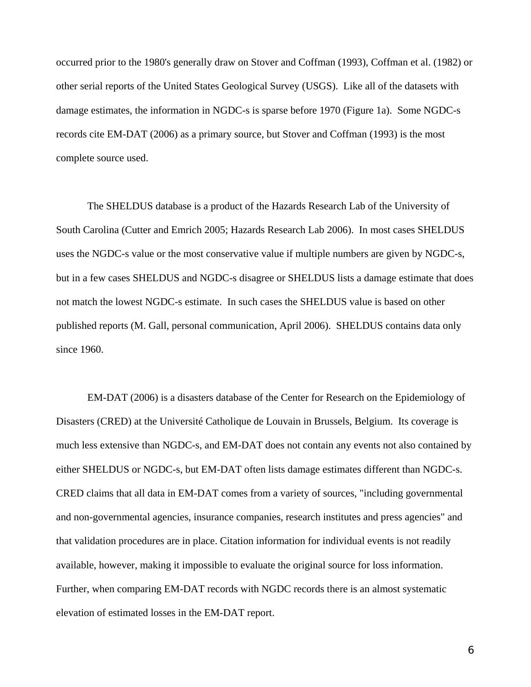occurred prior to the 1980's generally draw on Stover and Coffman (1993), Coffman et al. (1982) or other serial reports of the United States Geological Survey (USGS). Like all of the datasets with damage estimates, the information in NGDC-s is sparse before 1970 (Figure 1a). Some NGDC-s records cite EM-DAT (2006) as a primary source, but Stover and Coffman (1993) is the most complete source used.

 The SHELDUS database is a product of the Hazards Research Lab of the University of South Carolina (Cutter and Emrich 2005; Hazards Research Lab 2006). In most cases SHELDUS uses the NGDC-s value or the most conservative value if multiple numbers are given by NGDC-s, but in a few cases SHELDUS and NGDC-s disagree or SHELDUS lists a damage estimate that does not match the lowest NGDC-s estimate. In such cases the SHELDUS value is based on other published reports (M. Gall, personal communication, April 2006). SHELDUS contains data only since 1960.

 EM-DAT (2006) is a disasters database of the Center for Research on the Epidemiology of Disasters (CRED) at the Université Catholique de Louvain in Brussels, Belgium. Its coverage is much less extensive than NGDC-s, and EM-DAT does not contain any events not also contained by either SHELDUS or NGDC-s, but EM-DAT often lists damage estimates different than NGDC-s. CRED claims that all data in EM-DAT comes from a variety of sources, "including governmental and non-governmental agencies, insurance companies, research institutes and press agencies" and that validation procedures are in place. Citation information for individual events is not readily available, however, making it impossible to evaluate the original source for loss information. Further, when comparing EM-DAT records with NGDC records there is an almost systematic elevation of estimated losses in the EM-DAT report.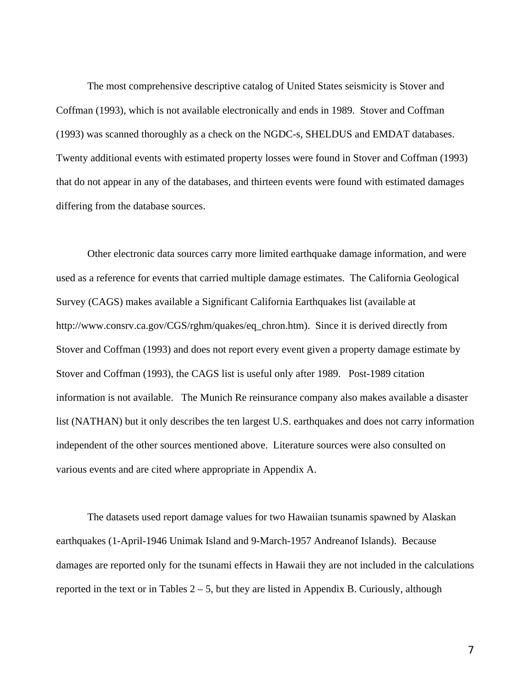The most comprehensive descriptive catalog of United States seismicity is Stover and Coffman (1993), which is not available electronically and ends in 1989. Stover and Coffman (1993) was scanned thoroughly as a check on the NGDC-s, SHELDUS and EMDAT databases. Twenty additional events with estimated property losses were found in Stover and Coffman (1993) that do not appear in any of the databases, and thirteen events were found with estimated damages differing from the database sources.

 Other electronic data sources carry more limited earthquake damage information, and were used as a reference for events that carried multiple damage estimates. The California Geological Survey (CAGS) makes available a Significant California Earthquakes list (available at http://www.consrv.ca.gov/CGS/rghm/quakes/eq\_chron.htm). Since it is derived directly from Stover and Coffman (1993) and does not report every event given a property damage estimate by Stover and Coffman (1993), the CAGS list is useful only after 1989. Post-1989 citation information is not available. The Munich Re reinsurance company also makes available a disaster list (NATHAN) but it only describes the ten largest U.S. earthquakes and does not carry information independent of the other sources mentioned above. Literature sources were also consulted on various events and are cited where appropriate in Appendix A.

 The datasets used report damage values for two Hawaiian tsunamis spawned by Alaskan earthquakes (1-April-1946 Unimak Island and 9-March-1957 Andreanof Islands). Because damages are reported only for the tsunami effects in Hawaii they are not included in the calculations reported in the text or in Tables  $2 - 5$ , but they are listed in Appendix B. Curiously, although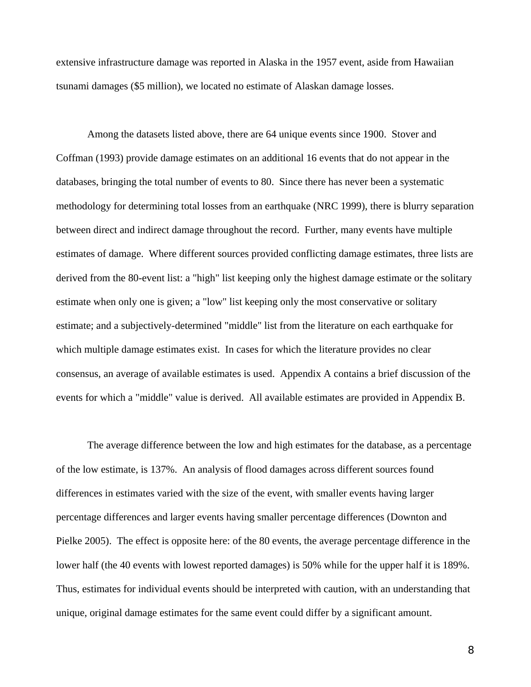extensive infrastructure damage was reported in Alaska in the 1957 event, aside from Hawaiian tsunami damages (\$5 million), we located no estimate of Alaskan damage losses.

 Among the datasets listed above, there are 64 unique events since 1900. Stover and Coffman (1993) provide damage estimates on an additional 16 events that do not appear in the databases, bringing the total number of events to 80. Since there has never been a systematic methodology for determining total losses from an earthquake (NRC 1999), there is blurry separation between direct and indirect damage throughout the record. Further, many events have multiple estimates of damage. Where different sources provided conflicting damage estimates, three lists are derived from the 80-event list: a "high" list keeping only the highest damage estimate or the solitary estimate when only one is given; a "low" list keeping only the most conservative or solitary estimate; and a subjectively-determined "middle" list from the literature on each earthquake for which multiple damage estimates exist. In cases for which the literature provides no clear consensus, an average of available estimates is used. Appendix A contains a brief discussion of the events for which a "middle" value is derived. All available estimates are provided in Appendix B.

 The average difference between the low and high estimates for the database, as a percentage of the low estimate, is 137%. An analysis of flood damages across different sources found differences in estimates varied with the size of the event, with smaller events having larger percentage differences and larger events having smaller percentage differences (Downton and Pielke 2005). The effect is opposite here: of the 80 events, the average percentage difference in the lower half (the 40 events with lowest reported damages) is 50% while for the upper half it is 189%. Thus, estimates for individual events should be interpreted with caution, with an understanding that unique, original damage estimates for the same event could differ by a significant amount.

8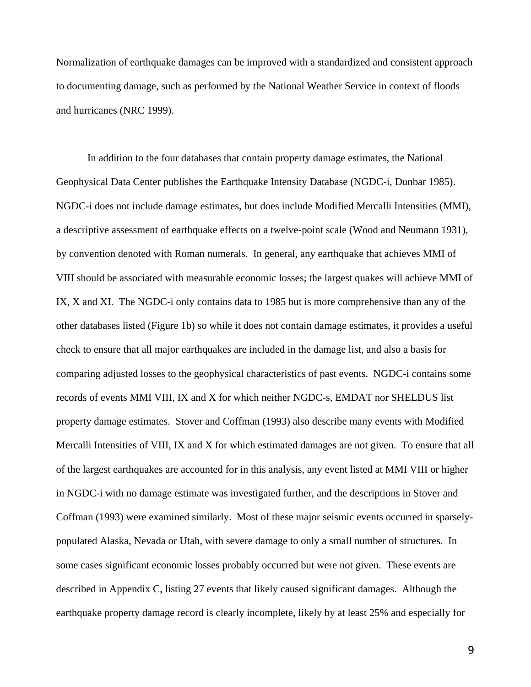Normalization of earthquake damages can be improved with a standardized and consistent approach to documenting damage, such as performed by the National Weather Service in context of floods and hurricanes (NRC 1999).

 In addition to the four databases that contain property damage estimates, the National Geophysical Data Center publishes the Earthquake Intensity Database (NGDC-i, Dunbar 1985). NGDC-i does not include damage estimates, but does include Modified Mercalli Intensities (MMI), a descriptive assessment of earthquake effects on a twelve-point scale (Wood and Neumann 1931), by convention denoted with Roman numerals. In general, any earthquake that achieves MMI of VIII should be associated with measurable economic losses; the largest quakes will achieve MMI of IX, X and XI. The NGDC-i only contains data to 1985 but is more comprehensive than any of the other databases listed (Figure 1b) so while it does not contain damage estimates, it provides a useful check to ensure that all major earthquakes are included in the damage list, and also a basis for comparing adjusted losses to the geophysical characteristics of past events. NGDC-i contains some records of events MMI VIII, IX and X for which neither NGDC-s, EMDAT nor SHELDUS list property damage estimates. Stover and Coffman (1993) also describe many events with Modified Mercalli Intensities of VIII, IX and X for which estimated damages are not given. To ensure that all of the largest earthquakes are accounted for in this analysis, any event listed at MMI VIII or higher in NGDC-i with no damage estimate was investigated further, and the descriptions in Stover and Coffman (1993) were examined similarly. Most of these major seismic events occurred in sparselypopulated Alaska, Nevada or Utah, with severe damage to only a small number of structures. In some cases significant economic losses probably occurred but were not given. These events are described in Appendix C, listing 27 events that likely caused significant damages. Although the earthquake property damage record is clearly incomplete, likely by at least 25% and especially for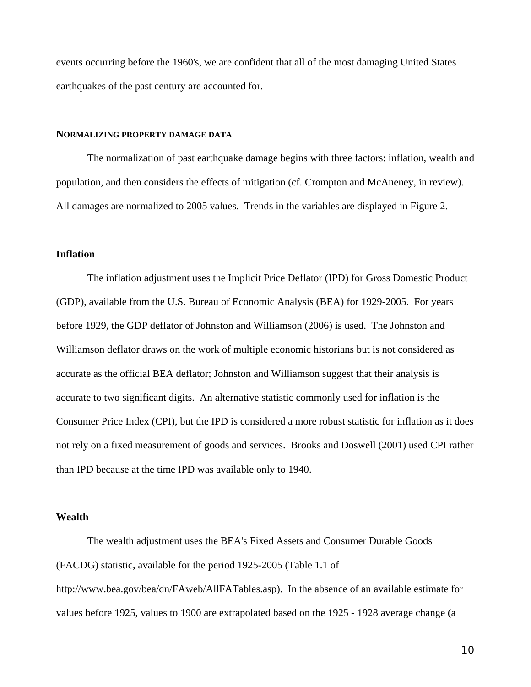events occurring before the 1960's, we are confident that all of the most damaging United States earthquakes of the past century are accounted for.

#### **NORMALIZING PROPERTY DAMAGE DATA**

 The normalization of past earthquake damage begins with three factors: inflation, wealth and population, and then considers the effects of mitigation (cf. Crompton and McAneney, in review). All damages are normalized to 2005 values. Trends in the variables are displayed in Figure 2.

#### **Inflation**

 The inflation adjustment uses the Implicit Price Deflator (IPD) for Gross Domestic Product (GDP), available from the U.S. Bureau of Economic Analysis (BEA) for 1929-2005. For years before 1929, the GDP deflator of Johnston and Williamson (2006) is used. The Johnston and Williamson deflator draws on the work of multiple economic historians but is not considered as accurate as the official BEA deflator; Johnston and Williamson suggest that their analysis is accurate to two significant digits. An alternative statistic commonly used for inflation is the Consumer Price Index (CPI), but the IPD is considered a more robust statistic for inflation as it does not rely on a fixed measurement of goods and services. Brooks and Doswell (2001) used CPI rather than IPD because at the time IPD was available only to 1940.

#### **Wealth**

 The wealth adjustment uses the BEA's Fixed Assets and Consumer Durable Goods (FACDG) statistic, available for the period 1925-2005 (Table 1.1 of http://www.bea.gov/bea/dn/FAweb/AllFATables.asp). In the absence of an available estimate for values before 1925, values to 1900 are extrapolated based on the 1925 - 1928 average change (a

10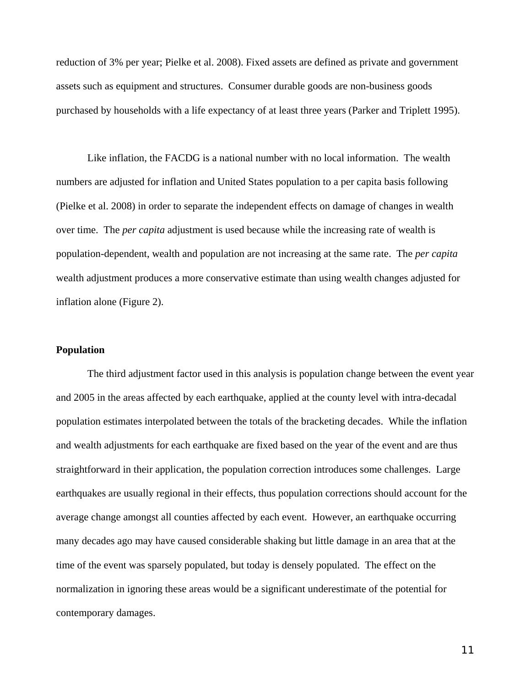reduction of 3% per year; Pielke et al. 2008). Fixed assets are defined as private and government assets such as equipment and structures. Consumer durable goods are non-business goods purchased by households with a life expectancy of at least three years (Parker and Triplett 1995).

 Like inflation, the FACDG is a national number with no local information. The wealth numbers are adjusted for inflation and United States population to a per capita basis following (Pielke et al. 2008) in order to separate the independent effects on damage of changes in wealth over time. The *per capita* adjustment is used because while the increasing rate of wealth is population-dependent, wealth and population are not increasing at the same rate. The *per capita* wealth adjustment produces a more conservative estimate than using wealth changes adjusted for inflation alone (Figure 2).

### **Population**

 The third adjustment factor used in this analysis is population change between the event year and 2005 in the areas affected by each earthquake, applied at the county level with intra-decadal population estimates interpolated between the totals of the bracketing decades. While the inflation and wealth adjustments for each earthquake are fixed based on the year of the event and are thus straightforward in their application, the population correction introduces some challenges. Large earthquakes are usually regional in their effects, thus population corrections should account for the average change amongst all counties affected by each event. However, an earthquake occurring many decades ago may have caused considerable shaking but little damage in an area that at the time of the event was sparsely populated, but today is densely populated. The effect on the normalization in ignoring these areas would be a significant underestimate of the potential for contemporary damages.

11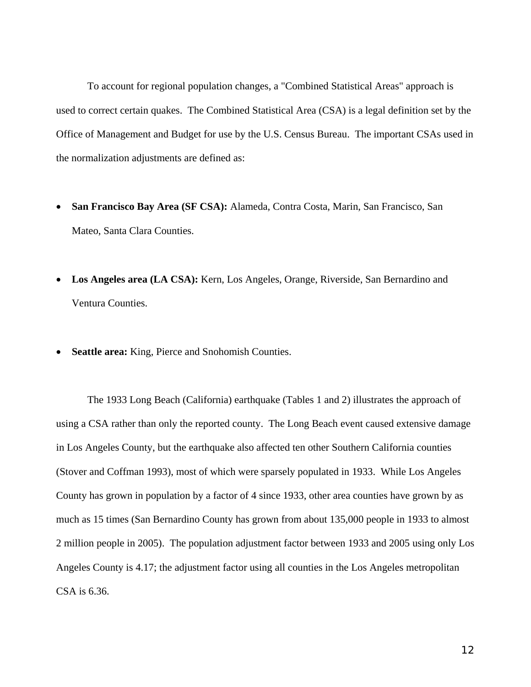To account for regional population changes, a "Combined Statistical Areas" approach is used to correct certain quakes. The Combined Statistical Area (CSA) is a legal definition set by the Office of Management and Budget for use by the U.S. Census Bureau. The important CSAs used in the normalization adjustments are defined as:

- **San Francisco Bay Area (SF CSA):** Alameda, Contra Costa, Marin, San Francisco, San Mateo, Santa Clara Counties.
- **Los Angeles area (LA CSA):** Kern, Los Angeles, Orange, Riverside, San Bernardino and Ventura Counties.
- **Seattle area:** King, Pierce and Snohomish Counties.

 The 1933 Long Beach (California) earthquake (Tables 1 and 2) illustrates the approach of using a CSA rather than only the reported county. The Long Beach event caused extensive damage in Los Angeles County, but the earthquake also affected ten other Southern California counties (Stover and Coffman 1993), most of which were sparsely populated in 1933. While Los Angeles County has grown in population by a factor of 4 since 1933, other area counties have grown by as much as 15 times (San Bernardino County has grown from about 135,000 people in 1933 to almost 2 million people in 2005). The population adjustment factor between 1933 and 2005 using only Los Angeles County is 4.17; the adjustment factor using all counties in the Los Angeles metropolitan CSA is 6.36.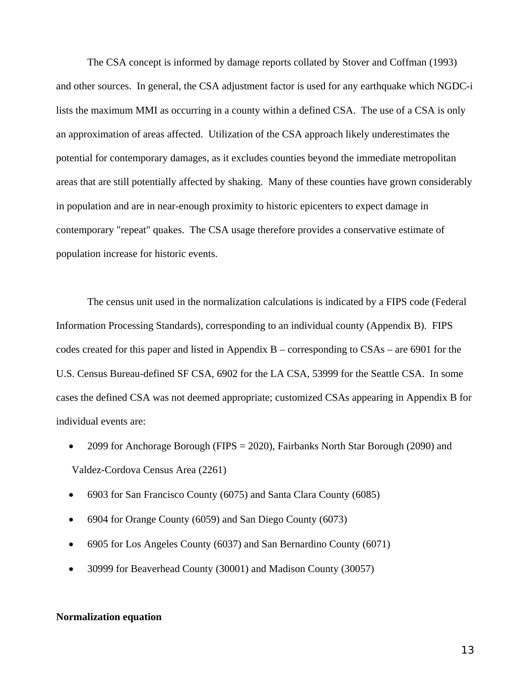The CSA concept is informed by damage reports collated by Stover and Coffman (1993) and other sources. In general, the CSA adjustment factor is used for any earthquake which NGDC-i lists the maximum MMI as occurring in a county within a defined CSA. The use of a CSA is only an approximation of areas affected. Utilization of the CSA approach likely underestimates the potential for contemporary damages, as it excludes counties beyond the immediate metropolitan areas that are still potentially affected by shaking. Many of these counties have grown considerably in population and are in near-enough proximity to historic epicenters to expect damage in contemporary "repeat" quakes. The CSA usage therefore provides a conservative estimate of population increase for historic events.

 The census unit used in the normalization calculations is indicated by a FIPS code (Federal Information Processing Standards), corresponding to an individual county (Appendix B). FIPS codes created for this paper and listed in Appendix B – corresponding to CSAs – are 6901 for the U.S. Census Bureau-defined SF CSA, 6902 for the LA CSA, 53999 for the Seattle CSA. In some cases the defined CSA was not deemed appropriate; customized CSAs appearing in Appendix B for individual events are:

- 2099 for Anchorage Borough (FIPS = 2020), Fairbanks North Star Borough (2090) and Valdez-Cordova Census Area (2261)
- 6903 for San Francisco County (6075) and Santa Clara County (6085)
- 6904 for Orange County (6059) and San Diego County (6073)
- 6905 for Los Angeles County (6037) and San Bernardino County (6071)
- 30999 for Beaverhead County (30001) and Madison County (30057)

### **Normalization equation**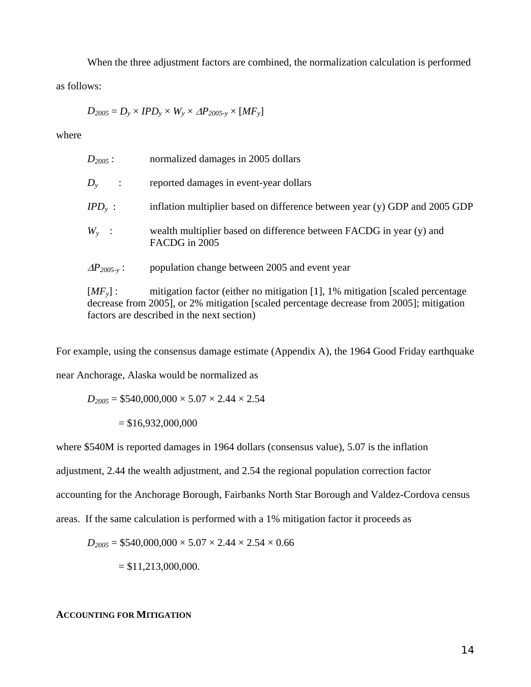When the three adjustment factors are combined, the normalization calculation is performed as follows:

$$
D_{2005} = D_y \times IPD_y \times W_y \times \Delta P_{2005-y} \times [MF_y]
$$

where

| $D_{2005}$ :                    | normalized damages in 2005 dollars                                                   |
|---------------------------------|--------------------------------------------------------------------------------------|
| $D_{\rm v}$<br>$\sim$ 1         | reported damages in event-year dollars                                               |
| IPD $_{\rm v}$ :                | inflation multiplier based on difference between year (y) GDP and 2005 GDP           |
| $W_{v}$ :                       | wealth multiplier based on difference between FACDG in year (y) and<br>FACDG in 2005 |
| $\varDelta P_{2005\text{-}v}$ : | population change between 2005 and event year                                        |

[*MF<sub>y</sub>*] : mitigation factor (either no mitigation [1], 1% mitigation [scaled percentage decrease from 2005], or 2% mitigation [scaled percentage decrease from 2005]; mitigation factors are described in the next section)

For example, using the consensus damage estimate (Appendix A), the 1964 Good Friday earthquake

near Anchorage, Alaska would be normalized as

 $D_{2005}$  = \$540,000,000  $\times$  5.07  $\times$  2.44  $\times$  2.54  $= $16,932,000,000$ 

where \$540M is reported damages in 1964 dollars (consensus value), 5.07 is the inflation

adjustment, 2.44 the wealth adjustment, and 2.54 the regional population correction factor

accounting for the Anchorage Borough, Fairbanks North Star Borough and Valdez-Cordova census

areas. If the same calculation is performed with a 1% mitigation factor it proceeds as

$$
D_{2005} = $540,000,000 \times 5.07 \times 2.44 \times 2.54 \times 0.66
$$

 $= $11,213,000,000.$ 

**ACCOUNTING FOR MITIGATION**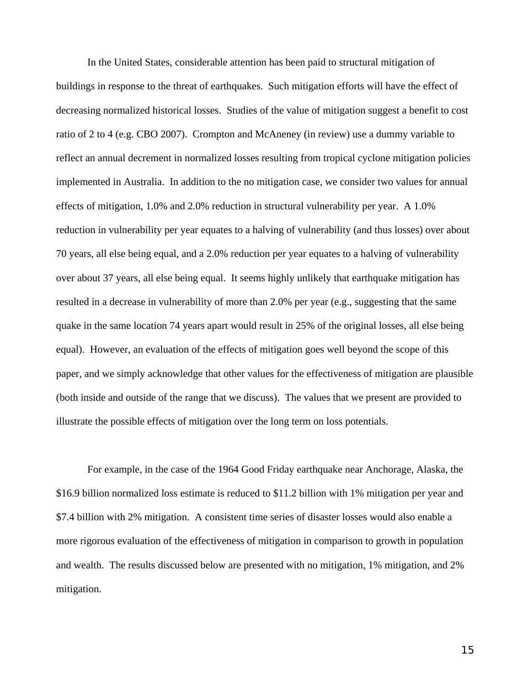In the United States, considerable attention has been paid to structural mitigation of buildings in response to the threat of earthquakes. Such mitigation efforts will have the effect of decreasing normalized historical losses. Studies of the value of mitigation suggest a benefit to cost ratio of 2 to 4 (e.g. CBO 2007). Crompton and McAneney (in review) use a dummy variable to reflect an annual decrement in normalized losses resulting from tropical cyclone mitigation policies implemented in Australia. In addition to the no mitigation case, we consider two values for annual effects of mitigation, 1.0% and 2.0% reduction in structural vulnerability per year. A 1.0% reduction in vulnerability per year equates to a halving of vulnerability (and thus losses) over about 70 years, all else being equal, and a 2.0% reduction per year equates to a halving of vulnerability over about 37 years, all else being equal. It seems highly unlikely that earthquake mitigation has resulted in a decrease in vulnerability of more than 2.0% per year (e.g., suggesting that the same quake in the same location 74 years apart would result in 25% of the original losses, all else being equal). However, an evaluation of the effects of mitigation goes well beyond the scope of this paper, and we simply acknowledge that other values for the effectiveness of mitigation are plausible (both inside and outside of the range that we discuss). The values that we present are provided to illustrate the possible effects of mitigation over the long term on loss potentials.

 For example, in the case of the 1964 Good Friday earthquake near Anchorage, Alaska, the \$16.9 billion normalized loss estimate is reduced to \$11.2 billion with 1% mitigation per year and \$7.4 billion with 2% mitigation. A consistent time series of disaster losses would also enable a more rigorous evaluation of the effectiveness of mitigation in comparison to growth in population and wealth. The results discussed below are presented with no mitigation, 1% mitigation, and 2% mitigation.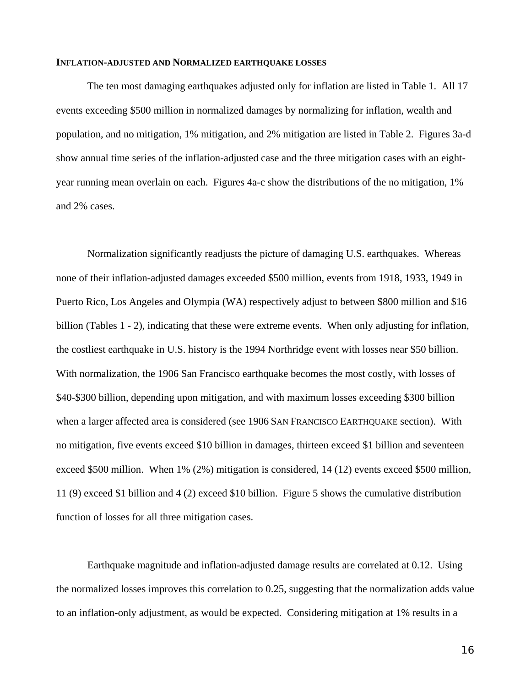#### **INFLATION-ADJUSTED AND NORMALIZED EARTHQUAKE LOSSES**

 The ten most damaging earthquakes adjusted only for inflation are listed in Table 1. All 17 events exceeding \$500 million in normalized damages by normalizing for inflation, wealth and population, and no mitigation, 1% mitigation, and 2% mitigation are listed in Table 2. Figures 3a-d show annual time series of the inflation-adjusted case and the three mitigation cases with an eightyear running mean overlain on each. Figures 4a-c show the distributions of the no mitigation, 1% and 2% cases.

 Normalization significantly readjusts the picture of damaging U.S. earthquakes. Whereas none of their inflation-adjusted damages exceeded \$500 million, events from 1918, 1933, 1949 in Puerto Rico, Los Angeles and Olympia (WA) respectively adjust to between \$800 million and \$16 billion (Tables 1 - 2), indicating that these were extreme events. When only adjusting for inflation, the costliest earthquake in U.S. history is the 1994 Northridge event with losses near \$50 billion. With normalization, the 1906 San Francisco earthquake becomes the most costly, with losses of \$40-\$300 billion, depending upon mitigation, and with maximum losses exceeding \$300 billion when a larger affected area is considered (see 1906 SAN FRANCISCO EARTHQUAKE section). With no mitigation, five events exceed \$10 billion in damages, thirteen exceed \$1 billion and seventeen exceed \$500 million. When 1% (2%) mitigation is considered, 14 (12) events exceed \$500 million, 11 (9) exceed \$1 billion and 4 (2) exceed \$10 billion. Figure 5 shows the cumulative distribution function of losses for all three mitigation cases.

 Earthquake magnitude and inflation-adjusted damage results are correlated at 0.12. Using the normalized losses improves this correlation to 0.25, suggesting that the normalization adds value to an inflation-only adjustment, as would be expected. Considering mitigation at 1% results in a

16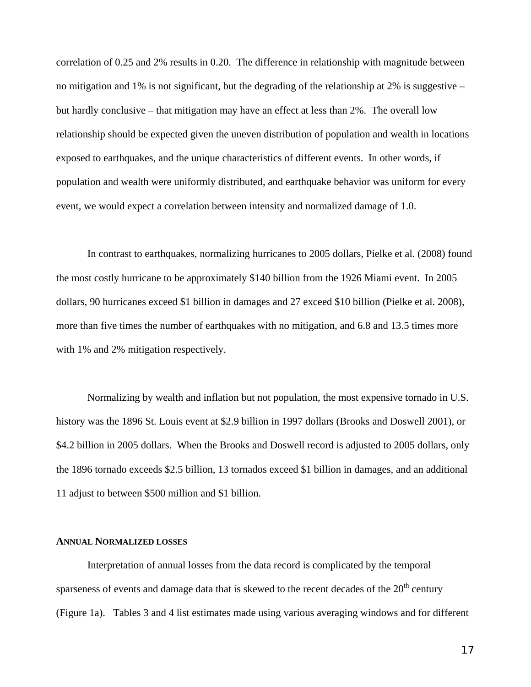correlation of 0.25 and 2% results in 0.20. The difference in relationship with magnitude between no mitigation and 1% is not significant, but the degrading of the relationship at 2% is suggestive – but hardly conclusive – that mitigation may have an effect at less than 2%. The overall low relationship should be expected given the uneven distribution of population and wealth in locations exposed to earthquakes, and the unique characteristics of different events. In other words, if population and wealth were uniformly distributed, and earthquake behavior was uniform for every event, we would expect a correlation between intensity and normalized damage of 1.0.

 In contrast to earthquakes, normalizing hurricanes to 2005 dollars, Pielke et al. (2008) found the most costly hurricane to be approximately \$140 billion from the 1926 Miami event. In 2005 dollars, 90 hurricanes exceed \$1 billion in damages and 27 exceed \$10 billion (Pielke et al. 2008), more than five times the number of earthquakes with no mitigation, and 6.8 and 13.5 times more with 1% and 2% mitigation respectively.

 Normalizing by wealth and inflation but not population, the most expensive tornado in U.S. history was the 1896 St. Louis event at \$2.9 billion in 1997 dollars (Brooks and Doswell 2001), or \$4.2 billion in 2005 dollars. When the Brooks and Doswell record is adjusted to 2005 dollars, only the 1896 tornado exceeds \$2.5 billion, 13 tornados exceed \$1 billion in damages, and an additional 11 adjust to between \$500 million and \$1 billion.

#### **ANNUAL NORMALIZED LOSSES**

 Interpretation of annual losses from the data record is complicated by the temporal sparseness of events and damage data that is skewed to the recent decades of the  $20<sup>th</sup>$  century (Figure 1a). Tables 3 and 4 list estimates made using various averaging windows and for different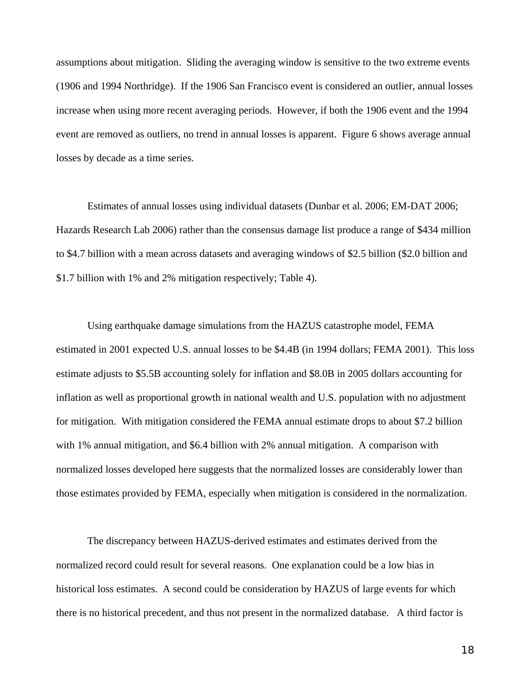assumptions about mitigation. Sliding the averaging window is sensitive to the two extreme events (1906 and 1994 Northridge). If the 1906 San Francisco event is considered an outlier, annual losses increase when using more recent averaging periods. However, if both the 1906 event and the 1994 event are removed as outliers, no trend in annual losses is apparent. Figure 6 shows average annual losses by decade as a time series.

 Estimates of annual losses using individual datasets (Dunbar et al. 2006; EM-DAT 2006; Hazards Research Lab 2006) rather than the consensus damage list produce a range of \$434 million to \$4.7 billion with a mean across datasets and averaging windows of \$2.5 billion (\$2.0 billion and \$1.7 billion with 1% and 2% mitigation respectively; Table 4).

 Using earthquake damage simulations from the HAZUS catastrophe model, FEMA estimated in 2001 expected U.S. annual losses to be \$4.4B (in 1994 dollars; FEMA 2001). This loss estimate adjusts to \$5.5B accounting solely for inflation and \$8.0B in 2005 dollars accounting for inflation as well as proportional growth in national wealth and U.S. population with no adjustment for mitigation. With mitigation considered the FEMA annual estimate drops to about \$7.2 billion with 1% annual mitigation, and \$6.4 billion with 2% annual mitigation. A comparison with normalized losses developed here suggests that the normalized losses are considerably lower than those estimates provided by FEMA, especially when mitigation is considered in the normalization.

 The discrepancy between HAZUS-derived estimates and estimates derived from the normalized record could result for several reasons. One explanation could be a low bias in historical loss estimates. A second could be consideration by HAZUS of large events for which there is no historical precedent, and thus not present in the normalized database. A third factor is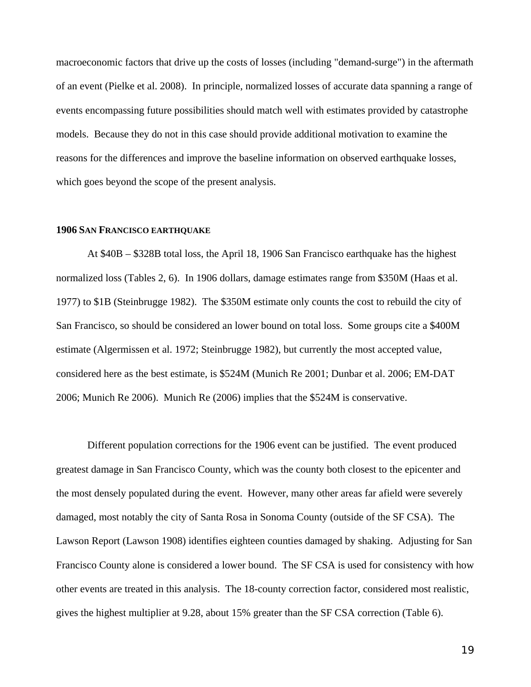macroeconomic factors that drive up the costs of losses (including "demand-surge") in the aftermath of an event (Pielke et al. 2008). In principle, normalized losses of accurate data spanning a range of events encompassing future possibilities should match well with estimates provided by catastrophe models. Because they do not in this case should provide additional motivation to examine the reasons for the differences and improve the baseline information on observed earthquake losses, which goes beyond the scope of the present analysis.

#### **1906 SAN FRANCISCO EARTHQUAKE**

 At \$40B – \$328B total loss, the April 18, 1906 San Francisco earthquake has the highest normalized loss (Tables 2, 6). In 1906 dollars, damage estimates range from \$350M (Haas et al. 1977) to \$1B (Steinbrugge 1982). The \$350M estimate only counts the cost to rebuild the city of San Francisco, so should be considered an lower bound on total loss. Some groups cite a \$400M estimate (Algermissen et al. 1972; Steinbrugge 1982), but currently the most accepted value, considered here as the best estimate, is \$524M (Munich Re 2001; Dunbar et al. 2006; EM-DAT 2006; Munich Re 2006). Munich Re (2006) implies that the \$524M is conservative.

 Different population corrections for the 1906 event can be justified. The event produced greatest damage in San Francisco County, which was the county both closest to the epicenter and the most densely populated during the event. However, many other areas far afield were severely damaged, most notably the city of Santa Rosa in Sonoma County (outside of the SF CSA). The Lawson Report (Lawson 1908) identifies eighteen counties damaged by shaking. Adjusting for San Francisco County alone is considered a lower bound. The SF CSA is used for consistency with how other events are treated in this analysis. The 18-county correction factor, considered most realistic, gives the highest multiplier at 9.28, about 15% greater than the SF CSA correction (Table 6).

19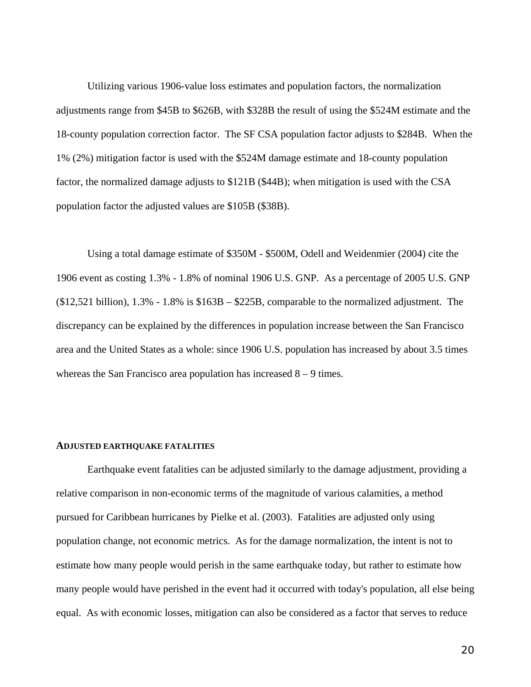Utilizing various 1906-value loss estimates and population factors, the normalization adjustments range from \$45B to \$626B, with \$328B the result of using the \$524M estimate and the 18-county population correction factor. The SF CSA population factor adjusts to \$284B. When the 1% (2%) mitigation factor is used with the \$524M damage estimate and 18-county population factor, the normalized damage adjusts to \$121B (\$44B); when mitigation is used with the CSA population factor the adjusted values are \$105B (\$38B).

 Using a total damage estimate of \$350M - \$500M, Odell and Weidenmier (2004) cite the 1906 event as costing 1.3% - 1.8% of nominal 1906 U.S. GNP. As a percentage of 2005 U.S. GNP (\$12,521 billion), 1.3% - 1.8% is \$163B – \$225B, comparable to the normalized adjustment. The discrepancy can be explained by the differences in population increase between the San Francisco area and the United States as a whole: since 1906 U.S. population has increased by about 3.5 times whereas the San Francisco area population has increased  $8 - 9$  times.

#### **ADJUSTED EARTHQUAKE FATALITIES**

 Earthquake event fatalities can be adjusted similarly to the damage adjustment, providing a relative comparison in non-economic terms of the magnitude of various calamities, a method pursued for Caribbean hurricanes by Pielke et al. (2003). Fatalities are adjusted only using population change, not economic metrics. As for the damage normalization, the intent is not to estimate how many people would perish in the same earthquake today, but rather to estimate how many people would have perished in the event had it occurred with today's population, all else being equal. As with economic losses, mitigation can also be considered as a factor that serves to reduce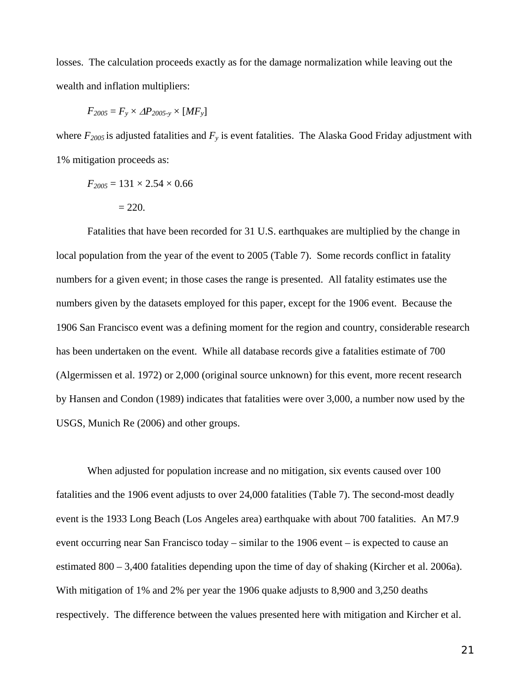losses. The calculation proceeds exactly as for the damage normalization while leaving out the wealth and inflation multipliers:

$$
F_{2005} = F_y \times \Delta P_{2005-y} \times [MF_y]
$$

where  $F_{2005}$  is adjusted fatalities and  $F_y$  is event fatalities. The Alaska Good Friday adjustment with 1% mitigation proceeds as:

$$
F_{2005} = 131 \times 2.54 \times 0.66
$$

$$
= 220.
$$

 Fatalities that have been recorded for 31 U.S. earthquakes are multiplied by the change in local population from the year of the event to 2005 (Table 7). Some records conflict in fatality numbers for a given event; in those cases the range is presented. All fatality estimates use the numbers given by the datasets employed for this paper, except for the 1906 event. Because the 1906 San Francisco event was a defining moment for the region and country, considerable research has been undertaken on the event. While all database records give a fatalities estimate of 700 (Algermissen et al. 1972) or 2,000 (original source unknown) for this event, more recent research by Hansen and Condon (1989) indicates that fatalities were over 3,000, a number now used by the USGS, Munich Re (2006) and other groups.

 When adjusted for population increase and no mitigation, six events caused over 100 fatalities and the 1906 event adjusts to over 24,000 fatalities (Table 7). The second-most deadly event is the 1933 Long Beach (Los Angeles area) earthquake with about 700 fatalities. An M7.9 event occurring near San Francisco today – similar to the 1906 event – is expected to cause an estimated 800 – 3,400 fatalities depending upon the time of day of shaking (Kircher et al. 2006a). With mitigation of 1% and 2% per year the 1906 quake adjusts to 8,900 and 3,250 deaths respectively. The difference between the values presented here with mitigation and Kircher et al.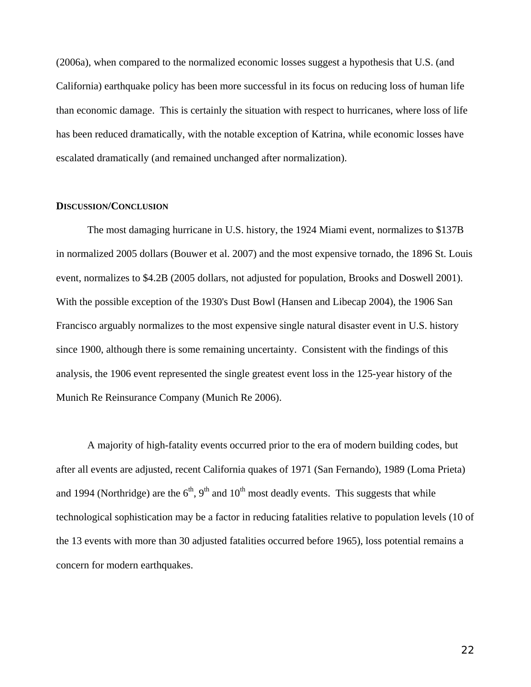(2006a), when compared to the normalized economic losses suggest a hypothesis that U.S. (and California) earthquake policy has been more successful in its focus on reducing loss of human life than economic damage. This is certainly the situation with respect to hurricanes, where loss of life has been reduced dramatically, with the notable exception of Katrina, while economic losses have escalated dramatically (and remained unchanged after normalization).

#### **DISCUSSION/CONCLUSION**

 The most damaging hurricane in U.S. history, the 1924 Miami event, normalizes to \$137B in normalized 2005 dollars (Bouwer et al. 2007) and the most expensive tornado, the 1896 St. Louis event, normalizes to \$4.2B (2005 dollars, not adjusted for population, Brooks and Doswell 2001). With the possible exception of the 1930's Dust Bowl (Hansen and Libecap 2004), the 1906 San Francisco arguably normalizes to the most expensive single natural disaster event in U.S. history since 1900, although there is some remaining uncertainty. Consistent with the findings of this analysis, the 1906 event represented the single greatest event loss in the 125-year history of the Munich Re Reinsurance Company (Munich Re 2006).

 A majority of high-fatality events occurred prior to the era of modern building codes, but after all events are adjusted, recent California quakes of 1971 (San Fernando), 1989 (Loma Prieta) and 1994 (Northridge) are the  $6<sup>th</sup>$ , 9<sup>th</sup> and 10<sup>th</sup> most deadly events. This suggests that while technological sophistication may be a factor in reducing fatalities relative to population levels (10 of the 13 events with more than 30 adjusted fatalities occurred before 1965), loss potential remains a concern for modern earthquakes.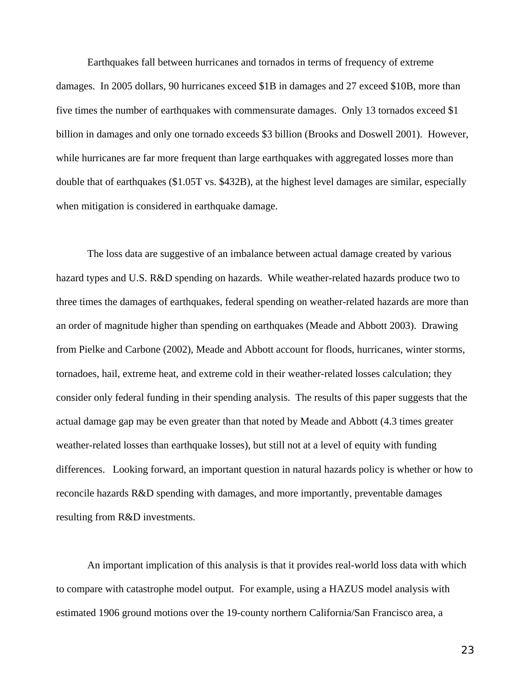Earthquakes fall between hurricanes and tornados in terms of frequency of extreme damages. In 2005 dollars, 90 hurricanes exceed \$1B in damages and 27 exceed \$10B, more than five times the number of earthquakes with commensurate damages. Only 13 tornados exceed \$1 billion in damages and only one tornado exceeds \$3 billion (Brooks and Doswell 2001). However, while hurricanes are far more frequent than large earthquakes with aggregated losses more than double that of earthquakes (\$1.05T vs. \$432B), at the highest level damages are similar, especially when mitigation is considered in earthquake damage.

 The loss data are suggestive of an imbalance between actual damage created by various hazard types and U.S. R&D spending on hazards. While weather-related hazards produce two to three times the damages of earthquakes, federal spending on weather-related hazards are more than an order of magnitude higher than spending on earthquakes (Meade and Abbott 2003). Drawing from Pielke and Carbone (2002), Meade and Abbott account for floods, hurricanes, winter storms, tornadoes, hail, extreme heat, and extreme cold in their weather-related losses calculation; they consider only federal funding in their spending analysis. The results of this paper suggests that the actual damage gap may be even greater than that noted by Meade and Abbott (4.3 times greater weather-related losses than earthquake losses), but still not at a level of equity with funding differences. Looking forward, an important question in natural hazards policy is whether or how to reconcile hazards R&D spending with damages, and more importantly, preventable damages resulting from R&D investments.

 An important implication of this analysis is that it provides real-world loss data with which to compare with catastrophe model output. For example, using a HAZUS model analysis with estimated 1906 ground motions over the 19-county northern California/San Francisco area, a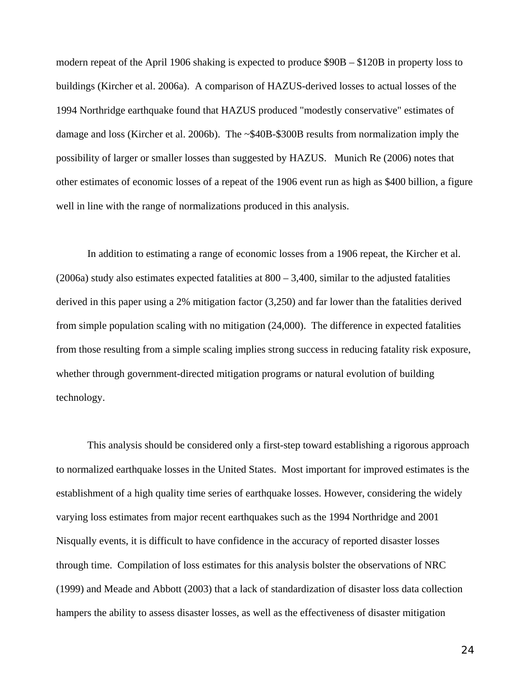modern repeat of the April 1906 shaking is expected to produce \$90B – \$120B in property loss to buildings (Kircher et al. 2006a). A comparison of HAZUS-derived losses to actual losses of the 1994 Northridge earthquake found that HAZUS produced "modestly conservative" estimates of damage and loss (Kircher et al. 2006b). The ~\$40B-\$300B results from normalization imply the possibility of larger or smaller losses than suggested by HAZUS. Munich Re (2006) notes that other estimates of economic losses of a repeat of the 1906 event run as high as \$400 billion, a figure well in line with the range of normalizations produced in this analysis.

 In addition to estimating a range of economic losses from a 1906 repeat, the Kircher et al. (2006a) study also estimates expected fatalities at  $800 - 3,400$ , similar to the adjusted fatalities derived in this paper using a 2% mitigation factor (3,250) and far lower than the fatalities derived from simple population scaling with no mitigation (24,000). The difference in expected fatalities from those resulting from a simple scaling implies strong success in reducing fatality risk exposure, whether through government-directed mitigation programs or natural evolution of building technology.

 This analysis should be considered only a first-step toward establishing a rigorous approach to normalized earthquake losses in the United States. Most important for improved estimates is the establishment of a high quality time series of earthquake losses. However, considering the widely varying loss estimates from major recent earthquakes such as the 1994 Northridge and 2001 Nisqually events, it is difficult to have confidence in the accuracy of reported disaster losses through time. Compilation of loss estimates for this analysis bolster the observations of NRC (1999) and Meade and Abbott (2003) that a lack of standardization of disaster loss data collection hampers the ability to assess disaster losses, as well as the effectiveness of disaster mitigation

24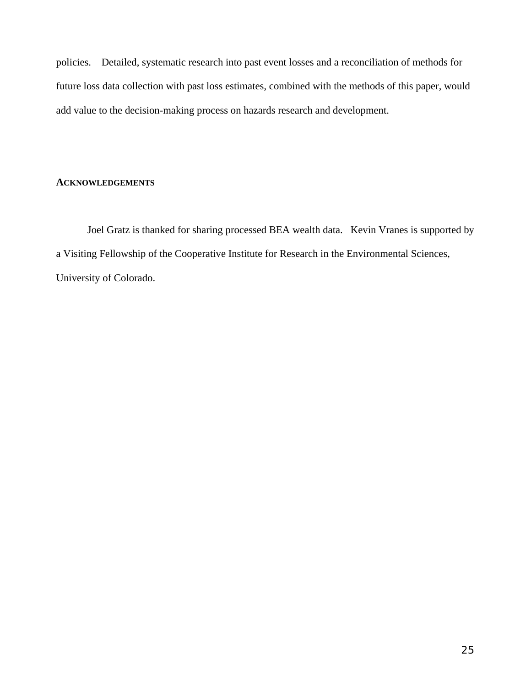policies. Detailed, systematic research into past event losses and a reconciliation of methods for future loss data collection with past loss estimates, combined with the methods of this paper, would add value to the decision-making process on hazards research and development.

### **ACKNOWLEDGEMENTS**

 Joel Gratz is thanked for sharing processed BEA wealth data. Kevin Vranes is supported by a Visiting Fellowship of the Cooperative Institute for Research in the Environmental Sciences, University of Colorado.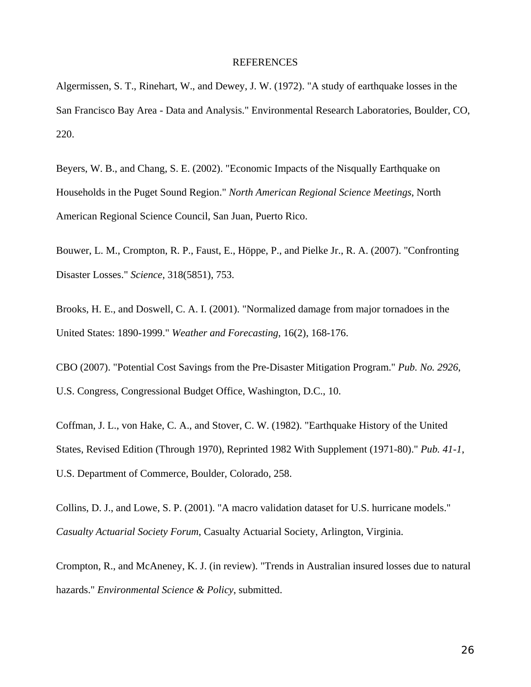### **REFERENCES**

Algermissen, S. T., Rinehart, W., and Dewey, J. W. (1972). "A study of earthquake losses in the San Francisco Bay Area - Data and Analysis." Environmental Research Laboratories, Boulder, CO, 220.

Beyers, W. B., and Chang, S. E. (2002). "Economic Impacts of the Nisqually Earthquake on Households in the Puget Sound Region." *North American Regional Science Meetings*, North American Regional Science Council, San Juan, Puerto Rico.

Bouwer, L. M., Crompton, R. P., Faust, E., Höppe, P., and Pielke Jr., R. A. (2007). "Confronting Disaster Losses." *Science*, 318(5851), 753.

Brooks, H. E., and Doswell, C. A. I. (2001). "Normalized damage from major tornadoes in the United States: 1890-1999." *Weather and Forecasting*, 16(2), 168-176.

CBO (2007). "Potential Cost Savings from the Pre-Disaster Mitigation Program." *Pub. No. 2926*, U.S. Congress, Congressional Budget Office, Washington, D.C., 10.

Coffman, J. L., von Hake, C. A., and Stover, C. W. (1982). "Earthquake History of the United States, Revised Edition (Through 1970), Reprinted 1982 With Supplement (1971-80)." *Pub. 41-1*, U.S. Department of Commerce, Boulder, Colorado, 258.

Collins, D. J., and Lowe, S. P. (2001). "A macro validation dataset for U.S. hurricane models." *Casualty Actuarial Society Forum*, Casualty Actuarial Society, Arlington, Virginia.

Crompton, R., and McAneney, K. J. (in review). "Trends in Australian insured losses due to natural hazards." *Environmental Science & Policy*, submitted.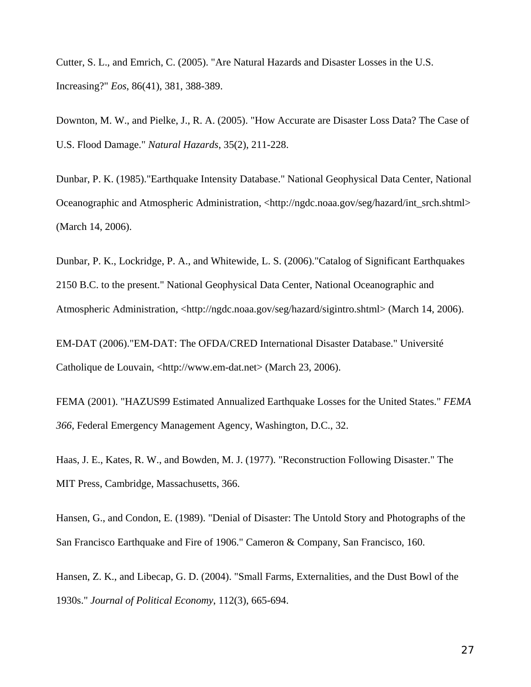Cutter, S. L., and Emrich, C. (2005). "Are Natural Hazards and Disaster Losses in the U.S. Increasing?" *Eos*, 86(41), 381, 388-389.

Downton, M. W., and Pielke, J., R. A. (2005). "How Accurate are Disaster Loss Data? The Case of U.S. Flood Damage." *Natural Hazards*, 35(2), 211-228.

Dunbar, P. K. (1985)."Earthquake Intensity Database." National Geophysical Data Center, National Oceanographic and Atmospheric Administration, <http://ngdc.noaa.gov/seg/hazard/int\_srch.shtml> (March 14, 2006).

Dunbar, P. K., Lockridge, P. A., and Whitewide, L. S. (2006)."Catalog of Significant Earthquakes 2150 B.C. to the present." National Geophysical Data Center, National Oceanographic and Atmospheric Administration, <http://ngdc.noaa.gov/seg/hazard/sigintro.shtml> (March 14, 2006).

EM-DAT (2006)."EM-DAT: The OFDA/CRED International Disaster Database." Université Catholique de Louvain, <http://www.em-dat.net> (March 23, 2006).

FEMA (2001). "HAZUS99 Estimated Annualized Earthquake Losses for the United States." *FEMA 366*, Federal Emergency Management Agency, Washington, D.C., 32.

Haas, J. E., Kates, R. W., and Bowden, M. J. (1977). "Reconstruction Following Disaster." The MIT Press, Cambridge, Massachusetts, 366.

Hansen, G., and Condon, E. (1989). "Denial of Disaster: The Untold Story and Photographs of the San Francisco Earthquake and Fire of 1906." Cameron & Company, San Francisco, 160.

Hansen, Z. K., and Libecap, G. D. (2004). "Small Farms, Externalities, and the Dust Bowl of the 1930s." *Journal of Political Economy*, 112(3), 665-694.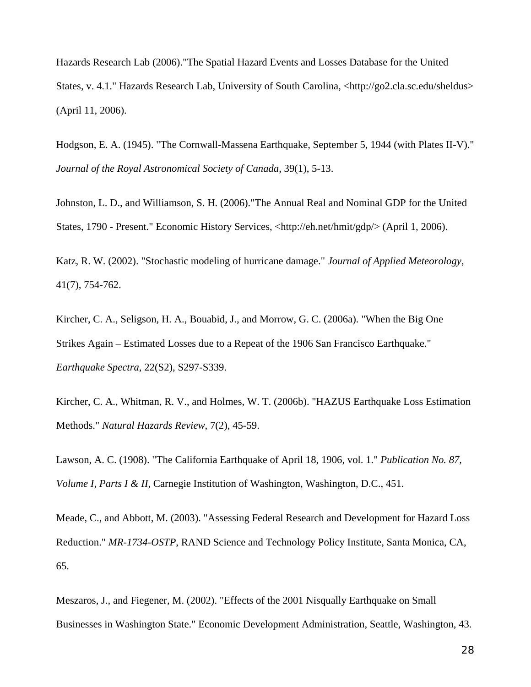Hazards Research Lab (2006)."The Spatial Hazard Events and Losses Database for the United States, v. 4.1." Hazards Research Lab, University of South Carolina, <http://go2.cla.sc.edu/sheldus> (April 11, 2006).

Hodgson, E. A. (1945). "The Cornwall-Massena Earthquake, September 5, 1944 (with Plates II-V)." *Journal of the Royal Astronomical Society of Canada*, 39(1), 5-13.

Johnston, L. D., and Williamson, S. H. (2006)."The Annual Real and Nominal GDP for the United States, 1790 - Present." Economic History Services, <http://eh.net/hmit/gdp/> (April 1, 2006).

Katz, R. W. (2002). "Stochastic modeling of hurricane damage." *Journal of Applied Meteorology*, 41(7), 754-762.

Kircher, C. A., Seligson, H. A., Bouabid, J., and Morrow, G. C. (2006a). "When the Big One Strikes Again – Estimated Losses due to a Repeat of the 1906 San Francisco Earthquake." *Earthquake Spectra*, 22(S2), S297-S339.

Kircher, C. A., Whitman, R. V., and Holmes, W. T. (2006b). "HAZUS Earthquake Loss Estimation Methods." *Natural Hazards Review*, 7(2), 45-59.

Lawson, A. C. (1908). "The California Earthquake of April 18, 1906, vol. 1." *Publication No. 87, Volume I, Parts I & II*, Carnegie Institution of Washington, Washington, D.C., 451.

Meade, C., and Abbott, M. (2003). "Assessing Federal Research and Development for Hazard Loss Reduction." *MR-1734-OSTP*, RAND Science and Technology Policy Institute, Santa Monica, CA, 65.

Meszaros, J., and Fiegener, M. (2002). "Effects of the 2001 Nisqually Earthquake on Small Businesses in Washington State." Economic Development Administration, Seattle, Washington, 43.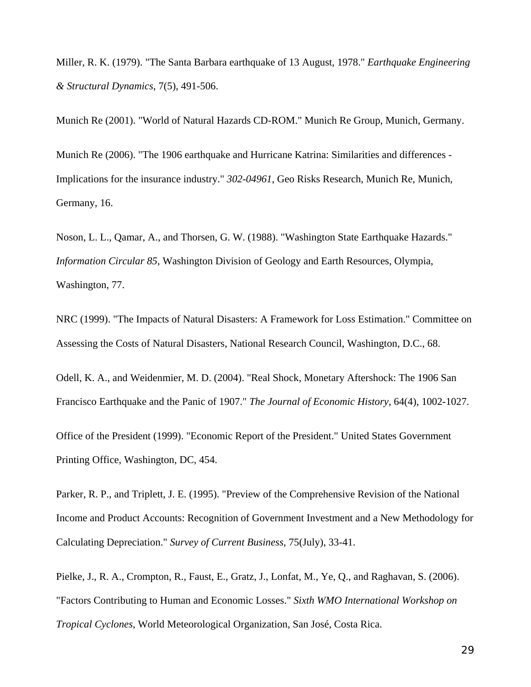Miller, R. K. (1979). "The Santa Barbara earthquake of 13 August, 1978." *Earthquake Engineering & Structural Dynamics*, 7(5), 491-506.

Munich Re (2001). "World of Natural Hazards CD-ROM." Munich Re Group, Munich, Germany.

Munich Re (2006). "The 1906 earthquake and Hurricane Katrina: Similarities and differences - Implications for the insurance industry." *302-04961*, Geo Risks Research, Munich Re, Munich, Germany, 16.

Noson, L. L., Qamar, A., and Thorsen, G. W. (1988). "Washington State Earthquake Hazards." *Information Circular 85*, Washington Division of Geology and Earth Resources, Olympia, Washington, 77.

NRC (1999). "The Impacts of Natural Disasters: A Framework for Loss Estimation." Committee on Assessing the Costs of Natural Disasters, National Research Council, Washington, D.C., 68.

Odell, K. A., and Weidenmier, M. D. (2004). "Real Shock, Monetary Aftershock: The 1906 San Francisco Earthquake and the Panic of 1907." *The Journal of Economic History*, 64(4), 1002-1027.

Office of the President (1999). "Economic Report of the President." United States Government Printing Office, Washington, DC, 454.

Parker, R. P., and Triplett, J. E. (1995). "Preview of the Comprehensive Revision of the National Income and Product Accounts: Recognition of Government Investment and a New Methodology for Calculating Depreciation." *Survey of Current Business*, 75(July), 33-41.

Pielke, J., R. A., Crompton, R., Faust, E., Gratz, J., Lonfat, M., Ye, Q., and Raghavan, S. (2006). "Factors Contributing to Human and Economic Losses." *Sixth WMO International Workshop on Tropical Cyclones*, World Meteorological Organization, San José, Costa Rica.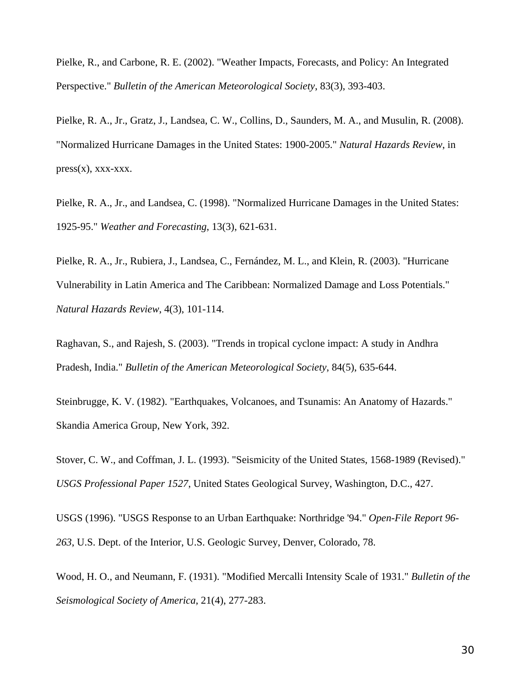Pielke, R., and Carbone, R. E. (2002). "Weather Impacts, Forecasts, and Policy: An Integrated Perspective." *Bulletin of the American Meteorological Society*, 83(3), 393-403.

Pielke, R. A., Jr., Gratz, J., Landsea, C. W., Collins, D., Saunders, M. A., and Musulin, R. (2008). "Normalized Hurricane Damages in the United States: 1900-2005." *Natural Hazards Review*, in  $press(x),$  xxx-xxx.

Pielke, R. A., Jr., and Landsea, C. (1998). "Normalized Hurricane Damages in the United States: 1925-95." *Weather and Forecasting*, 13(3), 621-631.

Pielke, R. A., Jr., Rubiera, J., Landsea, C., Fernández, M. L., and Klein, R. (2003). "Hurricane Vulnerability in Latin America and The Caribbean: Normalized Damage and Loss Potentials." *Natural Hazards Review*, 4(3), 101-114.

Raghavan, S., and Rajesh, S. (2003). "Trends in tropical cyclone impact: A study in Andhra Pradesh, India." *Bulletin of the American Meteorological Society*, 84(5), 635-644.

Steinbrugge, K. V. (1982). "Earthquakes, Volcanoes, and Tsunamis: An Anatomy of Hazards." Skandia America Group, New York, 392.

Stover, C. W., and Coffman, J. L. (1993). "Seismicity of the United States, 1568-1989 (Revised)." *USGS Professional Paper 1527*, United States Geological Survey, Washington, D.C., 427.

USGS (1996). "USGS Response to an Urban Earthquake: Northridge '94." *Open-File Report 96- 263*, U.S. Dept. of the Interior, U.S. Geologic Survey, Denver, Colorado, 78.

Wood, H. O., and Neumann, F. (1931). "Modified Mercalli Intensity Scale of 1931." *Bulletin of the Seismological Society of America*, 21(4), 277-283.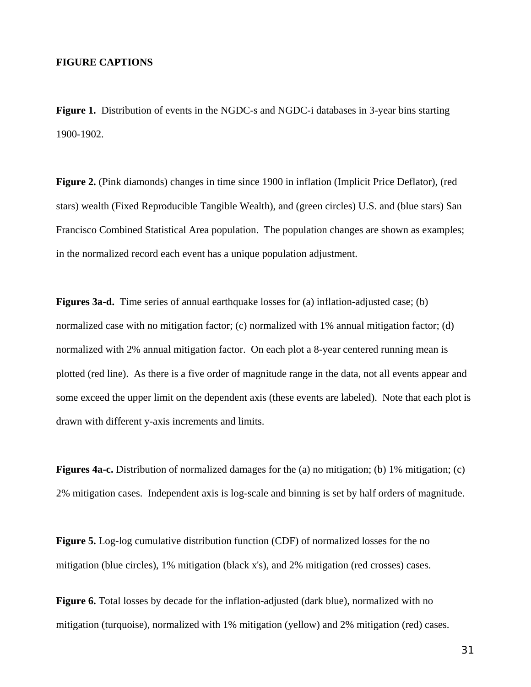### **FIGURE CAPTIONS**

**Figure 1.** Distribution of events in the NGDC-s and NGDC-i databases in 3-year bins starting 1900-1902.

**Figure 2.** (Pink diamonds) changes in time since 1900 in inflation (Implicit Price Deflator), (red stars) wealth (Fixed Reproducible Tangible Wealth), and (green circles) U.S. and (blue stars) San Francisco Combined Statistical Area population. The population changes are shown as examples; in the normalized record each event has a unique population adjustment.

**Figures 3a-d.** Time series of annual earthquake losses for (a) inflation-adjusted case; (b) normalized case with no mitigation factor; (c) normalized with 1% annual mitigation factor; (d) normalized with 2% annual mitigation factor. On each plot a 8-year centered running mean is plotted (red line). As there is a five order of magnitude range in the data, not all events appear and some exceed the upper limit on the dependent axis (these events are labeled). Note that each plot is drawn with different y-axis increments and limits.

**Figures 4a-c.** Distribution of normalized damages for the (a) no mitigation; (b) 1% mitigation; (c) 2% mitigation cases. Independent axis is log-scale and binning is set by half orders of magnitude.

**Figure 5.** Log-log cumulative distribution function (CDF) of normalized losses for the no mitigation (blue circles), 1% mitigation (black x's), and 2% mitigation (red crosses) cases.

Figure 6. Total losses by decade for the inflation-adjusted (dark blue), normalized with no mitigation (turquoise), normalized with 1% mitigation (yellow) and 2% mitigation (red) cases.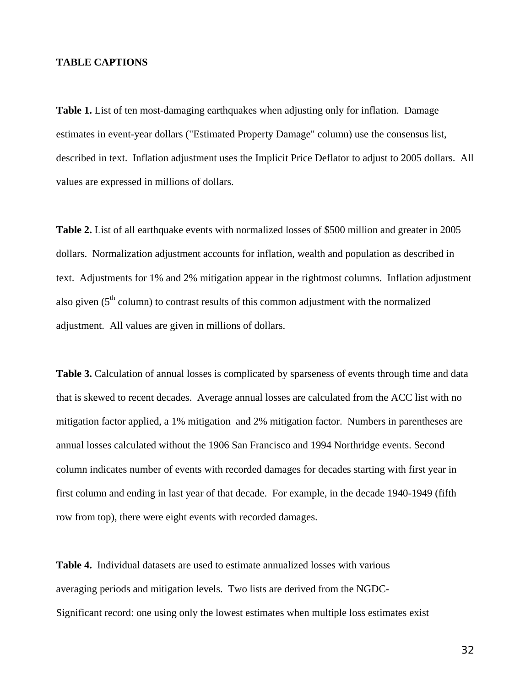### **TABLE CAPTIONS**

**Table 1.** List of ten most-damaging earthquakes when adjusting only for inflation. Damage estimates in event-year dollars ("Estimated Property Damage" column) use the consensus list, described in text. Inflation adjustment uses the Implicit Price Deflator to adjust to 2005 dollars. All values are expressed in millions of dollars.

**Table 2.** List of all earthquake events with normalized losses of \$500 million and greater in 2005 dollars. Normalization adjustment accounts for inflation, wealth and population as described in text. Adjustments for 1% and 2% mitigation appear in the rightmost columns. Inflation adjustment also given  $(5<sup>th</sup>$  column) to contrast results of this common adjustment with the normalized adjustment. All values are given in millions of dollars.

**Table 3.** Calculation of annual losses is complicated by sparseness of events through time and data that is skewed to recent decades. Average annual losses are calculated from the ACC list with no mitigation factor applied, a 1% mitigation and 2% mitigation factor. Numbers in parentheses are annual losses calculated without the 1906 San Francisco and 1994 Northridge events. Second column indicates number of events with recorded damages for decades starting with first year in first column and ending in last year of that decade. For example, in the decade 1940-1949 (fifth row from top), there were eight events with recorded damages.

**Table 4.** Individual datasets are used to estimate annualized losses with various averaging periods and mitigation levels. Two lists are derived from the NGDC-Significant record: one using only the lowest estimates when multiple loss estimates exist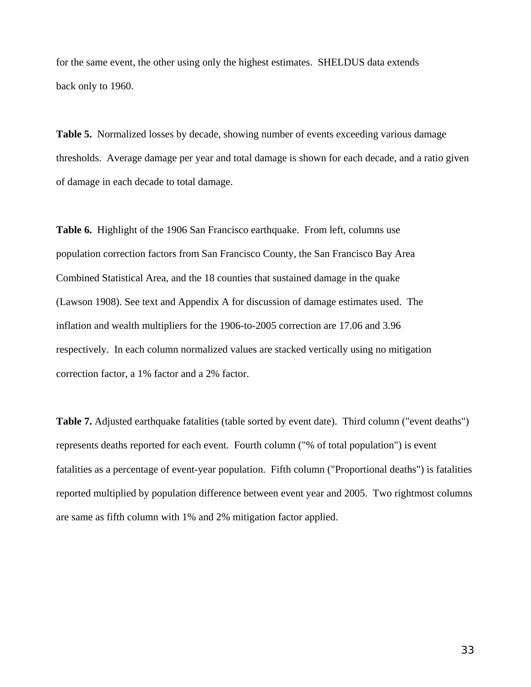for the same event, the other using only the highest estimates. SHELDUS data extends back only to 1960.

**Table 5.** Normalized losses by decade, showing number of events exceeding various damage thresholds. Average damage per year and total damage is shown for each decade, and a ratio given of damage in each decade to total damage.

**Table 6.** Highlight of the 1906 San Francisco earthquake. From left, columns use population correction factors from San Francisco County, the San Francisco Bay Area Combined Statistical Area, and the 18 counties that sustained damage in the quake (Lawson 1908). See text and Appendix A for discussion of damage estimates used. The inflation and wealth multipliers for the 1906-to-2005 correction are 17.06 and 3.96 respectively. In each column normalized values are stacked vertically using no mitigation correction factor, a 1% factor and a 2% factor.

**Table 7.** Adjusted earthquake fatalities (table sorted by event date). Third column ("event deaths") represents deaths reported for each event. Fourth column ("% of total population") is event fatalities as a percentage of event-year population. Fifth column ("Proportional deaths") is fatalities reported multiplied by population difference between event year and 2005. Two rightmost columns are same as fifth column with 1% and 2% mitigation factor applied.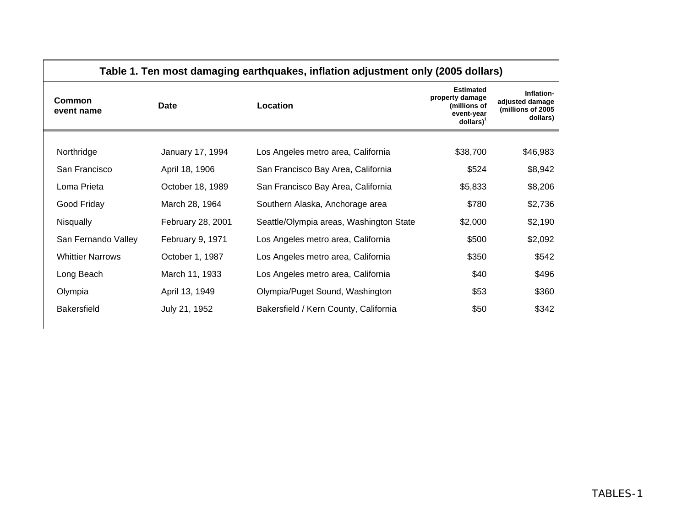| Table 1. Ten most damaging earthquakes, inflation adjustment only (2005 dollars) |                                         |                                                                                                      |                                                                |  |  |  |  |  |  |  |  |
|----------------------------------------------------------------------------------|-----------------------------------------|------------------------------------------------------------------------------------------------------|----------------------------------------------------------------|--|--|--|--|--|--|--|--|
| Date                                                                             | Location                                | <b>Estimated</b><br>property damage<br>(millions of<br>event-year<br>$\text{dollars}$ ) <sup>1</sup> | Inflation-<br>adjusted damage<br>(millions of 2005<br>dollars) |  |  |  |  |  |  |  |  |
|                                                                                  |                                         |                                                                                                      | \$46,983                                                       |  |  |  |  |  |  |  |  |
|                                                                                  |                                         |                                                                                                      | \$8,942                                                        |  |  |  |  |  |  |  |  |
| October 18, 1989                                                                 | San Francisco Bay Area, California      | \$5,833                                                                                              | \$8,206                                                        |  |  |  |  |  |  |  |  |
| March 28, 1964                                                                   | Southern Alaska, Anchorage area         | \$780                                                                                                | \$2,736                                                        |  |  |  |  |  |  |  |  |
| February 28, 2001                                                                | Seattle/Olympia areas, Washington State | \$2,000                                                                                              | \$2,190                                                        |  |  |  |  |  |  |  |  |
| February 9, 1971                                                                 | Los Angeles metro area, California      | \$500                                                                                                | \$2,092                                                        |  |  |  |  |  |  |  |  |
| October 1, 1987                                                                  | Los Angeles metro area, California      | \$350                                                                                                | \$542                                                          |  |  |  |  |  |  |  |  |
| March 11, 1933                                                                   | Los Angeles metro area, California      | \$40                                                                                                 | \$496                                                          |  |  |  |  |  |  |  |  |
| April 13, 1949                                                                   | Olympia/Puget Sound, Washington         | \$53                                                                                                 | \$360                                                          |  |  |  |  |  |  |  |  |
| July 21, 1952                                                                    | Bakersfield / Kern County, California   | \$50                                                                                                 | \$342                                                          |  |  |  |  |  |  |  |  |
|                                                                                  | January 17, 1994<br>April 18, 1906      | Los Angeles metro area, California<br>San Francisco Bay Area, California                             | \$38,700<br>\$524                                              |  |  |  |  |  |  |  |  |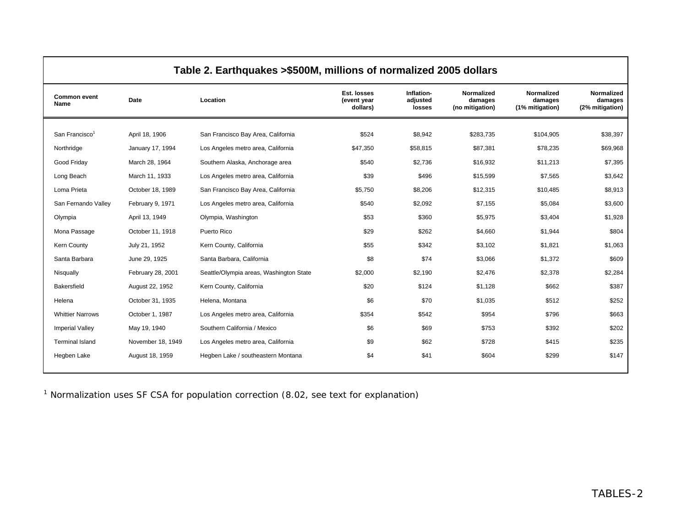|                             |                   | Table 2. Earthquakes >\$500M, millions of normalized 2005 dollars |                                        |                                  |                                          |                                          |                                          |
|-----------------------------|-------------------|-------------------------------------------------------------------|----------------------------------------|----------------------------------|------------------------------------------|------------------------------------------|------------------------------------------|
| <b>Common event</b><br>Name | Date              | Location                                                          | Est. losses<br>(event year<br>dollars) | Inflation-<br>adjusted<br>losses | Normalized<br>damages<br>(no mitigation) | Normalized<br>damages<br>(1% mitigation) | Normalized<br>damages<br>(2% mitigation) |
|                             |                   |                                                                   |                                        |                                  |                                          |                                          |                                          |
| San Francisco <sup>1</sup>  | April 18, 1906    | San Francisco Bay Area, California                                | \$524                                  | \$8,942                          | \$283,735                                | \$104,905                                | \$38,397                                 |
| Northridge                  | January 17, 1994  | Los Angeles metro area, California                                | \$47,350                               | \$58,815                         | \$87,381                                 | \$78,235                                 | \$69,968                                 |
| Good Friday                 | March 28, 1964    | Southern Alaska, Anchorage area                                   | \$540                                  | \$2,736                          | \$16,932                                 | \$11,213                                 | \$7,395                                  |
| Long Beach                  | March 11, 1933    | Los Angeles metro area, California                                | \$39                                   | \$496                            | \$15,599                                 | \$7,565                                  | \$3,642                                  |
| Loma Prieta                 | October 18, 1989  | San Francisco Bay Area, California                                | \$5,750                                | \$8,206                          | \$12,315                                 | \$10,485                                 | \$8,913                                  |
| San Fernando Valley         | February 9, 1971  | Los Angeles metro area, California                                | \$540                                  | \$2,092                          | \$7,155                                  | \$5,084                                  | \$3,600                                  |
| Olympia                     | April 13, 1949    | Olympia, Washington                                               | \$53                                   | \$360                            | \$5,975                                  | \$3,404                                  | \$1,928                                  |
| Mona Passage                | October 11, 1918  | Puerto Rico                                                       | \$29                                   | \$262                            | \$4,660                                  | \$1,944                                  | \$804                                    |
| Kern County                 | July 21, 1952     | Kern County, California                                           | \$55                                   | \$342                            | \$3,102                                  | \$1,821                                  | \$1,063                                  |
| Santa Barbara               | June 29, 1925     | Santa Barbara, California                                         | \$8                                    | \$74                             | \$3,066                                  | \$1,372                                  | \$609                                    |
| Nisqually                   | February 28, 2001 | Seattle/Olympia areas, Washington State                           | \$2,000                                | \$2,190                          | \$2,476                                  | \$2,378                                  | \$2,284                                  |
| Bakersfield                 | August 22, 1952   | Kern County, California                                           | \$20                                   | \$124                            | \$1,128                                  | \$662                                    | \$387                                    |
| Helena                      | October 31, 1935  | Helena, Montana                                                   | \$6                                    | \$70                             | \$1,035                                  | \$512                                    | \$252                                    |
| <b>Whittier Narrows</b>     | October 1, 1987   | Los Angeles metro area, California                                | \$354                                  | \$542                            | \$954                                    | \$796                                    | \$663                                    |
| <b>Imperial Valley</b>      | May 19, 1940      | Southern California / Mexico                                      | \$6                                    | \$69                             | \$753                                    | \$392                                    | \$202                                    |
| <b>Terminal Island</b>      | November 18, 1949 | Los Angeles metro area, California                                | \$9                                    | \$62                             | \$728                                    | \$415                                    | \$235                                    |
| Hegben Lake                 | August 18, 1959   | Hegben Lake / southeastern Montana                                | \$4                                    | \$41                             | \$604                                    | \$299                                    | \$147                                    |
|                             |                   |                                                                   |                                        |                                  |                                          |                                          |                                          |

# **Table 2. Earthquakes >\$500M, millions of normalized 2005 dollars**

 $1$  Normalization uses SF CSA for population correction (8.02, see text for explanation)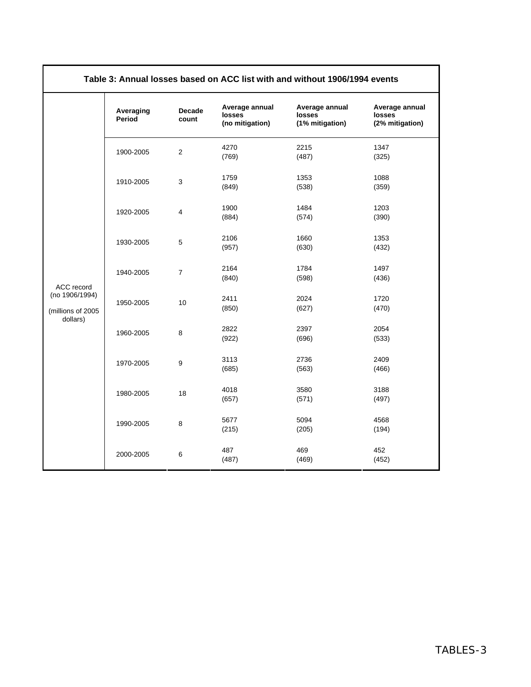| Table 3: Annual losses based on ACC list with and without 1906/1994 events |                     |                 |                                             |                                             |                                             |  |  |  |  |  |  |
|----------------------------------------------------------------------------|---------------------|-----------------|---------------------------------------------|---------------------------------------------|---------------------------------------------|--|--|--|--|--|--|
|                                                                            | Averaging<br>Period | Decade<br>count | Average annual<br>losses<br>(no mitigation) | Average annual<br>losses<br>(1% mitigation) | Average annual<br>losses<br>(2% mitigation) |  |  |  |  |  |  |
|                                                                            | 1900-2005           | 2               | 4270<br>(769)                               | 2215<br>(487)                               | 1347<br>(325)                               |  |  |  |  |  |  |
|                                                                            | 1910-2005           | 3               | 1759<br>(849)                               | 1353<br>(538)                               | 1088<br>(359)                               |  |  |  |  |  |  |
|                                                                            | 1920-2005           | 4               | 1900<br>(884)                               | 1484<br>(574)                               | 1203<br>(390)                               |  |  |  |  |  |  |
|                                                                            | 1930-2005           | 5               | 2106<br>(957)                               | 1660<br>(630)                               | 1353<br>(432)                               |  |  |  |  |  |  |
| ACC record                                                                 | 1940-2005           | $\overline{7}$  | 2164<br>(840)                               | 1784<br>(598)                               | 1497<br>(436)                               |  |  |  |  |  |  |
| (no 1906/1994)<br>(millions of 2005                                        | 1950-2005           | 10              | 2411<br>(850)                               | 2024<br>(627)                               | 1720<br>(470)                               |  |  |  |  |  |  |
| dollars)                                                                   | 1960-2005           | 8               | 2822<br>(922)                               | 2397<br>(696)                               | 2054<br>(533)                               |  |  |  |  |  |  |
|                                                                            | 1970-2005           | 9               | 3113<br>(685)                               | 2736<br>(563)                               | 2409<br>(466)                               |  |  |  |  |  |  |
|                                                                            | 1980-2005           | 18              | 4018<br>(657)                               | 3580<br>(571)                               | 3188<br>(497)                               |  |  |  |  |  |  |
|                                                                            | 1990-2005           | 8               | 5677<br>(215)                               | 5094<br>(205)                               | 4568<br>(194)                               |  |  |  |  |  |  |
|                                                                            | 2000-2005           | 6               | 487<br>(487)                                | 469<br>(469)                                | 452<br>(452)                                |  |  |  |  |  |  |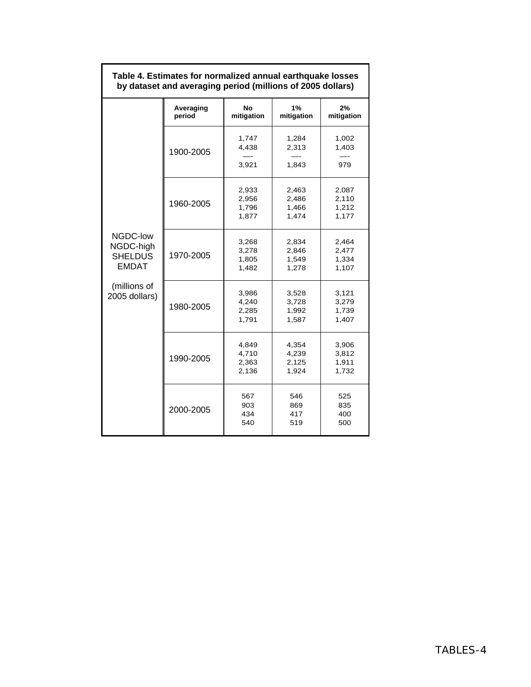|                                                         | Averaging<br>period | <b>No</b><br>mitigation          | 1%<br>mitigation                 | 2%<br>mitigation                 |
|---------------------------------------------------------|---------------------|----------------------------------|----------------------------------|----------------------------------|
|                                                         | 1900-2005           | 1,747<br>4,438<br>3,921          | 1,284<br>2,313<br>1,843          | 1,002<br>1,403<br>979            |
|                                                         | 1960-2005           | 2,933<br>2,956<br>1,796<br>1,877 | 2,463<br>2,486<br>1,466<br>1,474 | 2,087<br>2,110<br>1,212<br>1,177 |
| NGDC-low<br>NGDC-high<br><b>SHELDUS</b><br><b>EMDAT</b> | 1970-2005           | 3,268<br>3,278<br>1,805<br>1,482 | 2,834<br>2,846<br>1,549<br>1,278 | 2,464<br>2,477<br>1,334<br>1,107 |
| (millions of<br>2005 dollars)                           | 1980-2005           | 3,986<br>4,240<br>2,285<br>1,791 | 3,528<br>3,728<br>1,992<br>1,587 | 3,121<br>3,279<br>1,739<br>1,407 |
|                                                         | 1990-2005           | 4,849<br>4,710<br>2,363<br>2,136 | 4,354<br>4,239<br>2,125<br>1,924 | 3,906<br>3,812<br>1,911<br>1,732 |
|                                                         | 2000-2005           | 567<br>903<br>434<br>540         | 546<br>869<br>417<br>519         | 525<br>835<br>400<br>500         |

#### **Table 4. Estimates for normalized annual earthquake losses by dataset and averaging period (millions of 2005 dollars)**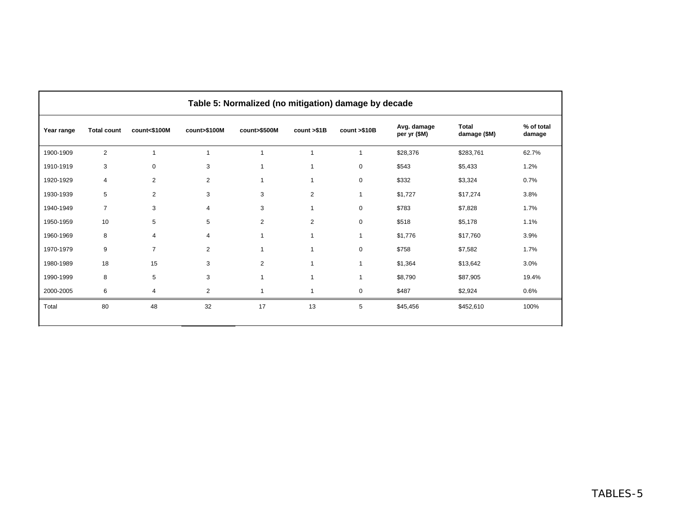|            | Table 5: Normalized (no mitigation) damage by decade |                |                |                |                |              |                             |                              |                      |  |  |  |
|------------|------------------------------------------------------|----------------|----------------|----------------|----------------|--------------|-----------------------------|------------------------------|----------------------|--|--|--|
| Year range | <b>Total count</b>                                   | count<\$100M   | count>\$100M   | count>\$500M   | count >\$1B    | count >\$10B | Avg. damage<br>per yr (\$M) | <b>Total</b><br>damage (\$M) | % of total<br>damage |  |  |  |
| 1900-1909  | $\overline{2}$                                       | $\overline{1}$ | $\mathbf{1}$   | $\overline{1}$ | 1              | $\mathbf{1}$ | \$28,376                    | \$283,761                    | 62.7%                |  |  |  |
| 1910-1919  | 3                                                    | $\mathbf 0$    | 3              | $\mathbf{1}$   | 1              | $\mathbf 0$  | \$543                       | \$5,433                      | 1.2%                 |  |  |  |
| 1920-1929  | 4                                                    | 2              | $\overline{2}$ | $\mathbf{1}$   | 1              | $\mathbf 0$  | \$332                       | \$3,324                      | 0.7%                 |  |  |  |
| 1930-1939  | 5                                                    | $\overline{2}$ | 3              | 3              | 2              | $\mathbf{1}$ | \$1,727                     | \$17,274                     | 3.8%                 |  |  |  |
| 1940-1949  | $\overline{7}$                                       | 3              | $\overline{4}$ | 3              | $\overline{1}$ | $\mathbf 0$  | \$783                       | \$7,828                      | 1.7%                 |  |  |  |
| 1950-1959  | 10                                                   | 5              | 5              | 2              | 2              | $\mathbf 0$  | \$518                       | \$5,178                      | 1.1%                 |  |  |  |
| 1960-1969  | 8                                                    | $\overline{4}$ | 4              | $\mathbf{1}$   | 1              | $\mathbf{1}$ | \$1,776                     | \$17,760                     | 3.9%                 |  |  |  |
| 1970-1979  | 9                                                    | $\overline{7}$ | $\overline{2}$ | $\mathbf{1}$   | $\overline{1}$ | $\mathbf 0$  | \$758                       | \$7,582                      | 1.7%                 |  |  |  |
| 1980-1989  | 18                                                   | 15             | 3              | $\overline{2}$ | 1              | $\mathbf{1}$ | \$1,364                     | \$13,642                     | 3.0%                 |  |  |  |
| 1990-1999  | 8                                                    | 5              | 3              | $\mathbf{1}$   | 1              | 1            | \$8,790                     | \$87,905                     | 19.4%                |  |  |  |
| 2000-2005  | 6                                                    | 4              | $\overline{2}$ | 1              | 1              | $\mathbf 0$  | \$487                       | \$2,924                      | 0.6%                 |  |  |  |
| Total      | 80                                                   | 48             | 32             | 17             | 13             | 5            | \$45,456                    | \$452,610                    | 100%                 |  |  |  |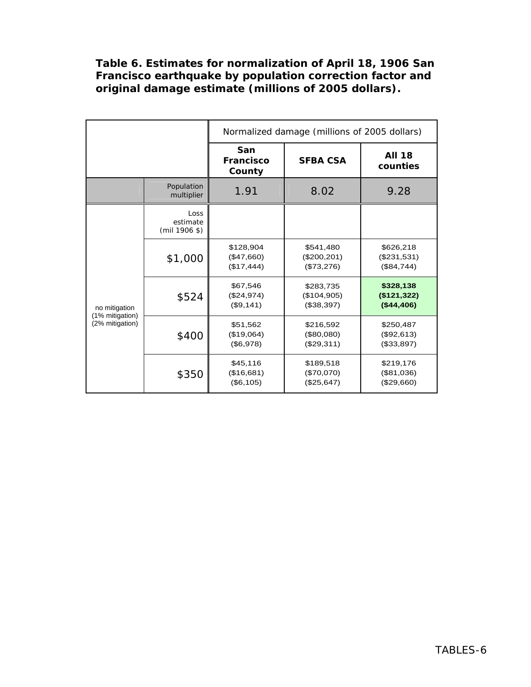# **Table 6. Estimates for normalization of April 18, 1906 San Francisco earthquake by population correction factor and original damage estimate (millions of 2005 dollars).**

|                                  |                                   |                                       | Normalized damage (millions of 2005 dollars) |                                         |  |  |  |  |  |  |
|----------------------------------|-----------------------------------|---------------------------------------|----------------------------------------------|-----------------------------------------|--|--|--|--|--|--|
|                                  |                                   | San<br><b>Francisco</b><br>County     | <b>AII 18</b><br>counties                    |                                         |  |  |  |  |  |  |
|                                  | Population<br>multiplier          | 1.91                                  | 8.02                                         | 9.28                                    |  |  |  |  |  |  |
|                                  | Loss<br>estimate<br>$(mil 1906 \$ |                                       |                                              |                                         |  |  |  |  |  |  |
|                                  | \$1,000                           | \$128,904<br>(\$47,660)<br>(\$17,444) | \$541,480<br>(\$200, 201)<br>(\$73,276)      | \$626,218<br>(\$231,531)<br>(\$84,744)  |  |  |  |  |  |  |
| no mitigation<br>(1% mitigation) | \$524                             | \$67,546<br>(\$24,974)<br>(\$9,141)   | \$283,735<br>(\$104,905)<br>(\$38,397)       | \$328,138<br>(\$121,322)<br>( \$44,406) |  |  |  |  |  |  |
| (2% mitigation)                  | \$400                             | \$51,562<br>(\$19,064)<br>(\$6,978)   | \$216,592<br>(\$80,080)<br>(\$29,311)        | \$250,487<br>(\$92,613)<br>(\$33,897)   |  |  |  |  |  |  |
|                                  | \$350                             | \$45,116<br>(\$16,681)<br>(\$6,105)   | \$189,518<br>(\$70,070)<br>(\$25,647)        | \$219,176<br>(\$81,036)<br>(\$29,660)   |  |  |  |  |  |  |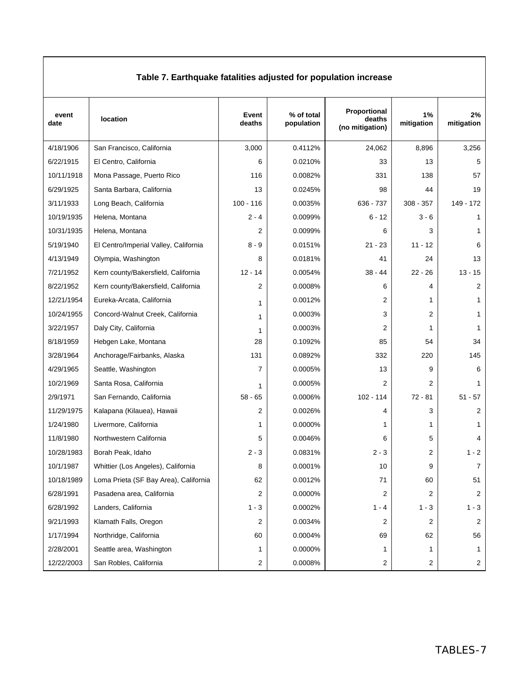| Table 7. Earthquake fatalities adjusted for population increase |                                       |                 |                          |                                           |                  |                  |  |  |  |  |  |  |
|-----------------------------------------------------------------|---------------------------------------|-----------------|--------------------------|-------------------------------------------|------------------|------------------|--|--|--|--|--|--|
| event<br>date                                                   | location                              | Event<br>deaths | % of total<br>population | Proportional<br>deaths<br>(no mitigation) | 1%<br>mitigation | 2%<br>mitigation |  |  |  |  |  |  |
| 4/18/1906                                                       | San Francisco, California             | 3,000           | 0.4112%                  | 24,062                                    | 8,896            | 3,256            |  |  |  |  |  |  |
| 6/22/1915                                                       | El Centro, California                 | 6               | 0.0210%                  | 33                                        | 13               | 5                |  |  |  |  |  |  |
| 10/11/1918                                                      | Mona Passage, Puerto Rico             | 116             | 0.0082%                  | 331                                       | 138              | 57               |  |  |  |  |  |  |
| 6/29/1925                                                       | Santa Barbara, California             | 13              | 0.0245%                  | 98                                        | 44               | 19               |  |  |  |  |  |  |
| 3/11/1933                                                       | Long Beach, California                | $100 - 116$     | 0.0035%                  | 636 - 737                                 | $308 - 357$      | 149 - 172        |  |  |  |  |  |  |
| 10/19/1935                                                      | Helena, Montana                       | $2 - 4$         | 0.0099%                  | 6 - 12                                    | $3 - 6$          | 1                |  |  |  |  |  |  |
| 10/31/1935                                                      | Helena, Montana                       | 2               | 0.0099%                  | 6                                         | 3                | 1                |  |  |  |  |  |  |
| 5/19/1940                                                       | El Centro/Imperial Valley, California | 8 - 9           | 0.0151%                  | $21 - 23$                                 | $11 - 12$        | 6                |  |  |  |  |  |  |
| 4/13/1949                                                       | Olympia, Washington                   | 8               | 0.0181%                  | 41                                        | 24               | 13               |  |  |  |  |  |  |
| 7/21/1952                                                       | Kern county/Bakersfield, California   | $12 - 14$       | 0.0054%                  | $38 - 44$                                 | $22 - 26$        | $13 - 15$        |  |  |  |  |  |  |
| 8/22/1952                                                       | Kern county/Bakersfield, California   | 2               | 0.0008%                  | 6                                         | 4                | 2                |  |  |  |  |  |  |
| 12/21/1954                                                      | Eureka-Arcata, California             | 1               | 0.0012%                  | 2                                         | 1                | 1                |  |  |  |  |  |  |
| 10/24/1955                                                      | Concord-Walnut Creek, California      | 1               | 0.0003%                  | 3                                         | $\overline{2}$   | 1                |  |  |  |  |  |  |
| 3/22/1957                                                       | Daly City, California                 | 1               | 0.0003%                  | 2                                         | 1                | 1                |  |  |  |  |  |  |
| 8/18/1959                                                       | Hebgen Lake, Montana                  | 28              | 0.1092%                  | 85                                        | 54               | 34               |  |  |  |  |  |  |
| 3/28/1964                                                       | Anchorage/Fairbanks, Alaska           | 131             | 0.0892%                  | 332                                       | 220              | 145              |  |  |  |  |  |  |
| 4/29/1965                                                       | Seattle, Washington                   | 7               | 0.0005%                  | 13                                        | 9                | 6                |  |  |  |  |  |  |
| 10/2/1969                                                       | Santa Rosa, California                | 1               | 0.0005%                  | 2                                         | 2                | 1                |  |  |  |  |  |  |
| 2/9/1971                                                        | San Fernando, California              | $58 - 65$       | 0.0006%                  | $102 - 114$                               | $72 - 81$        | $51 - 57$        |  |  |  |  |  |  |
| 11/29/1975                                                      | Kalapana (Kilauea), Hawaii            | 2               | 0.0026%                  | 4                                         | 3                | 2                |  |  |  |  |  |  |
| 1/24/1980                                                       | Livermore, California                 | 1               | 0.0000%                  | 1                                         | 1                | 1                |  |  |  |  |  |  |
| 11/8/1980                                                       | Northwestern California               | 5               | 0.0046%                  | 6                                         | 5                | 4                |  |  |  |  |  |  |
| 10/28/1983                                                      | Borah Peak, Idaho                     | $2 - 3$         | 0.0831%                  | $2 - 3$                                   | 2                | $1 - 2$          |  |  |  |  |  |  |
| 10/1/1987                                                       | Whittier (Los Angeles), California    | 8               | 0.0001%                  | $10\,$                                    | 9                | $\overline{7}$   |  |  |  |  |  |  |
| 10/18/1989                                                      | Loma Prieta (SF Bay Area), California | 62              | 0.0012%                  | 71                                        | 60               | 51               |  |  |  |  |  |  |
| 6/28/1991                                                       | Pasadena area, California             | 2               | 0.0000%                  | 2                                         | 2                | 2                |  |  |  |  |  |  |
| 6/28/1992                                                       | Landers, California                   | $1 - 3$         | 0.0002%                  | $1 - 4$                                   | $1 - 3$          | $1 - 3$          |  |  |  |  |  |  |
| 9/21/1993                                                       | Klamath Falls, Oregon                 | 2               | 0.0034%                  | 2                                         | 2                | 2                |  |  |  |  |  |  |
| 1/17/1994                                                       | Northridge, California                | 60              | 0.0004%                  | 69                                        | 62               | 56               |  |  |  |  |  |  |
| 2/28/2001                                                       | Seattle area, Washington              | 1               | 0.0000%                  | 1                                         | 1                | 1                |  |  |  |  |  |  |
| 12/22/2003                                                      | San Robles, California                | 2               | 0.0008%                  | 2                                         | $\overline{2}$   | $\overline{c}$   |  |  |  |  |  |  |

### **Table 7. Earthquake fatalities adjusted for population increase**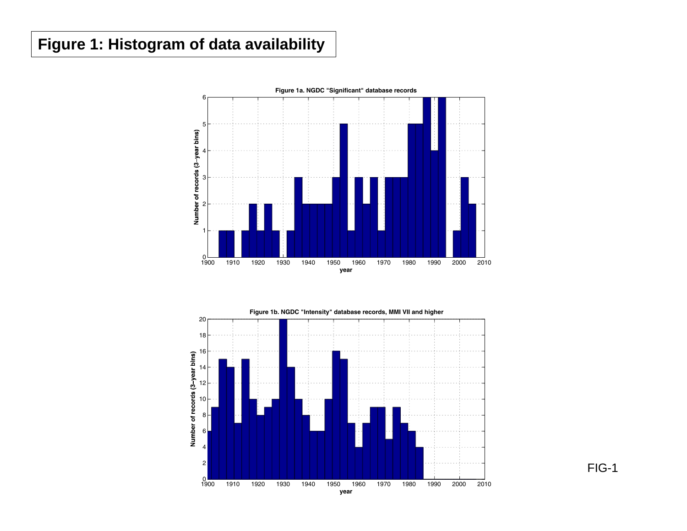# **Figure 1: Histogram of data availability**



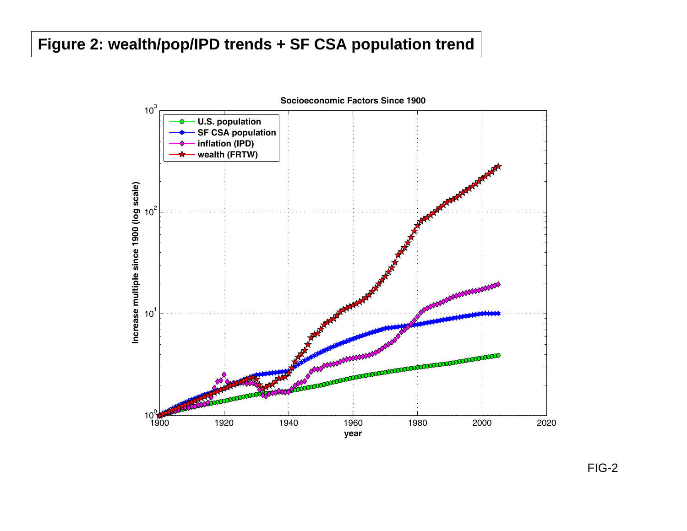# **Figure 2: wealth/pop/IPD trends + SF CSA population trend**

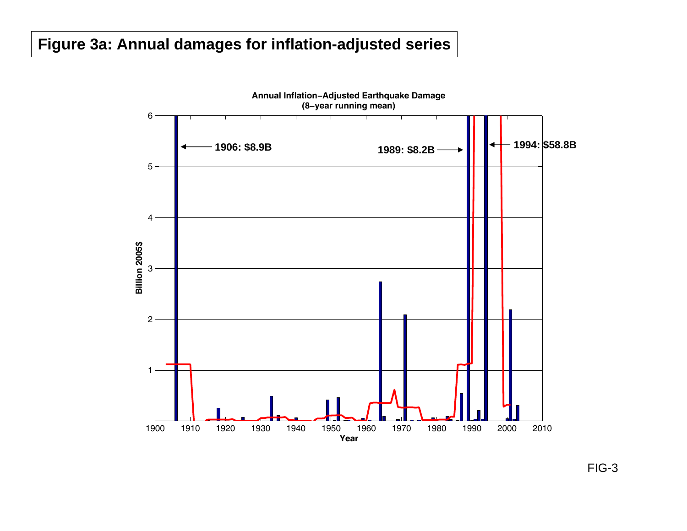# **Figure 3a: Annual damages for inflation-adjusted series**

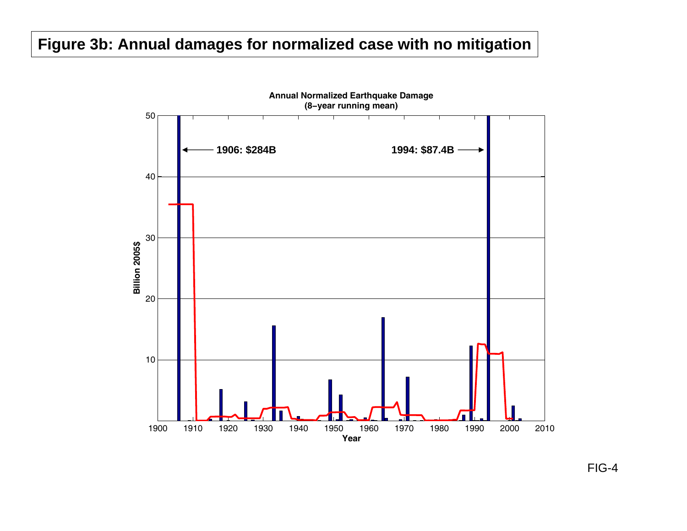# **Figure 3b: Annual damages for normalized case with no mitigation**

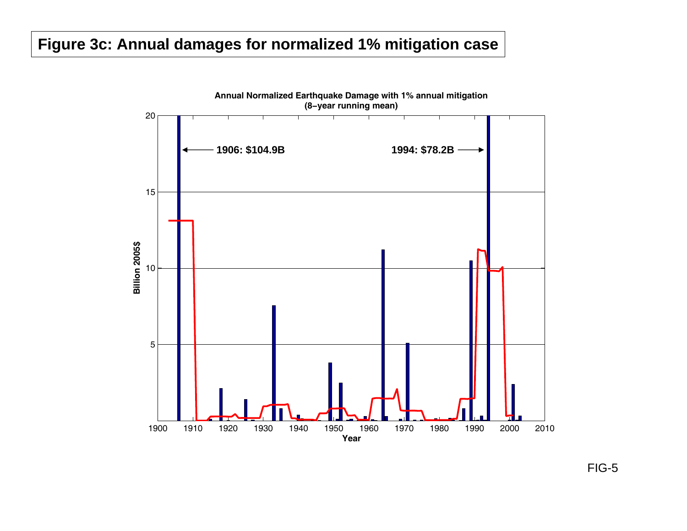# **Figure 3c: Annual damages for normalized 1% mitigation case**

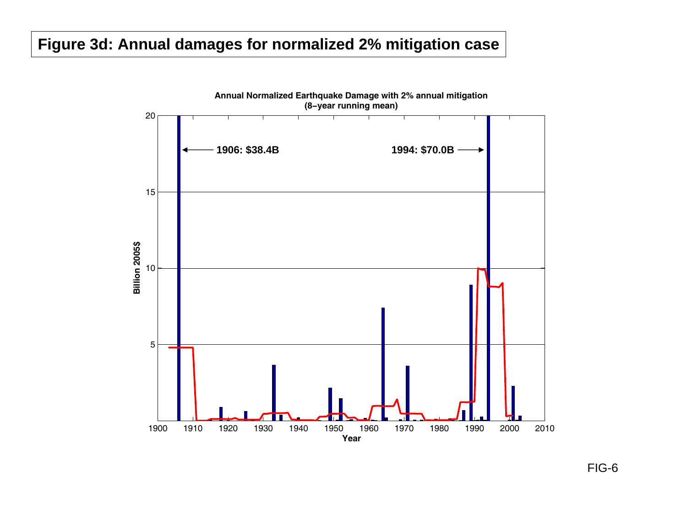# **Figure 3d: Annual damages for normalized 2% mitigation case**

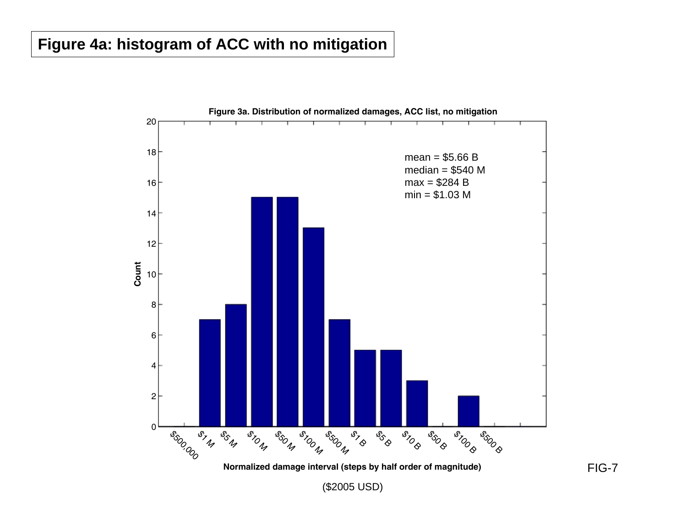# **Figure 4a: histogram of ACC with no mitigation**

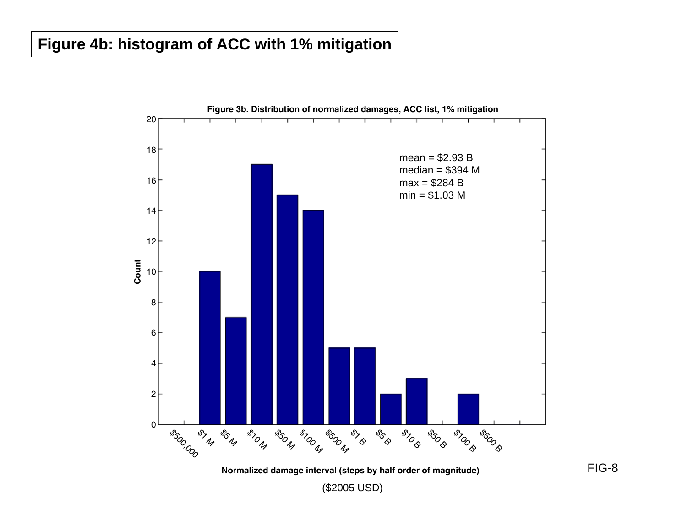# **Figure 4b: histogram of ACC with 1% mitigation**

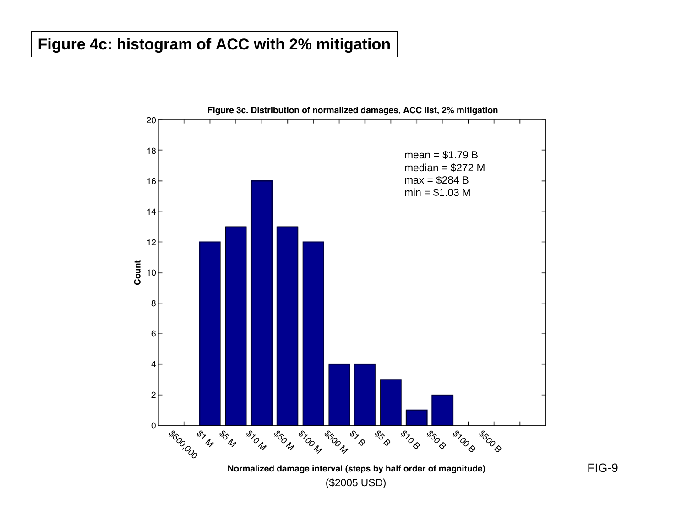# **Figure 4c: histogram of ACC with 2% mitigation**

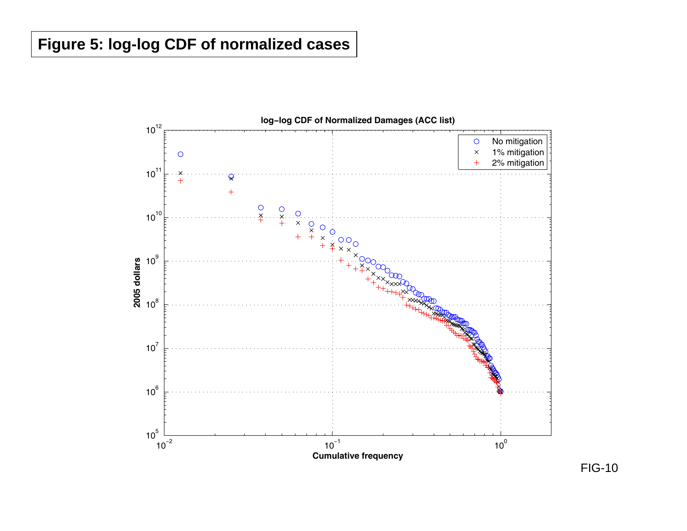# **Figure 5: log-log CDF of normalized cases**

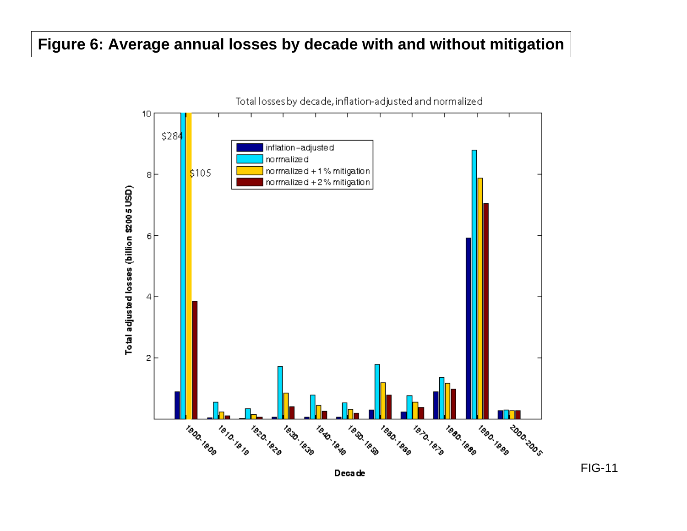# **Figure 6: Average annual losses by decade with and without mitigation**



Deca de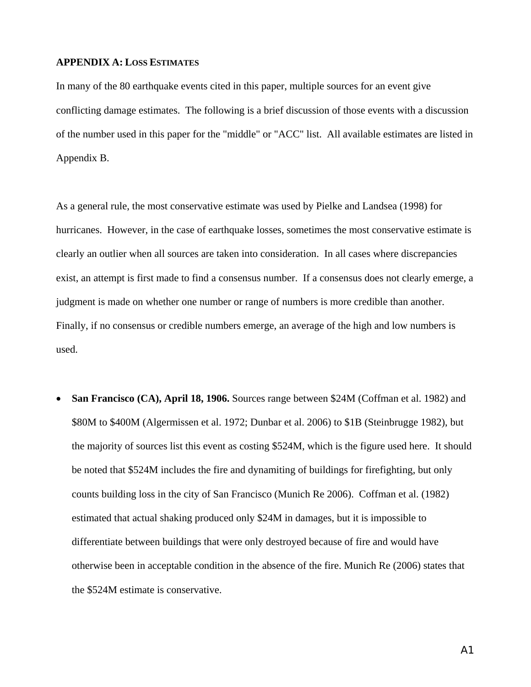#### **APPENDIX A: LOSS ESTIMATES**

In many of the 80 earthquake events cited in this paper, multiple sources for an event give conflicting damage estimates. The following is a brief discussion of those events with a discussion of the number used in this paper for the "middle" or "ACC" list. All available estimates are listed in Appendix B.

As a general rule, the most conservative estimate was used by Pielke and Landsea (1998) for hurricanes. However, in the case of earthquake losses, sometimes the most conservative estimate is clearly an outlier when all sources are taken into consideration. In all cases where discrepancies exist, an attempt is first made to find a consensus number. If a consensus does not clearly emerge, a judgment is made on whether one number or range of numbers is more credible than another. Finally, if no consensus or credible numbers emerge, an average of the high and low numbers is used.

• **San Francisco (CA), April 18, 1906.** Sources range between \$24M (Coffman et al. 1982) and \$80M to \$400M (Algermissen et al. 1972; Dunbar et al. 2006) to \$1B (Steinbrugge 1982), but the majority of sources list this event as costing \$524M, which is the figure used here. It should be noted that \$524M includes the fire and dynamiting of buildings for firefighting, but only counts building loss in the city of San Francisco (Munich Re 2006). Coffman et al. (1982) estimated that actual shaking produced only \$24M in damages, but it is impossible to differentiate between buildings that were only destroyed because of fire and would have otherwise been in acceptable condition in the absence of the fire. Munich Re (2006) states that the \$524M estimate is conservative.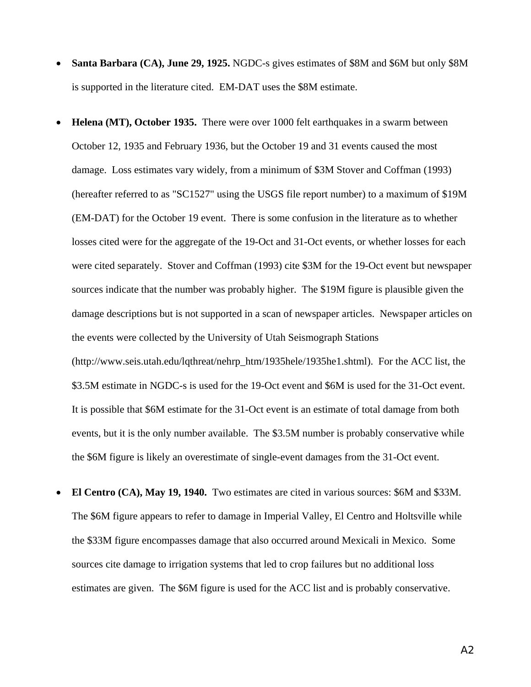- **Santa Barbara (CA), June 29, 1925.** NGDC-s gives estimates of \$8M and \$6M but only \$8M is supported in the literature cited. EM-DAT uses the \$8M estimate.
- **Helena (MT), October 1935.** There were over 1000 felt earthquakes in a swarm between October 12, 1935 and February 1936, but the October 19 and 31 events caused the most damage. Loss estimates vary widely, from a minimum of \$3M Stover and Coffman (1993) (hereafter referred to as "SC1527" using the USGS file report number) to a maximum of \$19M (EM-DAT) for the October 19 event. There is some confusion in the literature as to whether losses cited were for the aggregate of the 19-Oct and 31-Oct events, or whether losses for each were cited separately. Stover and Coffman (1993) cite \$3M for the 19-Oct event but newspaper sources indicate that the number was probably higher. The \$19M figure is plausible given the damage descriptions but is not supported in a scan of newspaper articles. Newspaper articles on the events were collected by the University of Utah Seismograph Stations (http://www.seis.utah.edu/lqthreat/nehrp\_htm/1935hele/1935he1.shtml). For the ACC list, the \$3.5M estimate in NGDC-s is used for the 19-Oct event and \$6M is used for the 31-Oct event. It is possible that \$6M estimate for the 31-Oct event is an estimate of total damage from both events, but it is the only number available. The \$3.5M number is probably conservative while the \$6M figure is likely an overestimate of single-event damages from the 31-Oct event.
- **El Centro (CA), May 19, 1940.** Two estimates are cited in various sources: \$6M and \$33M. The \$6M figure appears to refer to damage in Imperial Valley, El Centro and Holtsville while the \$33M figure encompasses damage that also occurred around Mexicali in Mexico. Some sources cite damage to irrigation systems that led to crop failures but no additional loss estimates are given. The \$6M figure is used for the ACC list and is probably conservative.

A2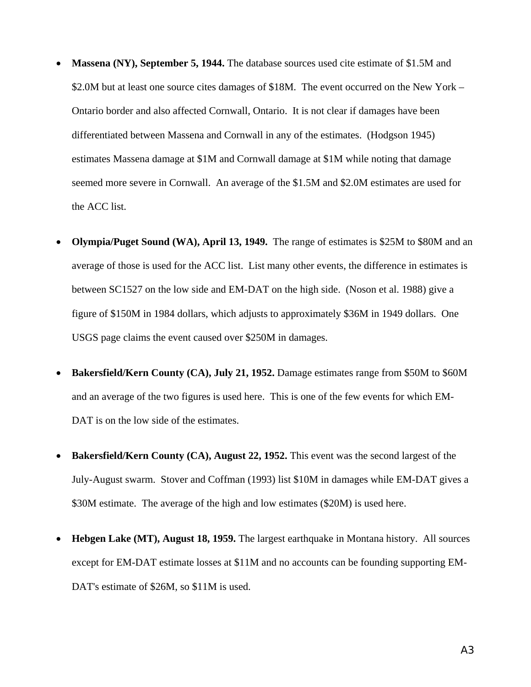- **Massena (NY), September 5, 1944.** The database sources used cite estimate of \$1.5M and \$2.0M but at least one source cites damages of \$18M. The event occurred on the New York – Ontario border and also affected Cornwall, Ontario. It is not clear if damages have been differentiated between Massena and Cornwall in any of the estimates. (Hodgson 1945) estimates Massena damage at \$1M and Cornwall damage at \$1M while noting that damage seemed more severe in Cornwall. An average of the \$1.5M and \$2.0M estimates are used for the ACC list.
- **Olympia/Puget Sound (WA), April 13, 1949.** The range of estimates is \$25M to \$80M and an average of those is used for the ACC list. List many other events, the difference in estimates is between SC1527 on the low side and EM-DAT on the high side. (Noson et al. 1988) give a figure of \$150M in 1984 dollars, which adjusts to approximately \$36M in 1949 dollars. One USGS page claims the event caused over \$250M in damages.
- **Bakersfield/Kern County (CA), July 21, 1952.** Damage estimates range from \$50M to \$60M and an average of the two figures is used here. This is one of the few events for which EM-DAT is on the low side of the estimates.
- **Bakersfield/Kern County (CA), August 22, 1952.** This event was the second largest of the July-August swarm. Stover and Coffman (1993) list \$10M in damages while EM-DAT gives a \$30M estimate. The average of the high and low estimates (\$20M) is used here.
- **Hebgen Lake (MT), August 18, 1959.** The largest earthquake in Montana history. All sources except for EM-DAT estimate losses at \$11M and no accounts can be founding supporting EM-DAT's estimate of \$26M, so \$11M is used.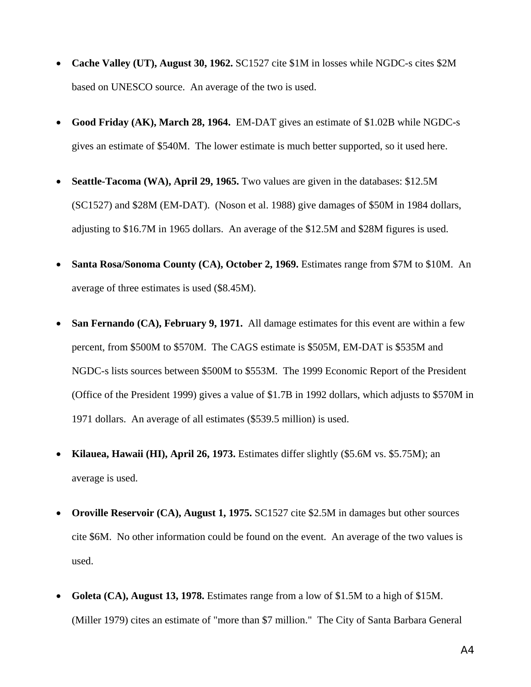- **Cache Valley (UT), August 30, 1962.** SC1527 cite \$1M in losses while NGDC-s cites \$2M based on UNESCO source. An average of the two is used.
- **Good Friday (AK), March 28, 1964.** EM-DAT gives an estimate of \$1.02B while NGDC-s gives an estimate of \$540M. The lower estimate is much better supported, so it used here.
- **Seattle-Tacoma (WA), April 29, 1965.** Two values are given in the databases: \$12.5M (SC1527) and \$28M (EM-DAT). (Noson et al. 1988) give damages of \$50M in 1984 dollars, adjusting to \$16.7M in 1965 dollars. An average of the \$12.5M and \$28M figures is used.
- **Santa Rosa/Sonoma County (CA), October 2, 1969.** Estimates range from \$7M to \$10M. An average of three estimates is used (\$8.45M).
- **San Fernando (CA), February 9, 1971.** All damage estimates for this event are within a few percent, from \$500M to \$570M. The CAGS estimate is \$505M, EM-DAT is \$535M and NGDC-s lists sources between \$500M to \$553M. The 1999 Economic Report of the President (Office of the President 1999) gives a value of \$1.7B in 1992 dollars, which adjusts to \$570M in 1971 dollars. An average of all estimates (\$539.5 million) is used.
- **Kilauea, Hawaii (HI), April 26, 1973.** Estimates differ slightly (\$5.6M vs. \$5.75M); an average is used.
- **Oroville Reservoir (CA), August 1, 1975.** SC1527 cite \$2.5M in damages but other sources cite \$6M. No other information could be found on the event. An average of the two values is used.
- **Goleta (CA), August 13, 1978.** Estimates range from a low of \$1.5M to a high of \$15M. (Miller 1979) cites an estimate of "more than \$7 million." The City of Santa Barbara General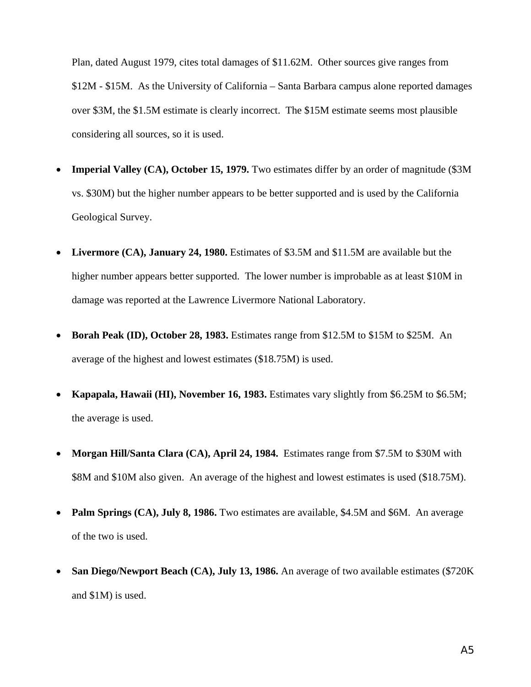Plan, dated August 1979, cites total damages of \$11.62M. Other sources give ranges from \$12M - \$15M. As the University of California – Santa Barbara campus alone reported damages over \$3M, the \$1.5M estimate is clearly incorrect. The \$15M estimate seems most plausible considering all sources, so it is used.

- **Imperial Valley (CA), October 15, 1979.** Two estimates differ by an order of magnitude (\$3M) vs. \$30M) but the higher number appears to be better supported and is used by the California Geological Survey.
- Livermore (CA), January 24, 1980. Estimates of \$3.5M and \$11.5M are available but the higher number appears better supported. The lower number is improbable as at least \$10M in damage was reported at the Lawrence Livermore National Laboratory.
- **Borah Peak (ID), October 28, 1983.** Estimates range from \$12.5M to \$15M to \$25M. An average of the highest and lowest estimates (\$18.75M) is used.
- **Kapapala, Hawaii (HI), November 16, 1983.** Estimates vary slightly from \$6.25M to \$6.5M; the average is used.
- **Morgan Hill/Santa Clara (CA), April 24, 1984.** Estimates range from \$7.5M to \$30M with \$8M and \$10M also given. An average of the highest and lowest estimates is used (\$18.75M).
- **Palm Springs (CA), July 8, 1986.** Two estimates are available, \$4.5M and \$6M. An average of the two is used.
- **San Diego/Newport Beach (CA), July 13, 1986.** An average of two available estimates (\$720K and \$1M) is used.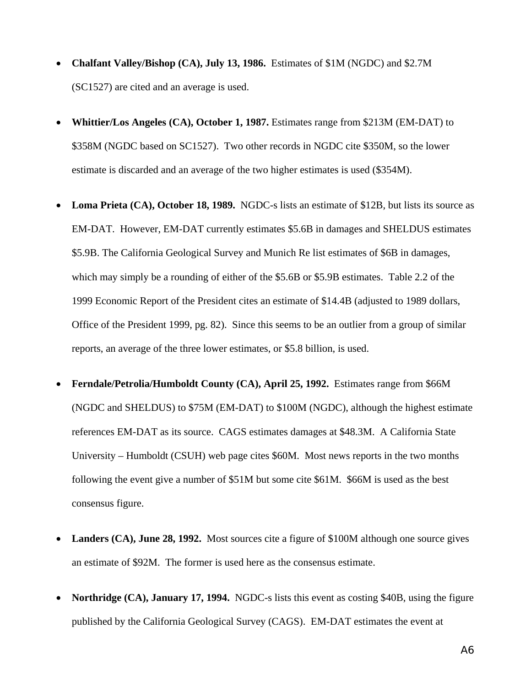- **Chalfant Valley/Bishop (CA), July 13, 1986.** Estimates of \$1M (NGDC) and \$2.7M (SC1527) are cited and an average is used.
- **Whittier/Los Angeles (CA), October 1, 1987.** Estimates range from \$213M (EM-DAT) to \$358M (NGDC based on SC1527). Two other records in NGDC cite \$350M, so the lower estimate is discarded and an average of the two higher estimates is used (\$354M).
- **Loma Prieta (CA), October 18, 1989.** NGDC-s lists an estimate of \$12B, but lists its source as EM-DAT. However, EM-DAT currently estimates \$5.6B in damages and SHELDUS estimates \$5.9B. The California Geological Survey and Munich Re list estimates of \$6B in damages, which may simply be a rounding of either of the \$5.6B or \$5.9B estimates. Table 2.2 of the 1999 Economic Report of the President cites an estimate of \$14.4B (adjusted to 1989 dollars, Office of the President 1999, pg. 82). Since this seems to be an outlier from a group of similar reports, an average of the three lower estimates, or \$5.8 billion, is used.
- **Ferndale/Petrolia/Humboldt County (CA), April 25, 1992.** Estimates range from \$66M (NGDC and SHELDUS) to \$75M (EM-DAT) to \$100M (NGDC), although the highest estimate references EM-DAT as its source. CAGS estimates damages at \$48.3M. A California State University – Humboldt (CSUH) web page cites \$60M. Most news reports in the two months following the event give a number of \$51M but some cite \$61M. \$66M is used as the best consensus figure.
- **Landers (CA), June 28, 1992.** Most sources cite a figure of \$100M although one source gives an estimate of \$92M. The former is used here as the consensus estimate.
- **Northridge (CA), January 17, 1994.** NGDC-s lists this event as costing \$40B, using the figure published by the California Geological Survey (CAGS). EM-DAT estimates the event at

A6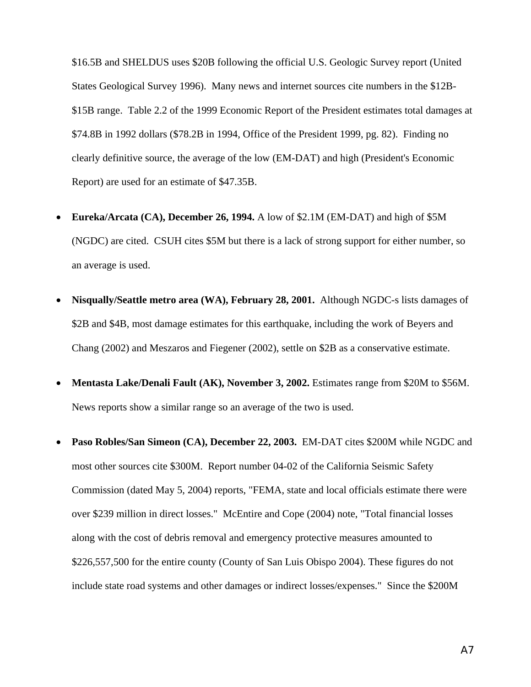\$16.5B and SHELDUS uses \$20B following the official U.S. Geologic Survey report (United States Geological Survey 1996). Many news and internet sources cite numbers in the \$12B- \$15B range. Table 2.2 of the 1999 Economic Report of the President estimates total damages at \$74.8B in 1992 dollars (\$78.2B in 1994, Office of the President 1999, pg. 82). Finding no clearly definitive source, the average of the low (EM-DAT) and high (President's Economic Report) are used for an estimate of \$47.35B.

- **Eureka/Arcata (CA), December 26, 1994.** A low of \$2.1M (EM-DAT) and high of \$5M (NGDC) are cited. CSUH cites \$5M but there is a lack of strong support for either number, so an average is used.
- **Nisqually/Seattle metro area (WA), February 28, 2001.** Although NGDC-s lists damages of \$2B and \$4B, most damage estimates for this earthquake, including the work of Beyers and Chang (2002) and Meszaros and Fiegener (2002), settle on \$2B as a conservative estimate.
- **Mentasta Lake/Denali Fault (AK), November 3, 2002.** Estimates range from \$20M to \$56M. News reports show a similar range so an average of the two is used.
- **Paso Robles/San Simeon (CA), December 22, 2003.** EM-DAT cites \$200M while NGDC and most other sources cite \$300M. Report number 04-02 of the California Seismic Safety Commission (dated May 5, 2004) reports, "FEMA, state and local officials estimate there were over \$239 million in direct losses." McEntire and Cope (2004) note, "Total financial losses along with the cost of debris removal and emergency protective measures amounted to \$226,557,500 for the entire county (County of San Luis Obispo 2004). These figures do not include state road systems and other damages or indirect losses/expenses." Since the \$200M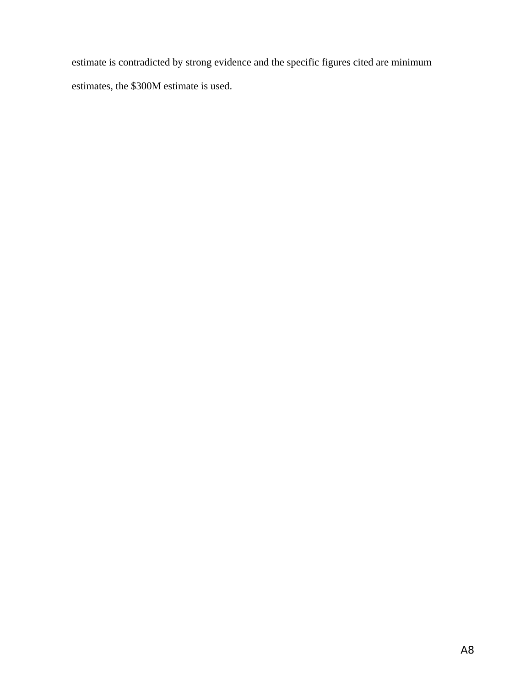estimate is contradicted by strong evidence and the specific figures cited are minimum estimates, the \$300M estimate is used.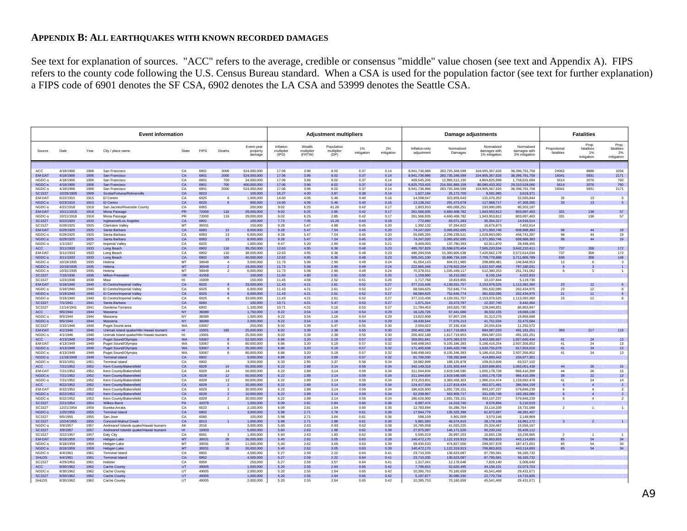#### **APPENDIX B: ALL EARTHQUAKES WITH KNOWN RECORDED DAMAGES**

See text for explanation of sources. "ACC" refers to the average, credible or consensus "middle" value chosen (see text and Appendix A). FIPS refers to the county code following the U.S. Census Bureau standard. When a CSA is used for the population factor (see text for further explanation) a FIPS code of 6901 denotes the SF CSA, 6902 denotes the LA CSA and 53999 denotes the Seattle CSA.

| <b>Event information</b>       |                         |              |                                                    |                        |                |                                  | <b>Adjustment multipliers</b>    |                                  |                                |                                  | Damage adjustments |                  |                              | <b>Fatalities</b>                 |                                             |                                             |                                              |                                        |                                 |
|--------------------------------|-------------------------|--------------|----------------------------------------------------|------------------------|----------------|----------------------------------|----------------------------------|----------------------------------|--------------------------------|----------------------------------|--------------------|------------------|------------------------------|-----------------------------------|---------------------------------------------|---------------------------------------------|----------------------------------------------|----------------------------------------|---------------------------------|
|                                |                         |              |                                                    |                        |                |                                  |                                  |                                  |                                |                                  |                    |                  |                              |                                   |                                             |                                             |                                              | Prop.                                  | Prop.                           |
| Source                         | Date                    | Year         | City / place name                                  | State                  | <b>FIPS</b>    | Deaths                           | Event-year<br>property<br>damage | Inflation<br>multiplier<br>(IPD) | Wealth<br>multiplier<br>(FRTW) | Population<br>multiplier<br>(DP) | 1%<br>mitigation   | 2%<br>mitigation | Inflation-only<br>adjustment | Normalized<br>Damages             | Normalized<br>damages with<br>1% mitigation | Normalized<br>damages with<br>2% mitigation | Proportional<br>fatalities                   | fatalities<br>1%<br>mitigation         | fatalities<br>2%<br>mitigation  |
|                                |                         |              |                                                    |                        |                |                                  |                                  |                                  |                                |                                  |                    |                  |                              |                                   |                                             |                                             |                                              |                                        |                                 |
| ACC                            | 4/18/1906               | 1906         | San Francisco                                      | CA                     | 6901           | 3000                             | 524.000.000                      | 17.06                            | 3.96                           | 8.02                             | 0.37               | 0.14             | 8.941.736.986                | 283.735.348.599                   | 104.905.367.626                             | 38.396.791.758                              | 24062                                        | 8896                                   | 3256                            |
| EM-DAT                         | 4/18/1906<br>4/18/1906  | 1906         | San Francisco                                      | CA<br>CA               | 6901<br>6901   | 2000                             | 524.000.000                      | 17.06<br>17.06                   | 3.96<br>3.96                   | 8.02                             | 0.37               | 0.14             | 8.941.736.986<br>409,545,205 | 283.735.348.599<br>12,995,512,150 | 104.905.367.626                             | 38.396.791.758                              | 16041<br>5614                                | 5931<br>2076                           | 2171                            |
| NGDC-s<br>NGDC-s               | 4/18/1906               | 1906<br>1906 | San Francisco<br>San Francisco                     | CA                     | 6901           | 700<br>700                       | 24,000,000<br>400,000,000        | 17.06                            | 3.96                           | 8.02<br>8.02                     | 0.37<br>0.37       | 0.14<br>0.14     | 6,825,753,425                | 216,591,869,159                   | 4,804,825,998<br>80,080,433,302             | 1,758,631,684<br>29,310,528,060             | 5614                                         | 2076                                   | 760<br>760                      |
| NGDC-s                         | 4/18/1906               | 1906         | San Francisco                                      | CA                     | 6901           | 2000                             | 524,000,000                      | 17.06                            | 3.96                           | 8.02                             | 0.37               | 0.14             | 8,941,736,986                | 283,735,348,599                   | 104,905,367,626                             | 38,396,791,758                              | 16041                                        | 5931                                   | 2171                            |
| <b>SC1527</b>                  | 10/29/1909              | 1909         | Scotia/Fortuna/Rohnerville                         | CA                     | 6023           |                                  | 100,000                          | 16.27                            | 4.00                           | 3.87                             | 0.38               | 0.14             | 1,627,184                    | 25,172,700                        | 9,591,985                                   | 3,619,371                                   |                                              |                                        |                                 |
| EM-DAT                         | 6/22/1915               | 1915         | El Centro                                          | CA                     | 6025           | 6                                | 1,000,000                        | 14.60                            | 4.06                           | 5.46                             | 0.40               | 0.16             | 14,598,047                   | 323,859,643                       | 131,076,352                                 | 52,565,844                                  | 33                                           | 13                                     | $\mathbf{r}$                    |
| NGDC-s<br>NGDC-s               | 6/23/1915<br>4/21/1918  | 1915<br>1918 | El Centro<br>San Jacinto/Riverside County          | CA<br>CA               | 6025<br>6065   | 6                                | 900,000<br>200,000               | 14.60<br>9.02                    | 4.06<br>6.25                   | 5.46<br>41.26                    | 0.40<br>0.42       | 0.16<br>0.17     | 13,138,242<br>1,803,910      | 291,473,678<br>465.069.251        | 117,968,717<br>193.990.095                  | 47,309,260<br>80.202.187                    | 33                                           | 13                                     |                                 |
| EM-DAT                         | 10/11/1918              | 1918         | Mona Passage                                       | <b>PR</b>              | 72000          | 116                              | 29,000,000                       | 9.02                             | 6.25                           | 2.85                             | 0.42               | 0.17             | 261,566,935                  | 4,660,408,782                     | 1,943,953,812                               | 803,697,463                                 | 331                                          | 138                                    | 57                              |
| NGDC-s                         | 10/11/1918              | 1918         | Mona Passage                                       | <b>PR</b>              | 72000          | 116                              | 29,000,000                       | 9.02                             | 6.25                           | 2.85                             | 0.42               | 0.17             | 261,566,935                  | 4,660,408,782                     | 1,943,953,812                               | 803,697,463                                 | 331                                          | 138                                    | 57                              |
| <b>SC1527</b>                  | 6/22/1920               | 1920         | Inglewood/Los Angeles                              | CA<br>MT               | 6902           |                                  | 100,000                          | 7.73                             | 7.05                           | 15.26                            | 0.43               | 0.18             | 772,660                      | 83,071,283                        | 35, 354, 317                                | 14,916,514                                  |                                              |                                        |                                 |
| SC1527<br><b>EM-DAT</b>        | 6/28/1925<br>6/29/1925  | 1925<br>1925 | <b>Clarkston Valley</b><br>Santa Barbara           | CA                     | 30031<br>6083  | 13                               | 150,000<br>8,000,000             | 9.28<br>9.28                     | 5.47<br>5.47                   | 4.89<br>7.54                     | 0.45<br>0.45       | 0.20<br>0.20     | 1.392.132<br>74,247,020      | 37.264.822<br>3.065.652.695       | 16,676,873<br>1,371,950,746                 | 7.402.614<br>608,988,383                    |                                              | 44                                     | 19                              |
| NGDC-s                         | 6/29/1925               | 1925         | Santa Barbara                                      | CA                     | 6083           | 13                               | 6,000,000                        | 9.28                             | 5.47                           | 7.54                             | 0.45               | 0.20             | 55,685,265                   | 2,299,239,521                     | 1,028,963,060                               | 456,741,287                                 | 98                                           | 44                                     | 19                              |
| NGDC-s                         | 6/29/1925               | 1925         | Santa Barbara                                      | CA                     | 6083           | 13                               | 8,000,000                        | 9.28                             | 5.47                           | 7.54                             | 0.45               | 0.20             | 74,247,020                   | 3,065,652,695                     | 1,371,950,746                               | 608.988.383                                 | 98                                           | 44                                     | 19                              |
| NGDC-s                         | 1/1/1927                | 1927         | Imperial Valley                                    | CΔ                     | 6025           |                                  | 1,000,000                        | 9.47                             | 5.20                           | 2.80                             | 0.46               | 0.21             | 9,469,003                    | 137,780,393                       | 62,911,870                                  | 28,498,455                                  |                                              |                                        |                                 |
| ACC<br>EM-DAT                  | 3/11/1933<br>3/11/1933  | 1933<br>1933 | Long Beach<br>Long Beach                           | CA<br>CA               | 6902<br>6902   | 116<br>116                       | 39,250,000<br>38,500,000         | 12.63<br>12.63                   | 4.95<br>4.95                   | 6.36<br>6.36                     | 0.48<br>0.48       | 0.23<br>0.23     | 495,767,829<br>486,294,558   | 15.598.670.404<br>15,300,606,638  | 7.565.220.534<br>7,420,662,179              | 3.642.210.411<br>3,572,614,034              | 737<br>737                                   | 358<br>358                             | 172<br>172                      |
| NGDC-s                         | 3/11/1933               | 1933         | Long Beach                                         | CA                     | 6902           | 100                              | 40,000,000                       | 12.63                            | 4.95                           | 6.36                             | 0.48               | 0.23             | 505,241,100                  | 15,896,734,169                    | 7,709,778,888                               | 3,711,806,789                               | 636                                          | 308                                    | 148                             |
| NGDC-s                         | 10/19/1935              | 1935         | Helena                                             | MT                     | 30049          | $\overline{4}$                   | 3,500,000                        | 11.73                            | 5.08                           | 2.90                             | 0.49               | 0.24             | 41,054,143                   | 604,011,985                       | 298,888,481                                 | 146,848,953                                 | 12                                           | 6                                      | $\mathbf{3}$                    |
| NGDC-s                         | 10/19/1935              | 1935         | Helena                                             | MT                     | 30049          | $\overline{2}$                   | 19,000,000                       | 11.73                            | 5.08                           | 2.90                             | 0.49               | 0.24             | 222,865,348                  | 3,278,922,204                     | 1,622,537,468                               | 797,180,031                                 | ĥ.                                           | $\overline{\mathbf{3}}$                |                                 |
| NGDC-s<br><b>SC1527</b>        | 10/31/1935<br>7/16/1936 | 1935<br>1936 | Helena<br>Milton-Freewater                         | MT<br><b>OR</b>        | 30049<br>41059 | $\overline{2}$                   | 6,000,000<br>100,000             | 11.73<br>11.60                   | 5.08<br>4.80                   | 2.90<br>2.91                     | 0.49<br>0.50       | 0.24<br>0.25     | 70,378,531<br>1.159.990      | 1,035,449,117<br>16.215.592       | 512,380,253<br>8.105.154                    | 251,741,062<br>4.022.833                    | 6                                            | 3                                      | 1                               |
| SC1527                         | 1/23/1938               | 1938         | Maui                                               | HI                     | 15009          |                                  | 150,000                          | 11.45                            | 4.58                           | 2.52                             | 0.51               | 0.26             | 1,717,768                    | 19,819,855                        | 10,107,844                                  | 5,119,736                                   |                                              |                                        |                                 |
| <b>EM-DAT</b>                  | 5/19/1940               | 1940         | El Centro/Imperial Valley                          | CA                     | 6025           | 9                                | 33,000,000                       | 11.43                            | 4.21                           | 2.61                             | 0.52               | 0.27             | 377,215,436                  | 139,551,757                       | 2,153,976,525                               | 1,113,392,360                               | 23                                           | 12                                     | $6\overline{6}$                 |
| NGDC-s                         | 5/19/1940               | 1940         | El Centro/Imperial Valley                          | CA                     | 6025           | $\mathbf{q}$                     | 6,000,000                        | 11.43                            | 4.21                           | 2.61                             | 0.52               | 0.27             | 68,584,625                   | 752,645,774                       | 391,632,095                                 | 202,434,975                                 | 23                                           | 12                                     | $\kappa$                        |
| NGDC-s                         | 5/19/1940               | 1940         | <b>FI Centro/Imperial Valley</b>                   | CA                     | 6025           | $\mathbf{a}$                     | 6,000,000                        | 11.43                            | 4.21                           | 2.61                             | 0.52               | 0.27             | 68.584.625                   | 752.645.774                       | 391.632.095                                 | 202.434.975                                 | 21                                           | 11                                     |                                 |
| NGDC-s<br><b>SC1527</b>        | 5/19/1940<br>7/1/1941   | 1940<br>1941 | FI Centro/Imperial Valley<br>Santa Barbara         | CA<br>CA               | 6025<br>6083   | 9                                | 33.000.000<br>100,000            | 11.43<br>10.71                   | 4.21<br>4.01                   | 2.61<br>5.47                     | 0.52<br>0.53       | 0.27<br>0.27     | 377,215,436<br>1,071,314     | 4.139.551.757<br>23,473,787       | 2.153.976.525<br>12,337,740                 | 1.113.392.360<br>6,442,464                  | 23                                           | 12                                     | 6                               |
| SC1527                         | 11/14/1941              | 1941         | Gardena-Torrance                                   | CA                     | 6902           |                                  | 1,100,000                        | 10.71                            | 4.01                           | 5.16                             | 0.53               | 0.27             | 11,784,453                   | 243,625,735                       | 128,048,831                                 | 66,863,947                                  |                                              |                                        |                                 |
| <b>ACC</b>                     | 9/5/1944                | 1944         | Massena                                            | <b>NY</b>              | 36089          |                                  | 1,750,000                        | 9.22                             | 3.54                           | 1.18                             | 0.54               | 0.29             | 16,126,726                   | 67,441,686                        | 36,532,155                                  | 19,666,136                                  |                                              |                                        |                                 |
| NGDC-s                         | 9/5/1944                | 1944         | Massena                                            | <b>NY</b>              | 36089          |                                  | 1,500,000                        | 9.22                             | 3.54                           | 1.18                             | 0.54               | 0.29             | 13,822,908                   | 57,807,159                        | 31,313,276                                  | 16,856,688                                  |                                              |                                        |                                 |
| NGDC-s<br>SC1527               | 9/5/1944<br>2/15/1946   | 1944<br>1946 | Massena<br>Puget Sound area                        | <b>NY</b><br><b>WA</b> | 36089<br>53067 |                                  | 2,000,000<br>250,000             | 9.22<br>8.02                     | 3.54<br>3.39                   | 1.18<br>5.47                     | 0.54<br>0.55       | 0.29<br>0.30     | 18.430.544<br>2,004,022      | 77,076,213<br>37, 192, 416        | 41,751,034<br>20,555,634                    | 22.475.584<br>11,292,572                    |                                              |                                        |                                 |
| EM-DAT                         | 4/1/1946                | 1946         | Unimak Island quake/Hilo Hawaii tsunami            | HI.                    | 15001          | 165                              | 25.000.000                       | 8.02                             | 3.39                           | 2.38                             | 0.55               | 0.30             | 200.402.188                  | 1.617.719.853                     | 894.087.033                                 | 491, 181, 251                               | 393                                          | 217                                    | 119                             |
| NGDC-s                         | 4/1/1946                | 1946         | Unimak Island quake/Hilo Hawaii tsunami            | HI                     | 15001          |                                  | 25,000,000                       | 8.02                             | 3.39                           | 2.38                             | 0.55               | 0.30             | 200,402,188                  | 1,617,719,853                     | 894,087,033                                 | 491, 181, 251                               |                                              |                                        |                                 |
| <b>ACC</b>                     | 4/13/1949               | 1949         | Puget Sound/Olympia                                | <b>WA</b>              | 53067          |                                  | 52,500,000                       | 6.86                             | 3.20                           | 5.19                             | 0.57               | 0.32             | 359,951,841                  | 5,975,383,570                     | 3,403,585,667                               | 1,927,640,434                               | 41                                           | 24                                     | 13                              |
| EM-DAT<br>NGDC-s               | 4/13/1949<br>4/13/1949  | 1949         | Puget Sound/Olympia                                | <b>WA</b><br><b>WA</b> | 53067<br>53067 | $\mathbf{a}$                     | 80,000,000<br>25,000,000         | 6.86<br>6.86                     | 3.20<br>3.20                   | 5.19<br>5.19                     | 0.57<br>0.57       | 0.32<br>0.32     | 548,498,043                  | 9,105,346,393<br>2.845.420.748    | 5,186,416,254<br>1.620.755.079              | 2,937,356,852<br>917.924.016                | 41<br>41                                     | 24<br>24                               | 13<br>13                        |
| NGDC-s                         | 4/13/1949               | 1949<br>1949 | Puget Sound/Olympia<br>Puget Sound/Olympia         | <b>WA</b>              | 53067          | $\mathbf{a}$<br>$\mathbf{a}$     | 80,000,000                       | 6.86                             | 3.20                           | 5.19                             | 0.57               | 0.32             | 171,405,638<br>548,498,043   | 9,105,346,393                     | 5,186,416,254                               | 2,937,356,852                               | 41                                           | 24                                     | 13                              |
| NGDC-s                         | 11/18/1949              | 1949         | <b>Terminal Island</b>                             | CA                     | 6902           |                                  | 9,000,000                        | 6.86                             | 3.20                           | 3.69                             | 0.57               | 0.32             | 61,706,030                   | 728,392,848                       | 414,893,442                                 | 234,977,301                                 |                                              |                                        |                                 |
| NGDC-s                         | 8/15/1951               | 1951         | <b>Terminal Island</b>                             | CA                     | 6902           |                                  | 3,000,000                        | 6.33                             | 2.95                           | 3.37                             | 0.58               | 0.34             | 18,982,899                   | 189, 125, 878                     | 109,913,608                                 | 63,527,102                                  |                                              |                                        |                                 |
| <b>ACC</b>                     | 7/21/1952               | 1952         | Kern County/Bakersfield                            | $C\Delta$              | 6029           | 14                               | 55,000,000                       | 6.22                             | 2.89                           | 3.14                             | 0.59               | 0.34             | 342,149,318                  | 3,101,503,444                     | 1,820,696,601                               | 1,063,051,438                               | $\overline{A}\overline{A}$<br>$\overline{A}$ | 26                                     | 15 <sup>15</sup>                |
| EM-DAT<br>NGDC-s               | 7/21/1952<br>7/21/1952  | 1952<br>1952 | Kern County/Bakersfield<br>Kern County/Bakersfield | CA<br>CA               | 6029<br>6029   | 14<br>12                         | 50,000,000<br>50,000,000         | 6.22<br>6.22                     | 2.89<br>2.89                   | 3.14<br>3.14                     | 0.59<br>0.59       | 0.34<br>0.34     | 311.044.834<br>311,044,834   | 2.819.548.585<br>2,819,548,585    | 1,655,178,728<br>1,655,178,728              | 966,410,399<br>966,410,399                  | 38                                           | 26<br>22                               | 15<br>13                        |
| NGDC-s                         | 7/21/1952               | 1952         | Kern County/Bakersfield                            | CA                     | 6029           | 13                               | 60,000,000                       | 6.22                             | 2.89                           | 3.14                             | 0.59               | 0.34             | 373,253,801                  | 3.383.458.303                     | 1.986.214.474                               | 1,159,692,478                               | 41                                           | 24                                     | 14                              |
| <b>ACC</b>                     | 8/22/1952               | 1952         | Kern County/Bakersfield                            | CA                     | 6029           | $\overline{2}$                   | 20,000,000                       | 6.22                             | 2.89                           | 3.14                             | 0.59               | 0.34             | 124,417,934                  | 1,127,819,434                     | 662,071,491                                 | 386,564,159                                 |                                              | $\overline{4}$                         | $\overline{2}$                  |
| EM-DAT<br>NGDC-s               | 8/22/1952<br>8/22/1952  | 1952         | Kern County/Bakersfield                            | CA<br>CA               | 6029<br>6029   | $\overline{2}$<br>$\overline{2}$ | 30,000,000                       | 6.22<br>6.22                     | 2.89<br>2.89                   | 3.14<br>3.14                     | 0.59<br>0.59       | 0.34<br>0.34     | 186,626,900<br>62,208,967    | 1,691,729,151                     | 993,107,237<br>331,035,746                  | 579,846,239<br>193.282.080                  | ĥ                                            | $\mathbf{A}$<br>$\boldsymbol{\Lambda}$ | $\mathcal{D}$<br>$\overline{2}$ |
| NGDC-s                         | 8/22/1952               | 1952<br>1952 | Kern County/Bakersfield<br>Kern County/Bakersfield | CA                     | 6029           | 2                                | 10,000,000<br>30.000.000         | 6.22                             | 2.89                           | 3.14                             | 0.59               | 0.34             | 186.626.900                  | 563,909,717<br>1.691.729.151      | 993.107.237                                 | 579.846.239                                 | $\epsilon$                                   | $\overline{4}$                         | $\overline{2}$                  |
| <b>SC1527</b>                  | 2/21/1954               | 1954         | Wilkes-Barre                                       | PA                     | 42079          |                                  | 1,000,000                        | 6.09                             | 2.81                           | 0.84                             | 0.60               | 0.36             | 6,087,474                    | 14,319,740                        | 8,576,894                                   | 5,110,519                                   |                                              |                                        |                                 |
| SC1527                         | 12/21/1954              | 1954         | Eureka-Arcata                                      | CA                     | 6023           | $\overline{1}$                   | 2,100,000                        | 6.09                             | 2.81                           | 1.54                             | 0.60               | 0.36             | 12,783,694                   | 55,286,764                        | 33, 114, 339                                | 19,731,088                                  | $\mathfrak{D}$                               | $\overline{1}$                         | $\overline{1}$                  |
| NGDC-s                         | 1/25/1955               | 1955         | <b>Terminal Island</b>                             | CA                     | 6902           |                                  | 3,000,000                        | 5.98                             | 2.71                           | 2.78                             | 0.61               | 0.36             | 17,944,779                   | 135,325,398                       | 81,872,687                                  | 49,281,407                                  |                                              |                                        |                                 |
| <b>SC1527</b><br><b>SC1527</b> | 9/5/1955<br>10/24/1955  | 1955<br>1955 | San Jose<br>Concord-Walnut Creek                   | CA<br>CA               | 6085<br>6013   |                                  | 100,000<br>1.000.000             | 5.98<br>5.98                     | 2.71<br>2.71                   | 3.64<br>2.88                     | 0.61<br>0.61       | 0.36<br>0.36     | 598.159<br>5.981.593         | 5.901.009<br>46.574.915           | 3,570,146<br>28.178.106                     | 2.148.969<br>16.961.172                     |                                              | $\overline{z}$                         |                                 |
| NGDC-s                         | 3/9/1957                | 1957         | Andreanof Islands quake/Hawaii tsunami             | AK                     | 2016           |                                  | 3,000,000                        | 5.60                             | 2.63                           | 0.93                             | 0.62               | 0.38             | 16,785,058                   | 41,025,225                        | 25,324,467                                  | 15,556,167                                  |                                              |                                        |                                 |
| <b>SC1527</b>                  | 3/9/1957                | 1957         | Andreanof Islands quake/Hawaii tsunam              | HI.                    | 15003          |                                  | 5,000,000                        | 5.60                             | 2.63                           | 1.98                             | 0.62               | 0.38             | 27,975,097                   | 146, 171, 526                     | 90,230,242                                  | 55,426,112                                  |                                              |                                        |                                 |
| SC1527                         | 3/22/1957               | 1957         | Daly City                                          | CA                     | 6081           | $\overline{1}$                   | 1,000,000                        | 5.60                             | 2.63                           | 1.83                             | 0.62               | 0.38             | 5,595,019                    | 26,997,253                        | 16,665,138                                  | 10,236,965                                  | $\mathcal{P}$                                | $\overline{1}$                         | $\sim$                          |
| <b>EM-DAT</b><br>NGDC-s        | 8/18/1959<br>8/18/1959  | 1959<br>1959 | <b>Hebgen Lake</b><br>Hebgen Lake                  | <b>MT</b><br>MT        | 30031<br>30031 | 28<br>28                         | 26,000,000<br>11,000,000         | 5.40<br>5.40                     | 2.62<br>2.62                   | 3.05<br>3.05                     | 0.63<br>0.63       | 0.39<br>0.39     | 140,472,170<br>59.430.533    | 1,122,319,913<br>474.827.656      | 706,863,603<br>299,057,678                  | 443,114,693<br>187.471.601                  | 85<br>85                                     | 54<br>54                               | 34<br>34                        |
| NGDC-s                         | 8/18/1959               | 1959         | Hebgen Lake                                        | MT                     | 30031          | 28                               | 26,000,000                       | 5.40                             | 2.62                           | 3.05                             | 0.63               | 0.39             | 140,472,170                  | 1,122,319,913                     | 706,863,603                                 | 443,114,693                                 | 85                                           | 54                                     | 34                              |
| NGDC-s                         | 4/4/1961                | 1961         | <b>Terminal Island</b>                             | CA                     | 6902           |                                  | 4,500,000                        | 5.27                             | 2.59                           | 2.22                             | 0.64               | 0.41             | 23,710,335                   | 136,623,087                       | 87,795,581                                  | 56, 165, 732                                |                                              |                                        |                                 |
| <b>SHLDS</b>                   | 4/4/1961                | 1961         | <b>Terminal Island</b>                             | CA                     | 6902           |                                  | 4,500,000                        | 5.27                             | 2.59                           | 2.22                             | 0.64               | 0.41             | 23,710,335                   | 136,623,087                       | 87,795,581                                  | 56, 165, 732                                |                                              |                                        |                                 |
| SC1527                         | 4/29/1961<br>8/30/1962  | 1961<br>1962 | Holister                                           | CA<br>UT               | 6069           |                                  | 250,000                          | 5.27                             | 2.59                           | 3.57                             | 0.64               | 0.41             | 1,317,241                    | 12,178,648<br>52.620.495          | 7,826,140                                   | 5,006,640                                   |                                              |                                        |                                 |
| ACC<br>NGDC-s                  | 8/30/1962               | 1962         | <b>Cache County</b><br>Cache Count                 | UT                     | 49005<br>49005 |                                  | 1,500,000<br>2.000.000           | 5.20<br>5.20                     | 2.55<br>2.55                   | 2.64<br>2.64                     | 0.65<br>0.65       | 0.42<br>0.42     | 7,796,815<br>10.395.753      | 70.160.659                        | 34, 156, 101<br>45.541.468                  | 22,073,753<br>29.431.671                    |                                              |                                        |                                 |
| <b>SC1527</b>                  | 8/30/1962               | 1962         | Cache Count                                        | UT                     | 49005          |                                  | 1,000,000                        | 5.20                             | 2.55                           | 2.64                             | 0.65               | 0.42             | 5,197,877                    | 35.080.330                        | 22,770,734                                  | 14,715,835                                  |                                              |                                        |                                 |
| SHLDS                          | 8/30/1962               | 1962         | Cache County                                       | UT                     | 49005          |                                  | 2,000,000                        | 5.20                             | 2.55                           | 2.64                             | 0.65               | 0.42             | 10,395,753                   | 70,160,659                        | 45,541,468                                  | 29,431,671                                  |                                              |                                        |                                 |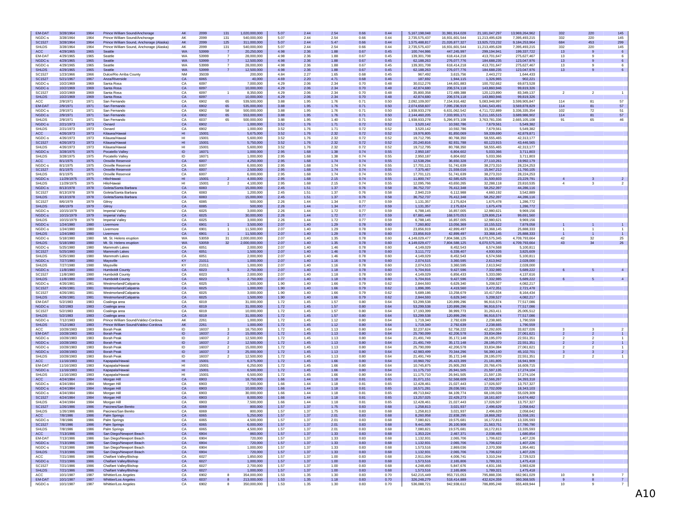| <b>EM-DAT</b> | 3/28/1964  | 1964 | Prince William Sound/Anchorage           | AK              | 2099  | 131                     | 1,020,000,000 | 5.07 | 2.44 | 2.54 | 0.66 | 0.44 | 5,167,198,048 | 31,981,914,028 | 21, 181, 047, 297 | 13,969,264,962 | 332                                       | 220                 | 145            |
|---------------|------------|------|------------------------------------------|-----------------|-------|-------------------------|---------------|------|------|------|------|------|---------------|----------------|-------------------|----------------|-------------------------------------------|---------------------|----------------|
| NGDC-s        | 3/28/1964  | 1964 | Prince William Sound/Anchorage           | AK              | 2099  | 131                     | 540,000,000   | 5.07 | 2.44 | 2.54 | 0.66 | 0.44 | 2,735,575,437 | 16,931,601,544 | 11,213,495,628    | 7.395.493.215  | 332                                       | 220                 | 145            |
| SC1527        | 3/28/1964  | 1964 | Prince William Sound, Anchorage (Alaska) | AK              | 2099  | 125                     | 311,000,000   | 5.07 | 2.44 | 5.47 | 0.66 | 0.44 | 1,575,488,817 | 21,026,877,327 | 13,925,723,232    | 9,184,253,964  | 684                                       | 453                 | 299            |
| SHLDS         | 3/28/1964  | 1964 | Prince William Sound, Anchorage (Alaska) | AK              | 2099  | 131                     | 540,000,000   | 5.07 | 2.44 | 2.54 | 0.66 | 0.44 | 2,735,575,437 | 16.931.601.544 | 11.213.495.628    | 7.395.493.215  | 332                                       | 220                 | 145            |
| ACC           | 4/29/1965  | 1965 | Seattle                                  | <b>WA</b>       | 53999 |                         | 20,250,000    | 4.98 | 2.36 | 1.88 | 0.67 | 0.45 | 100,744,986   | 447,245,997    | 299, 194, 941     | 199,337,722    | 13                                        | 9                   | 6              |
| EM-DAT        | 4/29/1965  | 1965 | Seattle                                  | <b>WA</b>       | 53999 | -7                      | 28,000,000    | 4.98 | 2.36 | 1.88 | 0.67 | 0.45 | 139,301,708   | 618,414,218    | 413.701.647       | 275,627,467    | 13                                        | -9                  | 6              |
| NGDC-s        | 4/29/1965  | 1965 | Seattle                                  | <b>WA</b>       | 53999 |                         | 12,500,000    | 4.98 | 2.36 | 1.88 | 0.67 | 0.45 | 62,188,263    | 276,077,776    | 184,688,235       | 123,047,976    | 13                                        |                     | 6              |
| NGDC-s        | 4/29/1965  | 1965 | Seattle                                  | WA              | 53999 | $\overline{7}$          | 28,000,000    | 4.98 | 2.36 | 1.88 | 0.67 | 0.45 | 139,301,708   | 618.414.218    | 413.701.647       | 275.627.467    | 13                                        | -9                  | 6              |
| <b>SHLDS</b>  | 4/29/1965  | 1965 | Seattle                                  | <b>WA</b>       | 53999 |                         | 12,500,000    | 4.98 | 2.36 | 1.88 | 0.67 | 0.45 | 62,188,263    | 276,077,776    | 184,688,235       | 123,047,976    | 13                                        |                     |                |
| SC1527        | 1/23/1966  | 1966 | Dulce/Rio Arriba County                  | <b>NM</b>       | 35039 |                         | 200,000       | 4.84 | 2.27 | 1.65 | 0.68 | 0.45 | 967,492       | 3.615.756      | 2,443,272         | 1.644.433      |                                           |                     |                |
| SC1527        | 5/21/1967  | 1967 | Anza/Riverside                           | CA              | 6065  |                         | 40,000        | 4.69 | 2.20 | 4.71 | 0.68 | 0.46 | 187,692       | 1,944,115      | 1,326,965         | 902,221        |                                           |                     |                |
| NGDC-s        | 10/2/1969  | 1969 | Santa Rosa                               | CA              | 6097  |                         | 7,000,000     | 4.29 | 2.06 | 2.34 | 0.70 | 0.48 | 30,012,276    | 144,601,883    | 100,702,662       | 69,873,528     |                                           |                     |                |
| NGDC-s        | 10/2/1969  | 1969 | Santa Rosa                               | CA              | 6097  |                         | 10,000,000    | 4.29 | 2.06 | 2.34 | 0.70 | 0.48 | 42,874,680    | 206,574,118    | 143,860,946       | 99,819,326     |                                           |                     |                |
|               |            |      |                                          |                 |       |                         |               |      |      |      |      |      |               |                |                   |                |                                           |                     |                |
| SC1527        | 10/2/1969  | 1969 | Santa Rosa                               | CA              | 6097  | $\overline{1}$          | 8,350,000     | 4.29 | 2.06 | 2.34 | 0.70 | 0.48 | 35,800,358    | 172,489,388    | 120,123,890       | 83,349,137     | $\overline{2}$                            | $\overline{2}$      | 1              |
| <b>SHLDS</b>  | 10/2/1969  | 1969 | Santa Rosa                               | CA              | 6097  |                         | 10,000,000    | 4.29 | 2.06 | 2.34 | 0.70 | 0.48 | 42.874.680    | 206,574,118    | 143,860,946       | 99,819,326     |                                           |                     |                |
| ACC           | 2/9/1971   | 1971 | San Fernando                             | CA              | 6902  | 65                      | 539,500,000   | 3.88 | 1.95 | 1.76 | 0.71 | 0.50 | 2,092,109,007 | 7,154,916,482  | 5.083.948.997     | 3.599.905.847  | 114                                       | 81                  | 57             |
| EM-DAT        | 2/9/1971   | 1971 | San Fernando                             | CA              | 6902  | 65                      | 535,000,000   | 3.88 | 1.95 | 1.76 | 0.71 | 0.50 | 2,074,658,607 | 7,095,236,919  | 5,041,543,491     | 3,569,878,829  | 114                                       | 81                  | 57             |
| NGDC-s        | 2/9/1971   | 1971 | San Fernando                             | CA              | 6902  | 58                      | 500,000,000   | 3.88 | 1.95 | 1.76 | 0.71 | 0.50 | 1,938,933,278 | 6,631,062,542  | 4,711,722,889     | 3.336.335.354  | 102                                       | 72                  | 51             |
| NGDC-s        | 2/9/1971   | 1971 | San Fernando                             | CA              | 6902  | 65                      | 553,000,000   | 3.88 | 1.95 | 1.76 | 0.71 | 0.50 | 2,144,460,205 | 7,333,955,171  | 5,211,165,515     | 3,689,986,902  | 114                                       | 81                  | 57             |
| SHLDS         | 2/9/1971   | 1971 | San Fernando                             | CA              | 6037  | 65                      | 500,000,000   | 3.88 | 1.95 | 1.40 | 0.71 | 0.50 | 1,938,933,278 | 5,296,973,108  | 3.763.781.336     | 2.665.105.108  | 91                                        | 65                  | 46             |
| NGDC-s        | 2/21/1973  | 1973 | Oxnard                                   | CA              | 6902  |                         | 1,000,000     | 3.52 | 1.76 | 1.71 | 0.72 | 0.52 | 3,520,142     | 10,592,786     | 7,679,561         | 5,549,382      |                                           |                     |                |
| <b>SHLDS</b>  | 2/21/1973  | 1973 | Oxnard                                   | CA              | 6902  |                         | 1.000.000     | 3.52 | 1.76 | 1.71 | 0.72 | 0.52 | 3,520,142     | 10,592,786     | 7,679,561         | 5,549,382      |                                           |                     |                |
| ACC           | 4/26/1973  | 1973 | Kilauea/Hawa                             | HI              | 15001 |                         | 5,675,000     | 3.52 | 1.76 | 2.32 | 0.72 | 0.52 | 19,976,805    | 81,850,069     | 59,339,690        | 42,879,871     |                                           |                     |                |
| NGDC-s        | 4/26/1973  | 1973 | Kilauea/Hawaii                           | H <sub>1</sub>  | 15001 |                         | 5,600,000     | 3.52 | 1.76 | 2.32 | 0.72 | 0.52 | 19.712.795    | 80,768,350     | 58,555,465        | 42.313.177     |                                           |                     |                |
|               |            |      |                                          |                 |       |                         |               |      |      |      |      |      |               |                |                   |                |                                           |                     |                |
| SC1527        | 4/26/1973  | 1973 | Kilauea/Hawaii                           | H <sub>II</sub> | 15001 |                         | 5,750,000     | 3.52 | 1.76 | 2.32 | 0.72 | 0.52 | 20,240,816    | 82,931,788     | 60,123,915        | 43,446,565     |                                           |                     |                |
| <b>SHLDS</b>  | 4/26/1973  | 1973 | Kilauea/Hawaii                           | HI              | 15001 |                         | 5,600,000     | 3.52 | 1.76 | 2.32 | 0.72 | 0.52 | 19,712,795    | 80,768,350     | 58,555,465        | 42,313,177     |                                           |                     |                |
| NGDC-s        | 3/28/1975  | 1975 | Pocatello Valley                         | ID              | 16071 |                         | 1,000,000     | 2.95 | 1.68 | 1.38 | 0.74 | 0.55 | 2,950,187     | 6,804,602      | 5,033,366         | 3,711,803      |                                           |                     |                |
| SHLDS         | 3/28/1975  | 1975 | Pocatello Valley                         | ID              | 16071 |                         | 1.000.000     | 2.95 | 1.68 | 1.38 | 0.74 | 0.55 | 2,950,187     | 6.804.602      | 5,033,366         | 3.711.803      |                                           |                     |                |
| ACC           | 8/1/1975   | 1975 | Oroville Reservoir                       | CA              | 6007  |                         | 4,250,000     | 2.95 | 1.68 | 1.74 | 0.74 | 0.55 | 12,538,294    | 36,650,328     | 27,110,261        | 19,992,179     |                                           |                     |                |
| NGDC-s        | 8/1/1975   | 1975 | Oroville Reservoir                       | CA              | 6007  |                         | 6,000,000     | 2.95 | 1.68 | 1.74 | 0.74 | 0.55 | 17,701,121    | 51,741,639     | 38,273,310        | 28,224,253     |                                           |                     |                |
| SC1527        | 8/1/1975   | 1975 | Oroville Reservoir                       | CA              | 6007  |                         | 2,500,000     | 2.95 | 1.68 | 1.74 | 0.74 | 0.55 | 7,375,467     | 21,559,016     | 15,947,212        | 11,760,105     |                                           |                     |                |
| SHLDS         | 8/1/1975   | 1975 | Oroville Reservoir                       | CA              | 6007  |                         | 6,000,000     | 2.95 | 1.68 | 1.74 | 0.74 | 0.55 | 17,701,121    | 51,741,639     | 38,273,310        | 28.224.253     |                                           |                     |                |
| NGDC-s        | 11/29/1975 | 1975 | Hilo/Hawaii                              | HI              | 15001 |                         | 4,000,000     | 2.95 | 1.68 | 2.15 | 0.74 | 0.55 | 11,800,747    | 42,585,625     | 31,500,603        | 23,229,791     |                                           |                     | $\overline{2}$ |
| <b>SHLDS</b>  | 11/29/1975 | 1975 | Hilo/Hawai                               | HI              | 15001 | $\overline{2}$          | 4.100.000     | 2.95 | 1.68 | 2.15 | 0.74 | 0.55 | 12,095,766    | 43,650,265     | 32,288,118        | 23.810.535     | $\overline{4}$                            | 3                   | $\overline{2}$ |
| NGDC-s        | 8/13/1978  | 1978 | Goleta/Santa Barbara                     | CA              | 6083  |                         | 15,000,000    | 2.45 | 1.51 | 1.37 | 0.76 | 0.58 | 36,752,737    | 76,412,348     | 58,252,397        | 44,286,116     |                                           |                     |                |
|               |            |      |                                          |                 |       |                         |               |      |      |      |      |      |               |                |                   |                |                                           |                     |                |
| SC1527        | 8/13/1978  | 1978 | Goleta/Santa Barbara                     | CA              | 6083  |                         | 1,200,000     | 2.45 | 1.51 | 1.37 | 0.76 | 0.58 | 2.940.219     | 6.112.988      | 4.660.192         | 3.542.889      |                                           |                     |                |
| <b>SHLDS</b>  | 8/13/1978  | 1978 | Goleta/Santa Barbara                     | CA              | 6083  |                         | 15,000,000    | 2.45 | 1.51 | 1.37 | 0.76 | 0.58 | 36,752,737    | 76,412,348     | 58,252,397        | 44,286,116     |                                           |                     |                |
| SC1527        | 8/6/1979   | 1979 | Gilroy                                   | CA              | 6085  |                         | 500,000       | 2.26 | 1.44 | 1.34 | 0.77 | 0.59 | 1.131.357     | 2,175,824      | 1,675,478         | 1.286,772      |                                           |                     |                |
| <b>SHLDS</b>  | 8/6/1979   | 1979 | Gilroy                                   | CA              | 6085  |                         | 500,000       | 2.26 | 1.44 | 1.34 | 0.77 | 0.59 | 1,131,357     | 2,175,824      | 1,675,478         | 1,286,772      |                                           |                     |                |
| NGDC-s        | 10/15/1979 | 1979 | <b>Imperial Valley</b>                   | CA              | 6025  |                         | 3,000,000     | 2.26 | 1.44 | 1.72 | 0.77 | 0.59 | 6,788,145     | 16,857,005     | 12.980.621        | 9.969.156      |                                           |                     |                |
| NGDC-s        | 10/15/1979 | 1979 | <b>Imperial Valley</b>                   | CA              | 6025  |                         | 30,000,000    | 2.26 | 1.44 | 1.72 | 0.77 | 0.59 | 67,881,448    | 168,570,053    | 129,806,214       | 99,691,560     |                                           |                     |                |
| <b>SHLDS</b>  | 10/15/1979 | 1979 | <b>Imperial Valley</b>                   | CA              | 6025  |                         | 3,000,000     | 2.26 | 1.44 | 1.72 | 0.77 | 0.59 | 6,788,145     | 16.857.005     | 12,980,621        | 9.969.156      |                                           |                     |                |
| NGDC-s        | 1/24/1980  | 1980 | Livermore                                | CA              | 6901  |                         | 3,500,000     | 2.07 | 1.40 | 1.29 | 0.78 | 0.60 | 7,260,802     | 13,056,369     | 10, 155, 522      | 7,879,058      |                                           |                     |                |
| NGDC-s        | 1/24/1980  | 1980 | Livermore                                | CA              | 6901  | $\overline{1}$          | 11,500,000    | 2.07 | 1.40 | 1.29 | 0.78 | 0.60 | 23,856,919    | 42,899,497     | 33,368,145        | 25,888,333     | $\overline{1}$                            | $\mathbf{1}$        | $\overline{1}$ |
| <b>SHLDS</b>  | 1/24/1980  | 1980 | Livermore                                | CA              | 6901  |                         | 11,500,000    | 2.07 | 1.40 | 1.29 | 0.78 | 0.60 | 23,856,919    | 42,899,497     | 33,368,145        | 25,888,333     |                                           |                     |                |
| NGDC-s        | 5/18/1980  | 1980 | Mt. St. Helens eruption                  | WA              | 53059 | 31                      | 2,000,000,000 | 2.07 | 1.40 | 1.35 | 0.78 | 0.60 | 4,149,029,477 | 7.804.588.125  | 6.070.575.345     | 4,709,793,664  | 42                                        | 32                  | 25             |
| <b>SHLDS</b>  |            |      |                                          |                 |       |                         |               |      |      |      |      |      |               |                |                   |                | 43                                        |                     |                |
|               | 5/18/1980  | 1980 | Mt. St. Helens eruption                  | WA              | 53059 | 32                      | 2,000,000,000 | 2.07 | 1.40 | 1.35 | 0.78 | 0.60 | 4,149,029,477 | 7,804,588,125  | 6,070,575,345     | 4,709,793,664  |                                           | 34                  | 26             |
| NGDC-s        | 5/25/1980  | 1980 | Mammoth Lakes                            | CA              | 6051  |                         | 2.000.000     | 2.07 | 1.40 | 1.46 | 0.78 | 0.60 | 4.149.029     | 8.452.543      | 6,574,568         | 5.100.811      |                                           |                     |                |
| SC1527        | 5/25/1980  | 1980 | Mammoth Lakes                            | CA              | 6051  |                         | 1,500,000     | 2.07 | 1.40 | 1.46 | 0.78 | 0.60 | 3,111,772     | 6,339,407      | 4,930,926         | 3,825,609      |                                           |                     |                |
| <b>SHLDS</b>  | 5/25/1980  | 1980 | Mammoth Lakes                            | CA              | 6051  |                         | 2,000,000     | 2.07 | 1.40 | 1.46 | 0.78 | 0.60 | 4,149,029     | 8,452,543      | 6,574,568         | 5,100,811      |                                           |                     |                |
| NGDC-s        | 7/27/1980  | 1980 | Maysville                                | KY              | 21011 |                         | 1,000,000     | 2.07 | 1.40 | 1.16 | 0.78 | 0.60 | 2,074,515     | 3.360.595      | 2,613,942         | 2,028,000      |                                           |                     |                |
| SHLDS         | 7/27/1980  | 1980 | Maysville                                | KY              | 21011 |                         | 1.000.000     | 2.07 | 1.40 | 1.16 | 0.78 | 0.60 | 2,074,515     | 3.360.595      | 2.613.942         | 2.028.000      |                                           |                     |                |
| NGDC-s        | 11/8/1980  | 1980 | <b>Humboldt County</b>                   | CA              | 6023  |                         | 2,750,000     | 2.07 | 1.40 | 1.18 | 0.78 | 0.60 | 5,704,916     | 9,427,596      | 7,332,985         | 5,689,222      |                                           |                     | $\overline{4}$ |
| SC1527        | 11/8/1980  | 1980 | <b>Humboldt County</b>                   | CA              | 6023  |                         | 2.000.000     | 2.07 | 1.40 | 1.18 | 0.78 | 0.60 | 4,149,029     | 6,856,433      | 5,333,080         | 4,137,616      |                                           |                     |                |
| <b>SHLDS</b>  | 11/8/1980  | 1980 | <b>Humboldt County</b>                   | CA              | 6023  |                         | 2,750,000     | 2.07 | 1.40 | 1.18 | 0.78 | 0.60 | 5,704,916     | 9,427,596      | 7,332,985         | 5,689,222      |                                           |                     | $\overline{4}$ |
| NGDC-s        | 4/26/1981  |      | Westmorland/Calipatria                   | CA              | 6025  |                         | 1,500,000     | 1.90 | 1.40 | 1.66 | 0.79 | 0.62 | 2,844,593     | 6.629.340      | 5.208.527         | 4.082.217      |                                           |                     |                |
|               |            | 1981 |                                          |                 |       |                         |               |      |      |      |      |      |               |                |                   |                |                                           |                     |                |
| SC1527        | 4/26/1981  | 1981 | Westmorland/Calipatria                   | CA              | 6025  |                         | 1,000,000     | 1.90 | 1.40 | 1.66 | 0.79 | 0.62 | 1,896,395     | 4,419,560      | 3,472,351         | 2,721,478      |                                           |                     |                |
| SC1527        | 4/26/1981  | 1981 | Westmorland/Calipatria                   | CA              | 6025  |                         | 3,000,000     | 1.90 | 1.40 | 1.66 | 0.79 | 0.62 | 5,689,186     | 13,258,679     | 10,417,054        | 8.164.434      |                                           |                     |                |
| <b>SHLDS</b>  | 4/26/1981  | 1981 | Westmorland/Calipatria                   | CA              | 6025  |                         | 1,500,000     | 1.90 | 1.40 | 1.66 | 0.79 | 0.62 | 2,844,593     | 6,629,340      | 5,208,527         | 4,082,217      |                                           |                     |                |
| EM-DAT        | 5/2/1983   | 1983 | Coalinga area                            | CA              | 6019  |                         | 31,000,000    | 1.72 | 1.45 | 1.57 | 0.80 | 0.64 | 53,299,538    | 120,899,296    | 96,916,574        | 77,517,086     |                                           |                     |                |
| NGDC-s        | 5/2/1983   | 1983 | Coalinga area                            | CA              | 6019  |                         | 31,000,000    | 1.72 | 1.45 | 1.57 | 0.80 | 0.64 | 53,299,538    | 120,899,296    | 96,916,574        | 77,517,086     |                                           |                     |                |
| SC1527        | 5/2/1983   | 1983 | Coalinga area                            | CA              | 6019  |                         | 10,000,000    | 1.72 | 1.45 | 1.57 | 0.80 | 0.64 | 17,193,399    | 38,999,773     | 31,263,411        | 25.005.512     |                                           |                     |                |
| <b>SHLDS</b>  | 5/2/1983   | 1983 | Coalinga area                            | CA              | 6019  |                         | 31,000,000    | 1.72 | 1.45 | 1.57 | 0.80 | 0.64 | 53,299,538    | 120,899,296    | 96,916,574        | 77,517,086     |                                           |                     |                |
| NGDC-s        | 7/12/1983  | 1983 | Prince William Sound/Valdez-Cordova      | AK              | 2261  |                         | 1.000.000     | 1.72 | 1.45 | 1.12 | 0.80 | 0.64 | 1,719,340     | 2.792.639      | 2.238.665         | 1.790.559      |                                           |                     |                |
| <b>SHLDS</b>  | 7/12/1983  | 1983 | Prince William Sound/Valdez-Cordova      | AK              | 2261  |                         | 1,000,000     | 1.72 | 1.45 | 1.12 | 0.80 | 0.64 | 1,719,340     | 2,792,639      | 2,238,665         | 1,790,559      |                                           |                     |                |
| ACC           | 10/28/1983 | 1983 | <b>Borah Peak</b>                        | ID              | 16037 |                         | 18,750,000    | 1.72 | 1.45 | 1.13 | 0.80 | 0.64 | 32,237,624    | 52,758,222     | 42,292,605        | 33.827.026     |                                           |                     | $\overline{2}$ |
| EM-DAT        |            |      |                                          | ID              | 16037 | $\overline{\mathbf{3}}$ |               |      |      |      |      |      |               |                |                   |                | $\overline{\mathbf{3}}$<br>$\overline{2}$ | 3<br>$\overline{2}$ | $\mathbf{1}$   |
|               | 10/28/1983 | 1983 | <b>Borah Peak</b>                        |                 |       | $\overline{2}$          | 15,000,000    | 1.72 | 1.45 | 1.13 | 0.80 | 0.64 | 25,790,099    | 42,206,578     | 33,834,084        | 27,061,621     |                                           |                     |                |
| NGDC-s        | 10/28/1983 | 1983 | <b>Borah Peak</b>                        | ID              | 16037 | $\overline{2}$          | 12,500,000    | 1.72 | 1.45 | 1.13 | 0.80 | 0.64 | 21.491.749    | 35,172,148     | 28,195,070        | 22.551.351     | $\overline{2}$                            | $\overline{2}$      | 1              |
| NGDC-s        | 10/28/1983 | 1983 | <b>Borah Peak</b>                        | ID              | 16037 | $\overline{2}$          | 12,500,000    | 1.72 | 1.45 | 1.13 | 0.80 | 0.64 | 21,491,749    | 35, 172, 148   | 28,195,070        | 22,551,351     | $\overline{2}$                            |                     |                |
| NGDC-s        | 10/28/1983 | 1983 | <b>Borah Peak</b>                        | ID              | 16037 | $\overline{2}$          | 15,000,000    | 1.72 | 1.45 | 1.13 | 0.80 | 0.64 | 25,790,099    | 42,206,578     | 33,834,084        | 27.061.621     | $\overline{2}$                            | $\overline{2}$      | 1              |
| NGDC-s        | 10/28/1983 | 1983 | <b>Borah Peak</b>                        | ID              | 16037 | $\mathbf{3}$            | 25,000,000    | 1.72 | 1.45 | 1.13 | 0.80 | 0.64 | 42.983.499    | 70,344,296     | 56,390,140        | 45,102,701     |                                           |                     | $\overline{2}$ |
| SHLDS         | 10/28/1983 | 1983 | Borah Peak                               | ID              | 16037 | $\overline{2}$          | 12,500,000    | 1.72 | 1.45 | 1.13 | 0.80 | 0.64 | 21,491,749    | 35, 172, 148   | 28,195,070        | 22,551,351     | $\overline{2}$                            | $\overline{2}$      | 1              |
| ACC           | 11/16/1983 | 1983 | Kapapala/Hawai                           | H <sub>II</sub> | 15001 |                         | 6,375,000     | 1.72 | 1.45 | 1.66 | 0.80 | 0.64 | 10,960,792    | 26,423,399     | 21,181,805        | 16,941,909     |                                           |                     |                |
| EM-DAT        | 11/16/1983 | 1983 | Kapapala/Hawai                           | H <sub>II</sub> | 15001 |                         | 6.250.000     | 1.72 | 1.45 | 1.66 | 0.80 | 0.64 | 10,745,875    | 25,905,293     | 20,766,476        | 16,609,715     |                                           |                     |                |
| NGDC-s        | 11/16/1983 | 1983 | Kapapala/Hawai                           | H <sub>II</sub> | 15001 |                         | 6,500,000     | 1.72 | 1.45 | 1.66 | 0.80 | 0.64 | 11,175,710    | 26,941,505     | 21,597,135        | 17,274,104     |                                           |                     |                |
| SHLDS         | 11/16/1983 | 1983 | Kapapala/Hawai                           | H <sub>II</sub> | 15001 |                         | 6,500,000     | 1.72 | 1.45 | 1.66 | 0.80 | 0.64 | 11,175,710    | 26.941.505     | 21,597,135        | 17.274.104     |                                           |                     |                |
| ACC           | 4/24/1984  | 1984 | Morgan Hill                              | CA              | 6903  |                         | 18,750,000    | 1.66 | 1.44 | 1.18 | 0.81 | 0.65 | 31,071,151    | 52,568,609     | 42,566,267        | 34,393,318     |                                           |                     |                |
| NGDC-s        | 4/24/1984  | 1984 | Morgan Hill                              | CA              | 6903  |                         | 7,500,000     | 1.66 | 1.44 | 1.18 | 0.81 | 0.65 | 12,428,461    | 21,027,443     | 17,026,507        | 13,757,327     |                                           |                     |                |
| NGDC-s        | 4/24/1984  | 1984 | Morgan Hill                              | CA              | 6903  |                         | 10,000,000    | 1.66 | 1.44 | 1.18 | 0.81 | 0.65 | 16,571,281    | 28,036,591     | 22,702,009        | 18,343,103     |                                           |                     |                |
| NGDC-s        | 4/24/1984  | 1984 | Morgan Hill                              | CA              | 6903  |                         | 30,000,000    | 1.66 | 1.44 | 1.18 | 0.81 | 0.65 | 49,713,842    | 84,109,774     | 68,106,028        | 55.029.309     |                                           |                     |                |
|               |            |      |                                          | CA              |       |                         |               |      |      |      |      |      |               |                |                   |                |                                           |                     |                |
| SC1527        | 4/24/1984  | 1984 | Morgan Hill                              |                 | 6903  |                         | 8,000,000     | 1.66 | 1.44 | 1.18 | 0.81 | 0.65 | 13,257,025    | 22,429,273     | 18, 161, 607      | 14,674,482     |                                           |                     |                |
| SHLDS         | 4/24/1984  | 1984 | Morgan Hill                              | CA              | 6903  |                         | 7,500,000     | 1.66 | 1.44 | 1.18 | 0.81 | 0.65 | 12,428,461    | 21.027.443     | 17,026,507        | 13,757,327     |                                           |                     |                |
| SC1527        | 1/26/1986  | 1986 | Paicines/San Benito                      | CA              | 6069  |                         | 800,000       | 1.57 | 1.37 | 1.75 | 0.83 | 0.68 | 1.258.813     | 3,021,937      | 2,496,629         | 2,058,642      |                                           |                     |                |
| SHLDS         | 1/26/1986  | 1986 | Paicines/San Benito                      | CA              | 6069  |                         | 800,000       | 1.57 | 1.37 | 1.75 | 0.83 | 0.68 | 1.258.813     | 3.021.937      | 2.496.629         | 2.058.642      |                                           |                     |                |
| ACC           | 7/8/1986   | 1986 | Palm Springs                             | CA              | 6065  |                         | 5,250,000     | 1.57 | 1.37 | 2.01 | 0.83 | 0.68 | 8,260,958     | 22,838,295     | 18,868,282        | 15,558,191     |                                           |                     |                |
| NGDC-s        | 7/8/1986   | 1986 | Palm Springs                             | CA.             | 6065  |                         | 4.500.000     | 1.57 | 1.37 | 2.01 | 0.83 | 0.68 | 7.080.821     | 19.575.681     | 16.172.813        | 13.335.593     |                                           |                     |                |
| SC1527        | 7/8/1986   | 1986 | Palm Springs                             | CA              | 6065  |                         | 6,000,000     | 1.57 | 1.37 | 2.01 | 0.83 | 0.68 | 9,441,095     | 26,100,908     | 21,563,751        | 17,780,790     |                                           |                     |                |
| <b>SHLDS</b>  | 7/8/1986   | 1986 | Palm Springs                             | CA              | 6065  |                         | 4,500,000     | 1.57 | 1.37 | 2.01 | 0.83 | 0.68 | 7,080,821     | 19,575,681     | 16,172,813        | 13,335,593     |                                           |                     |                |
| <b>ACC</b>    | 7/13/1986  | 1986 | San Diego/Newport Beach                  | CA              | 6904  |                         | 860,000       | 1.57 | 1.37 | 1.33 | 0.83 | 0.68 | 1,353,224     | 2,467,371      | 2,038,465         | 1,680,854      |                                           |                     |                |
| EM-DAT        | 7/13/1986  | 1986 | San Diego/Newport Beach                  | CA              | 6904  |                         | 720,000       | 1.57 | 1.37 | 1.33 | 0.83 | 0.68 | 1,132,931     | 2,065,706      | 1,706,622         | 1,407,226      |                                           |                     |                |
| NGDC-s        | 7/13/1986  | 1986 | San Diego/Newport Beach                  | <b>CA</b>       | 6904  |                         | 720,000       | 1.57 | 1.37 | 1.33 | 0.83 | 0.68 | 1,132,931     | 2,065,706      | 1,706,622         | 1,407,226      |                                           |                     |                |
| NGDC-s        | 7/13/1986  | 1986 | San Diego/Newport Beach                  | CA              | 6904  |                         | 1,000,000     | 1.57 | 1.37 | 1.33 | 0.83 | 0.68 | 1,573,516     | 2,869,036      | 2,370,308         | 1,954,481      |                                           |                     |                |
| <b>SHLDS</b>  |            | 1986 |                                          | CA              | 6904  |                         |               | 1.57 |      |      |      | 0.68 |               |                |                   |                |                                           |                     |                |
|               | 7/13/1986  |      | San Diego/Newport Beach                  |                 |       |                         | 720,000       |      | 1.37 | 1.33 | 0.83 |      | 1,132,931     | 2,065,706      | 1,706,622         | 1,407,226      |                                           |                     |                |
| ACC           | 7/21/1986  | 1986 | Chalfant Valley/Bishop                   | CA              | 6027  |                         | 1,850,000     | 1.57 | 1.37 | 1.00 | 0.83 | 0.68 | 2,911,004     | 4,006,741      | 3,310,244         | 2,729,523      |                                           |                     |                |
| NGDC-s        | 7/21/1986  | 1986 | Chalfant Valley/Bishop                   | CA              | 6027  |                         | 1,000,000     | 1.57 | 1.37 | 1.00 | 0.83 | 0.68 | 1,573,516     | 2,165,806      | 1,789,321         | 1,475,418      |                                           |                     |                |
| SC1527        | 7/21/1986  | 1986 | Chalfant Valley/Bishop                   | CA              | 6027  |                         | 2,700,000     | 1.57 | 1.37 | 1.00 | 0.83 | 0.68 | 4,248,493     | 5,847,676      | 4,831,166         | 3,983,628      |                                           |                     |                |
| <b>SHLDS</b>  | 7/21/1986  | 1986 | Chalfant Valley/Bishop                   | CA              | 6027  |                         | 1,000,000     | 1.57 | 1.37 | 1.00 | 0.83 | 0.68 | 1,573,516     | 2,165,806      | 1,789,321         | 1,475,418      |                                           |                     |                |
| ACC           | 10/1/1987  | 1987 | Whittier/Los Angeles                     | CA              | 6902  | 8                       | 354,000,000   | 1.53 | 1.35 | 1.30 | 0.83 | 0.70 | 542,215,449   | 953,715,053    | 795,888,336       | 662, 961, 029  | 10                                        | 9                   | $\overline{7}$ |
| EM-DAT        | 10/1/1987  | 1987 | Whittier/Los Angeles                     | CA              | 6037  | 8                       | 213,000,000   | 1.53 | 1.35 | 1.18 | 0.83 | 0.70 | 326.248.279   | 518,414,889    | 432.624.359       | 360.368.505    | 9                                         |                     | $7^{\circ}$    |
| NGDC-s        | 10/1/1987  | 1987 | Whittier/Los Angeles                     | CA              | 6902  | 8                       | 350,000,000   | 1.53 | 1.35 | 1.30 | 0.83 | 0.70 | 536,088,721   | 942,938,612    | 786,895,248       | 655,469,944    | 10                                        | $\mathbf{a}$        |                |
|               |            |      |                                          |                 |       |                         |               |      |      |      |      |      |               |                |                   |                |                                           |                     |                |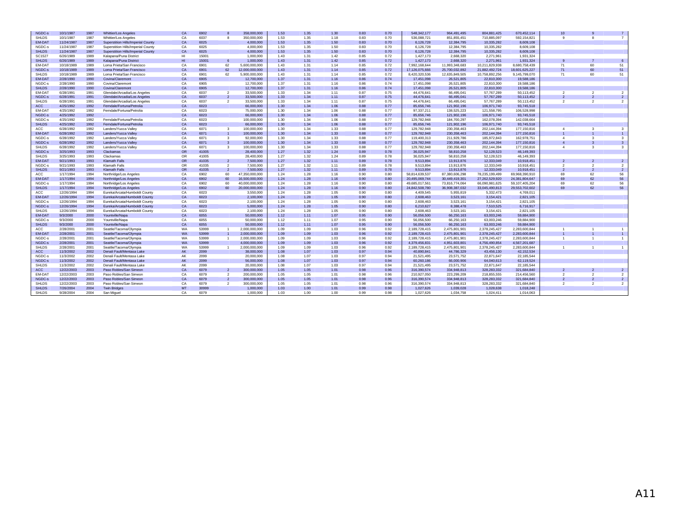| NGDC-s        | 10/1/1987  | 1987 | <b>Whittier/Los Angeles</b>        | CA              | 6902  |                         | 358.000.000    | 1.53 | 1.35 | 1.30 | 0.83 | 0.70 | 548.342.177    | 964.491.495    | 804.881.425    | 670.452.114    | 10                       |                          |                          |
|---------------|------------|------|------------------------------------|-----------------|-------|-------------------------|----------------|------|------|------|------|------|----------------|----------------|----------------|----------------|--------------------------|--------------------------|--------------------------|
| SHI DS        | 10/1/1987  | 1987 | <b>Whittier/Los Angeles</b>        | CA              | 6037  |                         | 350.000.000    | 1.53 | 1.35 | 1.18 | 0.83 | 0.70 | 536.088.721    | 851.855.451    | 710.885.097    | 592.154.821    | $\mathfrak{g}$           | 8                        | $\overline{7}$           |
| <b>EM-DAT</b> | 11/24/1987 | 1987 | Superstition Hills/Imperial County | CA              | 6025  |                         | 4.000.000      | 1.53 | 1.35 | 1.50 | 0.83 | 0.70 | 6,126,728      | 12.384.795     | 10.335.282     | 8,609,108      |                          |                          |                          |
| NGDC-s        | 11/24/1987 | 1987 | Superstition Hills/Imperial County | CA              | 6025  |                         | 4.000.000      | 1.53 | 1.35 | 1.50 | 0.83 | 0.70 | 6,126,728      | 12,384,795     | 10,335,282     | 8,609,108      |                          |                          |                          |
| <b>SHLDS</b>  | 11/24/1987 | 1987 | Superstition Hills/Imperial County | CA              | 6025  |                         | 4.000.000      | 1.53 | 1.35 | 1.50 | 0.83 | 0.70 | 6,126,728      | 12,384,795     | 10,335,282     | 8,609,108      |                          |                          |                          |
| SC1527        | 6/26/1989  | 1989 | Kalapana/Puna District             | H <sub>II</sub> | 15001 |                         | 1,000,000      | 1.43 | 1.31 | 1.42 | 0.85 | 0.72 | 1,427,173      | 2,668,320      | 2,271,961      | 1,931,324      |                          |                          |                          |
| <b>SHLDS</b>  | 6/26/1989  | 1989 | Kalapana/Puna District             | H <sub>II</sub> | 15001 |                         | 1.000.000      | 1.43 | 1.31 | 1.42 | 0.85 | 0.72 | 1.427.173      | 2.668.320      | 2.271.961      | 1.931.324      | <b>Q</b>                 |                          | 6                        |
| EM-DAT        | 10/18/1989 | 1989 | Loma Prieta/San Francisco          | CA              | 6901  | 62                      | 5.600.000.000  | 1.43 | 1.31 | 1.14 | 0.85 | 0.72 | 7.992.168.644  | 11.993.348.683 | 10.211.829.938 | 8.680.758.439  | 71                       | 60                       | 51                       |
| NGDC-s        | 10/18/1989 | 1989 | Loma Prieta/San Francisco          | CA              | 6901  | 62                      | 12.000.000.000 | 1.43 | 1.31 | 1.14 | 0.85 | 0.72 | 17.126.075.666 | 25.700.032.892 | 21.882.492.724 | 18.601.625.227 | 71                       | 60                       | 51                       |
| SHLDS         | 10/18/1989 | 1989 | Loma Prieta/San Francisco          | CA              | 6901  | 62                      | 5.900.000.000  | 1.43 | 1.31 | 1.14 | 0.85 | 0.72 | 8.420.320.536  | 12.635.849.505 | 10,758,892,256 | 9.145.799.070  | 71                       | 60                       | 51                       |
| <b>EM-DAT</b> | 2/28/1990  | 1990 | Covina/Claremont                   | CA              | 6905  |                         | 12,700,000     | 1.37 | 1.31 | 1.16 | 0.86 | 0.74 | 17,451,098     | 26,521,805     | 22,810,300     | 19,588,186     |                          |                          |                          |
| NGDC-s        | 2/28/1990  | 1990 | Covina/Claremont                   | CA              | 6905  |                         | 12,700,000     | 1.37 | 1.31 | 1.16 | 0.86 | 0.74 | 17,451,098     | 26,521,805     | 22,810,300     | 19,588,186     |                          |                          |                          |
| <b>SHLDS</b>  | 2/28/1990  | 1990 | Covina/Claremont                   | CA              | 6905  |                         | 12,700,000     | 1.37 | 1.31 | 1.16 | 0.86 | 0.74 | 17.451.098     | 26.521.805     | 22.810.300     | 19,588,186     |                          |                          |                          |
| EM-DAT        | 6/28/1991  | 1991 | Glendale/Arcadia/Los Angeles       | CA              | 6037  | $\overline{2}$          | 33,500,000     | 1.33 | 1.34 | 1.11 | 0.87 | 0.75 | 44.476.641     | 66.495.041     | 57.767.289     | 50.113.452     | $\mathcal{P}$            | $\overline{\phantom{a}}$ | $\overline{\phantom{a}}$ |
| NGDC-s        | 6/28/1991  | 1991 | Glendale/Arcadia/Los Angeles       | CA              | 6037  | $\overline{2}$          | 33,500,000     | 1.33 | 1.34 | 1.11 | 0.87 | 0.75 | 44.476.641     | 66.495.041     | 57.767.289     | 50.113.452     | $\overline{2}$           | $\overline{2}$           | $\overline{2}$           |
| SHLDS         | 6/28/1991  | 1991 | Glendale/Arcadia/Los Angeles       | CA              | 6037  | $\overline{2}$          | 33,500,000     | 1.33 | 1.34 | 1.11 | 0.87 | 0.75 | 44,476,641     | 66.495.041     | 57,767,289     | 50.113.452     | $\mathcal{P}$            | $\overline{2}$           | $\overline{2}$           |
| ACC           | 4/25/1992  | 1992 | Femdale/Fortuna/Petrolia           | CA              | 6023  |                         | 66,000,000     | 1.30 | 1.34 | 1.06 | 0.88 | 0.77 | 85.656.746     | 121,902,196    | 106.971.740    | 93.745.518     |                          |                          |                          |
| EM-DAT        | 4/25/1992  | 1992 | Ferndale/Fortuna/Petrolia          | CA              | 6023  |                         | 75,000,000     | 1.30 | 1.34 | 1.06 | 0.88 | 0.77 | 97.337.211     | 138.525.223    | 121.558.795    | 106.528.998    |                          |                          |                          |
| NGDC-s        | 4/25/1992  | 1992 |                                    | CA              | 6023  |                         | 66,000,000     | 1.30 | 1.34 | 1.06 | 0.88 | 0.77 | 85.656.746     | 121,902,196    | 106,971,740    | 93,745,518     |                          |                          |                          |
| NGDC-s        | 4/25/1992  | 1992 | Femdale/Fortuna/Petrolia           | CA              | 6023  |                         | 100.000.000    | 1.30 | 1.34 | 1.06 | 0.88 | 0.77 | 129.782.948    | 184,700,297    | 162.078.394    | 142.038.664    |                          |                          |                          |
| <b>SHLDS</b>  | 4/25/1992  | 1992 | Ferndale/Fortuna/Petrolia          | CA              | 6023  |                         | 66,000,000     | 1.30 | 1.34 | 1.06 | 0.88 | 0.77 | 85,656,746     | 121,902,196    | 106,971,740    | 93,745,518     |                          |                          |                          |
| <b>ACC</b>    | 6/28/1992  | 1992 | Landers/Yucca Valley               | CA              | 6071  | $\overline{\mathbf{3}}$ | 100.000.000    | 1.30 | 1.34 | 1.33 | 0.88 | 0.77 | 129.782.948    | 230.358.463    | 202.144.394    | 177.150.816    | $\overline{4}$           | $\overline{\mathbf{3}}$  | $\overline{\mathbf{3}}$  |
| <b>EM-DAT</b> | 6/28/1992  | 1992 | Landers/Yucca Valley               | CA              | 6071  |                         | 100,000,000    | 1.30 | 1.34 | 1.33 | 0.88 | 0.77 | 129.782.948    | 230, 358, 463  | 202.144.394    | 177, 150, 816  |                          |                          |                          |
| NGDC-s        | 6/28/1992  | 1992 | Landers/Yucca Valley               | C.A             | 6071  | $\mathbf{3}$            | 92.000.000     | 1.30 | 1.34 | 1.33 | 0.88 | 0.77 | 119,400,313    | 211,929,786    | 185,972,843    | 162,978,751    | $\boldsymbol{\Lambda}$   | $\mathbf{3}$             | $\mathbf{3}$             |
| NGDC-s        | 6/28/1992  | 1992 | Landers/Yucca Valley               | CA              | 6071  | $\mathbf{3}$            | 100.000.000    | 1.30 | 1.34 | 1.33 | 0.88 | 0.77 | 129.782.948    | 230.358.463    | 202.144.394    | 177, 150, 816  | $\boldsymbol{\Lambda}$   | $\mathbf{3}$             | $\overline{\mathbf{3}}$  |
| <b>SHLDS</b>  | 6/28/1992  | 1992 | Landers/Yucca Valley               | CA              | 6071  | $\mathbf{3}$            | 100,000,000    | 1.30 | 1.34 | 1.33 | 0.88 | 0.77 | 129,782,948    | 230, 358, 463  | 202,144,394    | 177,150,816    | $\boldsymbol{\Lambda}$   | $\mathbf{3}$             | $\mathbf{3}$             |
| NGDC-s        | 3/25/1993  | 1993 | Clackamas                          | OR              | 41005 |                         | 28,400,000     | 1.27 | 1.32 | 1.24 | 0.89 | 0.78 | 36.025.947     | 58.810.258     | 52.128.523     | 46.149.393     |                          |                          |                          |
| SHLDS         | 3/25/1993  | 1993 | Clackamas                          | OR              | 41005 |                         | 28,400,000     | 1.27 | 1.32 | 1.24 | 0.89 | 0.78 | 36.025.947     | 58.810.258     | 52.128.523     | 46, 149, 393   |                          |                          |                          |
| <b>EM-DAT</b> | 9/21/1993  | 1993 | <b>Klamath Falls</b>               | OR              | 41035 | $\overline{2}$          | 7,500,000      | 1.27 | 1.32 | 1.11 | 0.89 | 0.78 | 9.513.894      | 13.913.876     | 12.333.049     | 10.918.451     | $\overline{\phantom{0}}$ | $\overline{z}$           | $\overline{\phantom{a}}$ |
| NGDC-s        | 9/21/1993  | 1993 | Klamath Falls                      | OR              | 41035 | $\overline{2}$          | 7,500,000      | 1.27 | 1.32 | 1.11 | 0.89 | 0.78 | 9.513.894      | 13.913.876     | 12.333.049     | 10.918.451     | $\mathcal{P}$            | $\overline{2}$           | $\overline{2}$           |
| <b>SHLDS</b>  | 9/21/1993  | 1993 | <b>Klamath Falls</b>               | OR              | 41035 | $\overline{2}$          | 7,500,000      | 1.27 | 1.32 | 1.11 | 0.89 | 0.78 | 9.513.894      | 13,913,876     | 12,333,049     | 10.918.451     |                          | $\overline{2}$           | $\overline{2}$           |
| ACC.          | 1/17/1994  | 1994 | Northridge/Los Angeles             | CA              | 6902  | 60                      | 47.350.000.000 | 1.24 | 1.28 | 1.16 | 0.90 | 0.80 | 58.814.639.537 | 87,380,606,298 | 78,235,199,499 | 69.968.390.910 | 69                       | 62                       | 56                       |
| EM-DAT        | 1/17/1994  | 1994 | Northridge/Los Angeles             | CA              | 6902  | 60                      | 16,500,000,000 | 1.24 | 1.28 | 1.16 | 0.90 | 0.80 | 20,495,069,744 | 30,449,419,301 | 27,262,529,920 | 24,381,804,647 | 69                       | 62                       | 56                       |
| NGDC-s        | 1/17/1994  | 1994 | Northridge/Los Angeles             | CA              | 6902  | 60                      | 40,000,000,000 | 1.24 | 1.28 | 1.16 | 0.90 | 0.80 | 49.685.017.561 | 73.816.774.064 | 66.090.981.625 | 59,107,405,204 | 69                       | 62                       | 56                       |
| <b>SHLDS</b>  | 1/17/1994  | 1994 | Northridge/Los Angeles             | CA              | 6902  | 60                      | 20.000.000.000 | 1.24 | 1.28 | 1.16 | 0.90 | 0.80 | 24.842.508.780 | 36.908.387.032 | 33.045.490.813 | 29.553.702.602 | 69                       | 62                       | 56                       |
| ACC           | 12/26/1994 | 1994 | Eureka/Arcata/Humboldt County      | C.A             | 6023  |                         | 3.550.000      | 1.24 | 1.28 | 1.05 | 0.90 | 0.80 | 4.409.545      | 5.955.819      | 5.332.473      | 4.769.011      |                          |                          |                          |
| <b>EM-DAT</b> | 12/26/1994 | 1994 | Eureka/Arcata/Humboldt County      | CA              | 6023  |                         | 2.100.000      | 1.24 | 1.28 | 1.05 | 0.90 | 0.80 | 2.608.463      | 3.523.161      | 3.154.421      | 2.821.105      |                          |                          |                          |
| NGDC-s        | 12/26/1994 | 1994 | Eureka/Arcata/Humboldt County      | CA              | 6023  |                         | 2,100,000      | 1.24 | 1.28 | 1.05 | 0.90 | 0.80 | 2,608,463      | 3.523.161      | 3,154,421      | 2,821,105      |                          |                          |                          |
| NGDC-s        | 12/26/1994 | 1994 | Eureka/Arcata/Humboldt County      | CA              | 6023  |                         | 5,000,000      | 1.24 | 1.28 | 1.05 | 0.90 | 0.80 | 6.210.627      | 8.388.478      | 7.510.525      | 6,716,917      |                          |                          |                          |
| SHLDS         | 12/26/1994 | 1994 | Eureka/Arcata/Humboldt County      | CA              | 6023  |                         | 2,100,000      | 1.24 | 1.28 | 1.05 | 0.90 | 0.80 | 2,608,463      | 3,523,161      | 3,154,421      | 2,821,105      |                          |                          |                          |
| <b>EM-DAT</b> | 9/3/2000   | 2000 | Yountville/Napa                    | CA              | 6055  |                         | 50,000,000     | 1.12 | 1.11 | 1.07 | 0.95 | 0.90 | 56.056.500     | 66,250,163     | 63,003,246     | 59,884,900     |                          |                          |                          |
| NGDC-s        | 9/3/2000   | 2000 | Yountville/Napa                    | CA              | 6055  |                         | 50,000,000     | 1.12 | 1.11 | 1.07 | 0.95 | 0.90 | 56.056.500     | 66.250.163     | 63.003.246     | 59.884.900     |                          |                          |                          |
| <b>SHLDS</b>  | 9/3/2000   | 2000 | Yountville/Napa                    | CA              | 6055  |                         | 50,000,000     | 1.12 | 1.11 | 1.07 | 0.95 | 0.90 | 56.056.500     | 66.250.163     | 63.003.246     | 59.884.900     |                          |                          |                          |
| ACC           | 2/28/2001  | 2001 | Seattle/Tacoma/Olympia             | <b>WA</b>       | 53999 | 1                       | 2.000.000.000  | 1.09 | 1.09 | 1.03 | 0.96 | 0.92 | 2.189.728.415  | 2.475.801.901  | 2.378.245.427  | 2.283.600.844  | $\overline{1}$           | $\overline{1}$           |                          |
| <b>EM-DAT</b> | 2/28/2001  | 2001 | Seattle/Tacoma/Olympia             | <b>WA</b>       | 53999 |                         | 2,000,000,000  | 1.09 | 1.09 | 1.03 | 0.96 | 0.92 | 2,189,728,415  | 2,475,801,901  | 2,378,245,427  | 2.283.600.844  |                          |                          |                          |
| NGDC-s        | 2/28/2001  | 2001 | Seattle/Tacoma/Olympia             | WA              | 53999 | $\overline{1}$          | 2.000.000.000  | 1.09 | 1.09 | 1.03 | 0.96 | 0.92 | 2,189,728,415  | 2,475,801,901  | 2,378,245,427  | 2.283.600.844  | $\overline{1}$           | $\overline{1}$           | $\overline{1}$           |
| NGDC-s        | 2/28/2001  | 2001 | Seattle/Tacoma/Olympia             | <b>WA</b>       | 53999 |                         | 4.000.000.000  | 1.09 | 1.09 | 1.03 | 0.96 | 0.92 | 4.379.456.831  | 4.951.603.801  | 4.756.490.854  | 4.567.201.687  |                          |                          |                          |
| SHLDS         | 2/28/2001  | 2001 | Seattle/Tacoma/Olympia             | WA              | 53999 | $\overline{1}$          | 2,000,000,000  | 1.09 | 1.09 | 1.03 | 0.96 | 0.92 | 2,189,728,415  | 2,475,801,901  | 2,378,245,427  | 2,283,600,844  | $\overline{1}$           | $\overline{1}$           | $\overline{1}$           |
| ACC           | 11/3/2002  | 2002 | Denali Fault/Mentasa Lake          | AK              | 2099  |                         | 38,000,000     | 1.08 | 1.07 | 1.03 | 0.97 | 0.94 | 40.890.841     | 44.786.329     | 43.456.130     | 42.152.534     |                          |                          |                          |
| NGDC-s        | 11/3/2002  | 2002 | Denali Fault/Mentasa Lake          | AK              | 2099  |                         | 20,000,000     | 1.08 | 1.07 | 1.03 | 0.97 | 0.94 | 21,521,495     | 23.571.752     | 22.871.647     | 22,185,544     |                          |                          |                          |
| NGDC-s        | 11/3/2002  | 2002 | Denali Fault/Mentasa Lake          | AK              | 2099  |                         | 56,000,000     | 1.08 | 1.07 | 1.03 | 0.97 | 0.94 | 60.260.186     | 66,000,906     | 64.040.613     | 62.119.524     |                          |                          |                          |
| SHLDS         | 11/3/2002  | 2002 | Denali Fault/Mentasa Lake          | AK              | 2099  |                         | 20,000,000     | 1.08 | 1.07 | 1.03 | 0.97 | 0.94 | 21.521.495     | 23.571.752     | 22.871.647     | 22.185.544     |                          |                          |                          |
| <b>ACC</b>    | 12/22/2003 | 2003 | Paso Robles/San Simeon             | CA              | 6079  | $\overline{2}$          | 300,000,000    | 1.05 | 1.05 | 1.01 | 0.98 | 0.96 | 316,390,574    | 334,948,813    | 328.283.332    | 321,684,840    | $\overline{\phantom{0}}$ | $\overline{2}$           | $\overline{2}$           |
| EM-DAT        | 12/22/2003 | 2003 | Paso Robles/San Simeon             | CA              | 6079  | $\overline{2}$          | 200,000,000    | 1.05 | 1.05 | 1.01 | 0.98 | 0.96 | 210.927.050    | 223.299.209    | 218.855.555    | 214.456.560    | $\mathcal{P}$            | $\overline{2}$           | $\overline{2}$           |
| NGDC-s        | 12/22/2003 | 2003 | Paso Robles/San Simeon             | CA              | 6079  | $\overline{2}$          | 300,000,000    | 1.05 | 1.05 | 1.01 | 0.98 | 0.96 | 316,390,574    | 334,948,813    | 328.283.332    | 321,684,840    | $\overline{\phantom{0}}$ | $\overline{2}$           | $\overline{2}$           |
| SHLDS         | 12/22/2003 | 2003 | Paso Robles/San Simeon             | CA              | 6079  | $\overline{2}$          | 300.000.000    | 1.05 | 1.05 | 1.01 | 0.98 | 0.96 | 316,390,574    | 334.948.813    | 328.283.332    | 321.684.840    | $\mathcal{P}$            | $\overline{2}$           | $\overline{2}$           |
| <b>SHLDS</b>  | 7/26/2004  | 2004 | <b>Twin Bridges</b>                | MT              | 30999 |                         | 1,000,000      | 1.03 | 1.00 | 1.01 | 0.99 | 0.98 | 1,027,626      | 1,039,028      | 1.028.638      | 1,018,248      |                          |                          |                          |
| SHLDS         | 9/28/2004  | 2004 | San Miguel                         | CA              | 6079  |                         | 1.000.000      | 1.03 | 1.00 | 1.00 | 0.99 | 0.98 | 1.027.626      | 1.034.758      | 1.024.411      | 1.014.063      |                          |                          |                          |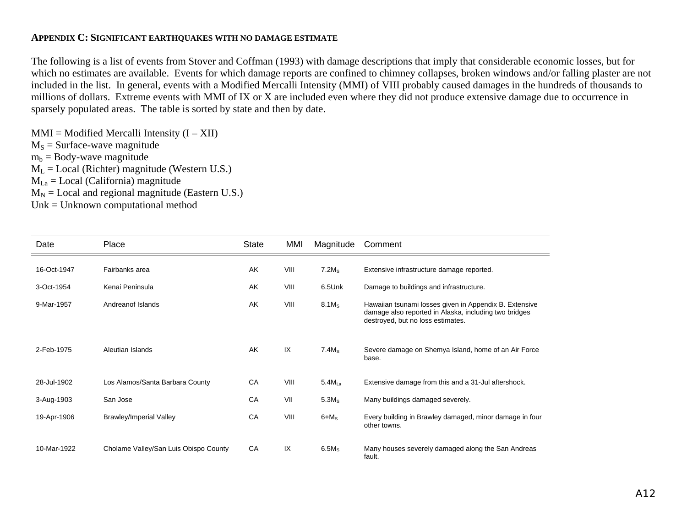#### **APPENDIX C: SIGNIFICANT EARTHQUAKES WITH NO DAMAGE ESTIMATE**

The following is a list of events from Stover and Coffman (1993) with damage descriptions that imply that considerable economic losses, but for which no estimates are available. Events for which damage reports are confined to chimney collapses, broken windows and/or falling plaster are not included in the list. In general, events with a Modified Mercalli Intensity (MMI) of VIII probably caused damages in the hundreds of thousands to millions of dollars. Extreme events with MMI of IX or X are included even where they did not produce extensive damage due to occurrence in sparsely populated areas. The table is sorted by state and then by date.

 $MMI = Modified Mercalli Intensity (I - XII)$  $M<sub>S</sub>$  = Surface-wave magnitude  $m_b = Body-wave$  magnitude  $M_L$  = Local (Richter) magnitude (Western U.S.)  $M_{La} = Local (California)$  magnitude

 $M_N$  = Local and regional magnitude (Eastern U.S.)

Unk = Unknown computational method

| Date        | Place                                 | State | MMI  | Magnitude          | Comment                                                                                                                                              |
|-------------|---------------------------------------|-------|------|--------------------|------------------------------------------------------------------------------------------------------------------------------------------------------|
| 16-Oct-1947 | Fairbanks area                        | AK    | VIII | 7.2M <sub>s</sub>  | Extensive infrastructure damage reported.                                                                                                            |
| 3-Oct-1954  | Kenai Peninsula                       | AK    | VIII | 6.5Unk             | Damage to buildings and infrastructure.                                                                                                              |
| 9-Mar-1957  | Andreanof Islands                     | AK    | VIII | 8.1M <sub>s</sub>  | Hawaiian tsunami losses given in Appendix B. Extensive<br>damage also reported in Alaska, including two bridges<br>destroyed, but no loss estimates. |
| 2-Feb-1975  | Aleutian Islands                      | AK    | IX   | 7.4M <sub>s</sub>  | Severe damage on Shemya Island, home of an Air Force<br>base.                                                                                        |
| 28-Jul-1902 | Los Alamos/Santa Barbara County       | CA    | VIII | 5.4M <sub>La</sub> | Extensive damage from this and a 31-Jul aftershock.                                                                                                  |
| 3-Aug-1903  | San Jose                              | CA    | VII  | 5.3M <sub>s</sub>  | Many buildings damaged severely.                                                                                                                     |
| 19-Apr-1906 | Brawley/Imperial Valley               | CA    | VIII | $6+M_s$            | Every building in Brawley damaged, minor damage in four<br>other towns.                                                                              |
| 10-Mar-1922 | Cholame Valley/San Luis Obispo County | CA    | IX   | $6.5M_s$           | Many houses severely damaged along the San Andreas<br>fault.                                                                                         |